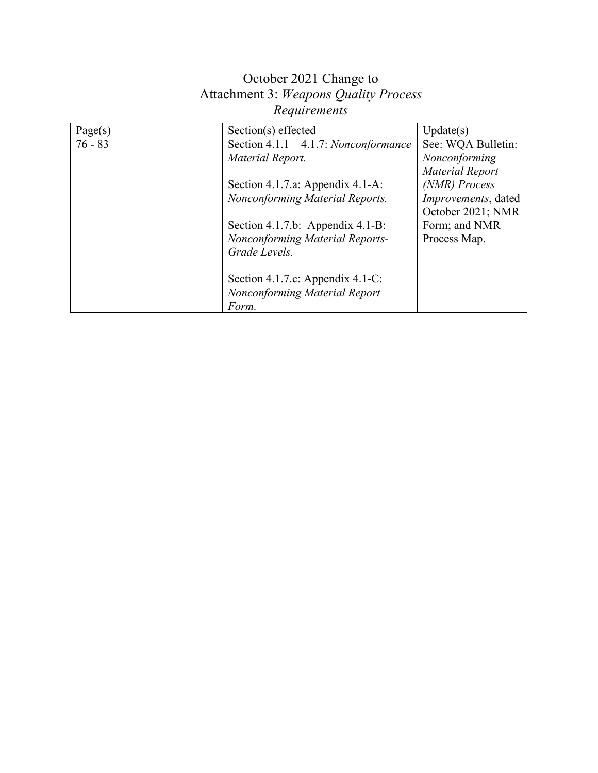| Page(s)   | Section(s) effected                      | Update(s)                   |
|-----------|------------------------------------------|-----------------------------|
| $76 - 83$ | Section $4.1.1 - 4.1.7$ : Nonconformance | See: WQA Bulletin:          |
|           | Material Report.                         | Nonconforming               |
|           |                                          | Material Report             |
|           | Section 4.1.7.a: Appendix 4.1-A:         | (NMR) Process               |
|           | Nonconforming Material Reports.          | <i>Improvements</i> , dated |
|           |                                          | October 2021; NMR           |
|           | Section 4.1.7.b: Appendix 4.1-B:         | Form; and NMR               |
|           | Nonconforming Material Reports-          | Process Map.                |
|           | Grade Levels.                            |                             |
|           |                                          |                             |
|           | Section 4.1.7.c: Appendix 4.1-C:         |                             |
|           | <b>Nonconforming Material Report</b>     |                             |
|           | Form.                                    |                             |

# October 2021 Change to Attachment 3: *Weapons Quality Process Requirements*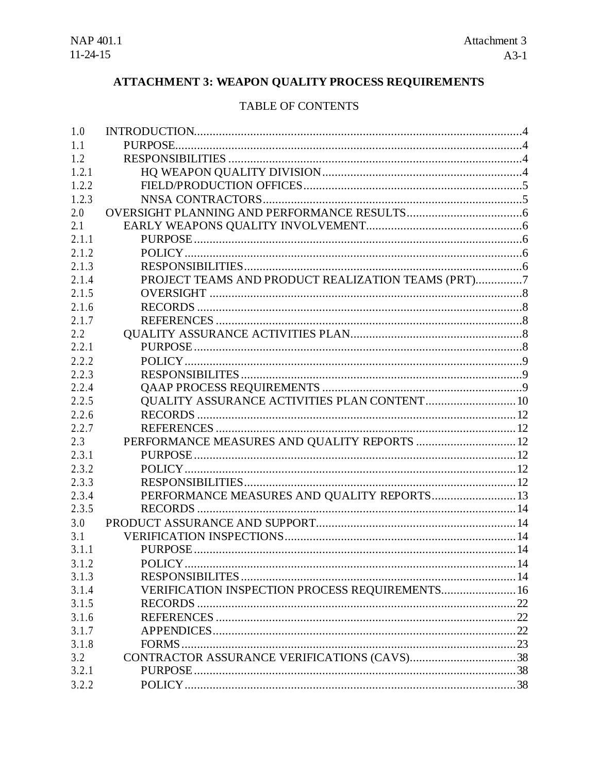# **ATTACHMENT 3: WEAPON QUALITY PROCESS REQUIREMENTS**

## TABLE OF CONTENTS

| 1.0   |                                                    |  |
|-------|----------------------------------------------------|--|
| 1.1   |                                                    |  |
| 1.2   |                                                    |  |
| 1.2.1 |                                                    |  |
| 1.2.2 |                                                    |  |
| 1.2.3 |                                                    |  |
| 2.0   |                                                    |  |
| 2.1   |                                                    |  |
| 2.1.1 |                                                    |  |
| 2.1.2 |                                                    |  |
| 2.1.3 |                                                    |  |
| 2.1.4 | PROJECT TEAMS AND PRODUCT REALIZATION TEAMS (PRT)7 |  |
| 2.1.5 |                                                    |  |
| 2.1.6 |                                                    |  |
| 2.1.7 |                                                    |  |
| 2.2   |                                                    |  |
| 2.2.1 |                                                    |  |
| 2.2.2 |                                                    |  |
| 2.2.3 |                                                    |  |
| 2.2.4 |                                                    |  |
| 2.2.5 | QUALITY ASSURANCE ACTIVITIES PLAN CONTENT 10       |  |
| 2.2.6 |                                                    |  |
| 2.2.7 |                                                    |  |
| 2.3   | PERFORMANCE MEASURES AND QUALITY REPORTS  12       |  |
| 2.3.1 |                                                    |  |
| 2.3.2 |                                                    |  |
| 2.3.3 |                                                    |  |
| 2.3.4 | PERFORMANCE MEASURES AND QUALITY REPORTS 13        |  |
| 2.3.5 |                                                    |  |
| 3.0   |                                                    |  |
| 3.1   |                                                    |  |
| 3.1.1 |                                                    |  |
| 3.1.2 | POLICY.                                            |  |
| 3.1.3 |                                                    |  |
| 3.1.4 | VERIFICATION INSPECTION PROCESS REQUIREMENTS 16    |  |
| 3.1.5 |                                                    |  |
| 3.1.6 |                                                    |  |
| 3.1.7 |                                                    |  |
| 3.1.8 |                                                    |  |
| 3.2   |                                                    |  |
| 3.2.1 |                                                    |  |
| 3.2.2 |                                                    |  |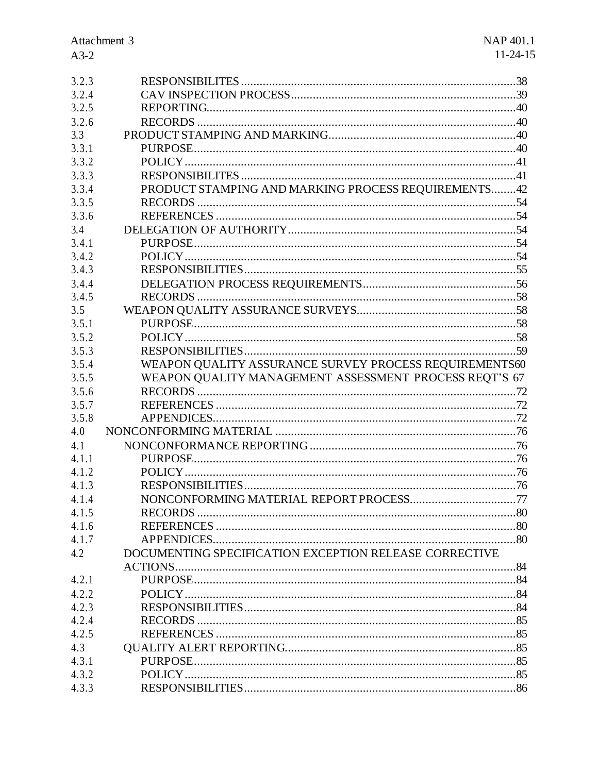| 3.2.3          |                                                        |  |
|----------------|--------------------------------------------------------|--|
| 3.2.4          |                                                        |  |
| 3.2.5          |                                                        |  |
| 3.2.6          |                                                        |  |
| 3.3            |                                                        |  |
| 3.3.1          |                                                        |  |
| 3.3.2          |                                                        |  |
| 3.3.3          |                                                        |  |
| 3.3.4          | PRODUCT STAMPING AND MARKING PROCESS REQUIREMENTS42    |  |
| 3.3.5          |                                                        |  |
| 3.3.6          |                                                        |  |
| 3.4            |                                                        |  |
| 3.4.1          |                                                        |  |
| 3.4.2          |                                                        |  |
| 3.4.3          |                                                        |  |
| 3.4.4          |                                                        |  |
| 3.4.5          |                                                        |  |
| 3.5            |                                                        |  |
| 3.5.1          |                                                        |  |
| 3.5.2          |                                                        |  |
| 3.5.3          |                                                        |  |
| 3.5.4          | WEAPON QUALITY ASSURANCE SURVEY PROCESS REQUIREMENTS60 |  |
| 3.5.5          | WEAPON QUALITY MANAGEMENT ASSESSMENT PROCESS REQT'S 67 |  |
| 3.5.6          |                                                        |  |
| 3.5.7          |                                                        |  |
| 3.5.8          |                                                        |  |
| 4.0            |                                                        |  |
| 4.1            |                                                        |  |
| 4.1.1          |                                                        |  |
|                |                                                        |  |
| 4.1.2          |                                                        |  |
| 4.1.3          |                                                        |  |
| 4.1.4          |                                                        |  |
| 4.1.5          |                                                        |  |
| 4.1.6          |                                                        |  |
| 4.1.7          |                                                        |  |
| 4.2            | DOCUMENTING SPECIFICATION EXCEPTION RELEASE CORRECTIVE |  |
|                |                                                        |  |
| 4.2.1          |                                                        |  |
| 4.2.2          |                                                        |  |
| 4.2.3          |                                                        |  |
|                |                                                        |  |
| 4.2.4          |                                                        |  |
| 4.2.5          |                                                        |  |
| 4.3            |                                                        |  |
| 4.3.1          |                                                        |  |
| 4.3.2<br>4.3.3 |                                                        |  |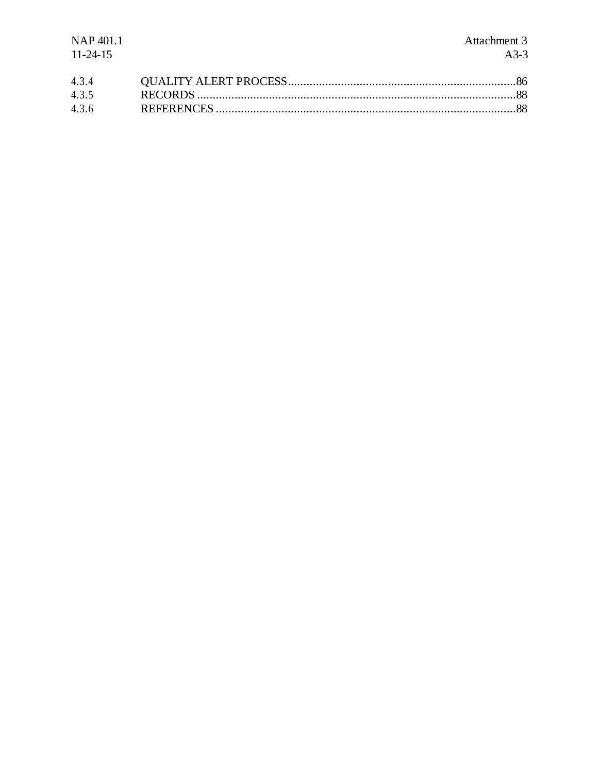| NAP 401.1      | Attachment 3 |
|----------------|--------------|
| $11 - 24 - 15$ | $A3-3$       |
| 4.3.4          |              |
| 4.3.5          |              |

4.3.6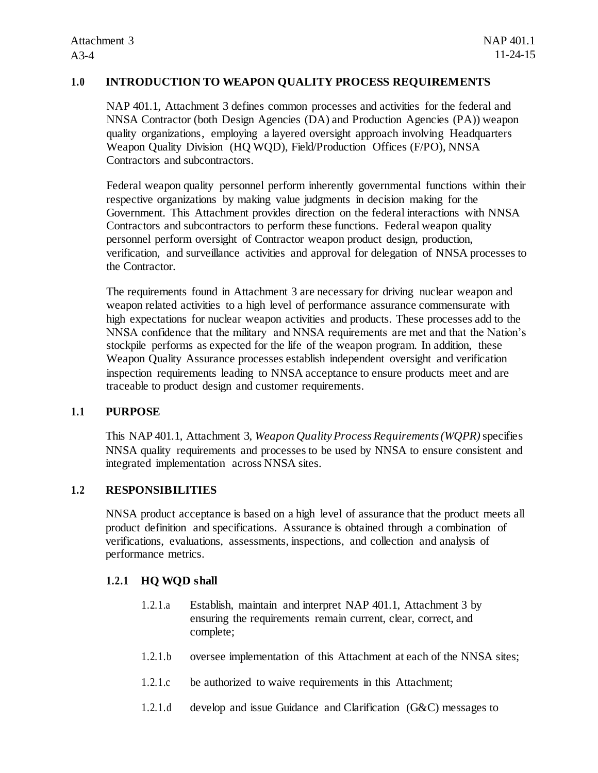## **1.0 INTRODUCTION TO WEAPON QUALITY PROCESS REQUIREMENTS**

NAP 401.1, Attachment 3 defines common processes and activities for the federal and NNSA Contractor (both Design Agencies (DA) and Production Agencies (PA)) weapon quality organizations, employing a layered oversight approach involving Headquarters Weapon Quality Division (HQ WQD), Field/Production Offices (F/PO), NNSA Contractors and subcontractors.

Federal weapon quality personnel perform inherently governmental functions within their respective organizations by making value judgments in decision making for the Government. This Attachment provides direction on the federal interactions with NNSA Contractors and subcontractors to perform these functions. Federal weapon quality personnel perform oversight of Contractor weapon product design, production, verification, and surveillance activities and approval for delegation of NNSA processes to the Contractor.

The requirements found in Attachment 3 are necessary for driving nuclear weapon and weapon related activities to a high level of performance assurance commensurate with high expectations for nuclear weapon activities and products. These processes add to the NNSA confidence that the military and NNSA requirements are met and that the Nation's stockpile performs as expected for the life of the weapon program. In addition, these Weapon Quality Assurance processes establish independent oversight and verification inspection requirements leading to NNSA acceptance to ensure products meet and are traceable to product design and customer requirements.

## **1.1 PURPOSE**

This NAP 401.1, Attachment 3, *Weapon Quality Process Requirements (WQPR)* specifies NNSA quality requirements and processes to be used by NNSA to ensure consistent and integrated implementation across NNSA sites.

## **1.2 RESPONSIBILITIES**

NNSA product acceptance is based on a high level of assurance that the product meets all product definition and specifications. Assurance is obtained through a combination of verifications, evaluations, assessments, inspections, and collection and analysis of performance metrics.

## **1.2.1 HQ WQD shall**

- 1.2.1.a Establish, maintain and interpret NAP 401.1, Attachment 3 by ensuring the requirements remain current, clear, correct, and complete;
- 1.2.1.b oversee implementation of this Attachment at each of the NNSA sites;
- 1.2.1.c be authorized to waive requirements in this Attachment;
- 1.2.1.d develop and issue Guidance and Clarification (G&C) messages to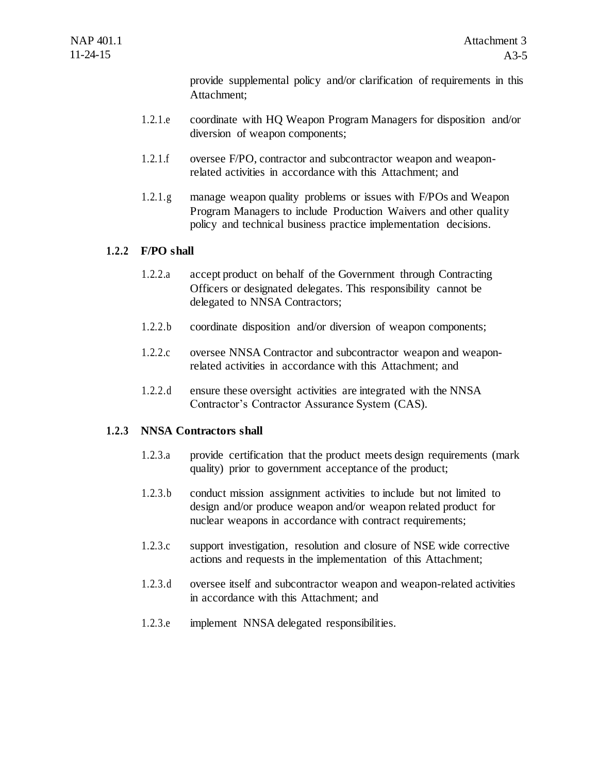provide supplemental policy and/or clarification of requirements in this Attachment;

- 1.2.1.e coordinate with HQ Weapon Program Managers for disposition and/or diversion of weapon components;
- 1.2.1.f oversee F/PO, contractor and subcontractor weapon and weaponrelated activities in accordance with this Attachment; and
- 1.2.1.g manage weapon quality problems or issues with F/POs and Weapon Program Managers to include Production Waivers and other quality policy and technical business practice implementation decisions.

## **1.2.2 F/PO shall**

- 1.2.2.a accept product on behalf of the Government through Contracting Officers or designated delegates. This responsibility cannot be delegated to NNSA Contractors;
- 1.2.2.b coordinate disposition and/or diversion of weapon components;
- 1.2.2.c oversee NNSA Contractor and subcontractor weapon and weaponrelated activities in accordance with this Attachment; and
- 1.2.2.d ensure these oversight activities are integrated with the NNSA Contractor's Contractor Assurance System (CAS).

## **1.2.3 NNSA Contractors shall**

- 1.2.3.a provide certification that the product meets design requirements (mark quality) prior to government acceptance of the product;
- 1.2.3.b conduct mission assignment activities to include but not limited to design and/or produce weapon and/or weapon related product for nuclear weapons in accordance with contract requirements;
- 1.2.3.c support investigation, resolution and closure of NSE wide corrective actions and requests in the implementation of this Attachment;
- 1.2.3.d oversee itself and subcontractor weapon and weapon-related activities in accordance with this Attachment; and
- 1.2.3.e implement NNSA delegated responsibilities.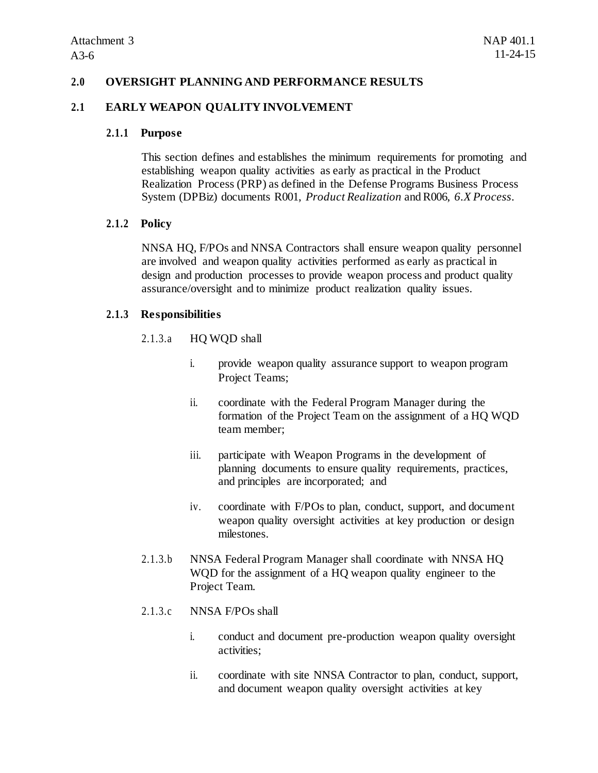## **2.0 OVERSIGHT PLANNING AND PERFORMANCE RESULTS**

#### **2.1 EARLY WEAPON QUALITY INVOLVEMENT**

#### **2.1.1 Purpose**

This section defines and establishes the minimum requirements for promoting and establishing weapon quality activities as early as practical in the Product Realization Process (PRP) as defined in the Defense Programs Business Process System (DPBiz) documents R001, *Product Realization* and R006, *6.X Process*.

#### **2.1.2 Policy**

NNSA HQ, F/POs and NNSA Contractors shall ensure weapon quality personnel are involved and weapon quality activities performed as early as practical in design and production processes to provide weapon process and product quality assurance/oversight and to minimize product realization quality issues.

#### **2.1.3 Responsibilities**

## 2.1.3.a HQ WQD shall

- i. provide weapon quality assurance support to weapon program Project Teams;
- ii. coordinate with the Federal Program Manager during the formation of the Project Team on the assignment of a HQ WQD team member;
- iii. participate with Weapon Programs in the development of planning documents to ensure quality requirements, practices, and principles are incorporated; and
- iv. coordinate with F/POs to plan, conduct, support, and document weapon quality oversight activities at key production or design milestones.
- 2.1.3.b NNSA Federal Program Manager shall coordinate with NNSA HQ WQD for the assignment of a HQ weapon quality engineer to the Project Team.

#### 2.1.3.c NNSA F/POs shall

- i. conduct and document pre-production weapon quality oversight activities;
- ii. coordinate with site NNSA Contractor to plan, conduct, support, and document weapon quality oversight activities at key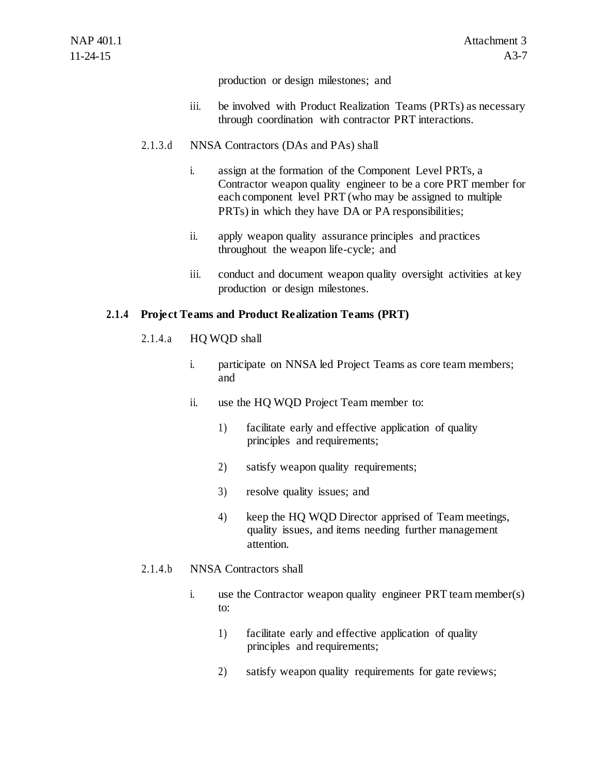production or design milestones; and

- iii. be involved with Product Realization Teams (PRTs) as necessary through coordination with contractor PRT interactions.
- 2.1.3.d NNSA Contractors (DAs and PAs) shall
	- i. assign at the formation of the Component Level PRTs, a Contractor weapon quality engineer to be a core PRT member for each component level PRT (who may be assigned to multiple PRTs) in which they have DA or PA responsibilities;
	- ii. apply weapon quality assurance principles and practices throughout the weapon life-cycle; and
	- iii. conduct and document weapon quality oversight activities at key production or design milestones.

#### **2.1.4 Project Teams and Product Realization Teams (PRT)**

- 2.1.4.a HQ WQD shall
	- i. participate on NNSA led Project Teams as core team members; and
	- ii. use the HQ WQD Project Team member to:
		- 1) facilitate early and effective application of quality principles and requirements;
		- 2) satisfy weapon quality requirements;
		- 3) resolve quality issues; and
		- 4) keep the HQ WQD Director apprised of Team meetings, quality issues, and items needing further management attention.

#### 2.1.4.b NNSA Contractors shall

- i. use the Contractor weapon quality engineer PRT team member(s) to:
	- 1) facilitate early and effective application of quality principles and requirements;
	- 2) satisfy weapon quality requirements for gate reviews;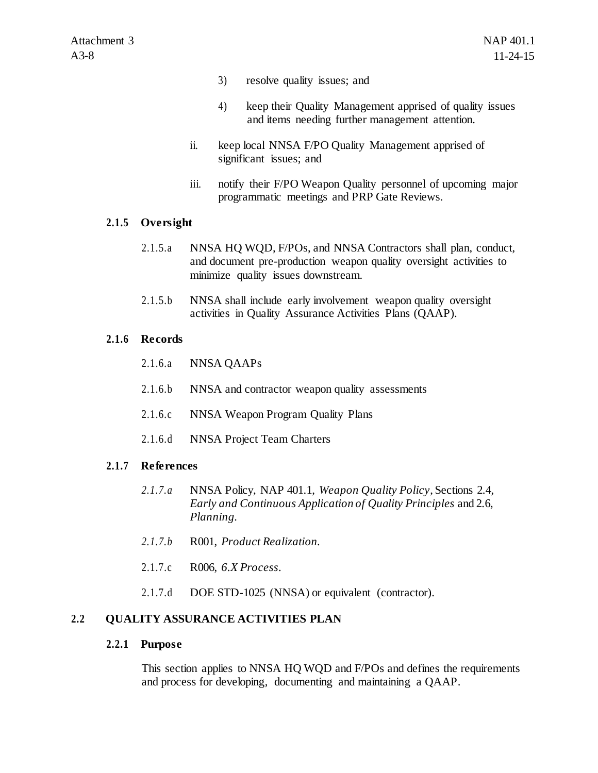- 3) resolve quality issues; and
- 4) keep their Quality Management apprised of quality issues and items needing further management attention.
- ii. keep local NNSA F/PO Quality Management apprised of significant issues; and
- iii. notify their F/PO Weapon Quality personnel of upcoming major programmatic meetings and PRP Gate Reviews.

## **2.1.5 Oversight**

- 2.1.5.a NNSA HQ WQD, F/POs, and NNSA Contractors shall plan, conduct, and document pre-production weapon quality oversight activities to minimize quality issues downstream.
- 2.1.5.b NNSA shall include early involvement weapon quality oversight activities in Quality Assurance Activities Plans (QAAP).

#### **2.1.6 Records**

- 2.1.6.a NNSA QAAPs
- 2.1.6.b NNSA and contractor weapon quality assessments
- 2.1.6.c NNSA Weapon Program Quality Plans
- 2.1.6.d NNSA Project Team Charters

## **2.1.7 References**

- *2.1.7.a* NNSA Policy, NAP 401.1, *Weapon Quality Policy*, Sections 2.4, *Early and Continuous Application of Quality Principles* and 2.6, *Planning.*
- *2.1.7.b* R001, *Product Realization.*
- 2.1.7.c R006, *6.X Process*.
- 2.1.7.d DOE STD-1025 (NNSA) or equivalent (contractor).

## **2.2 QUALITY ASSURANCE ACTIVITIES PLAN**

#### **2.2.1 Purpose**

This section applies to NNSA HQ WQD and F/POs and defines the requirements and process for developing, documenting and maintaining a QAAP.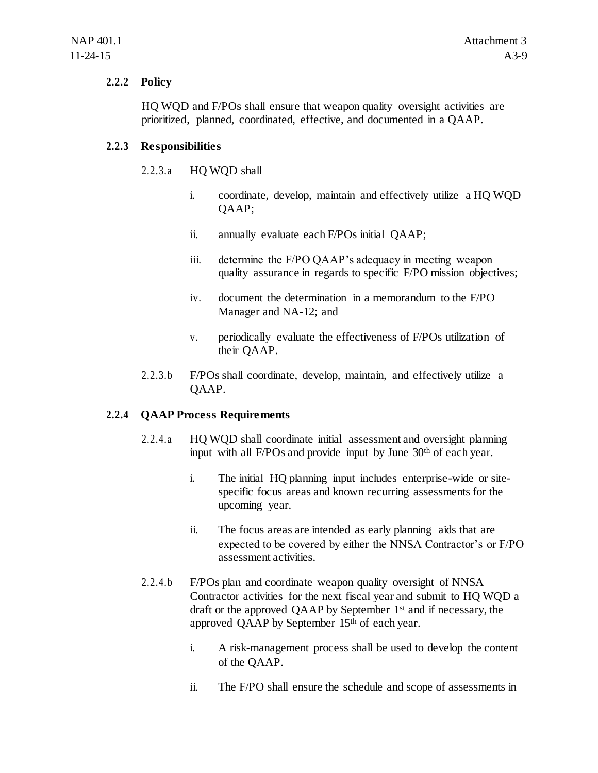#### **2.2.2 Policy**

HQ WQD and F/POs shall ensure that weapon quality oversight activities are prioritized, planned, coordinated, effective, and documented in a QAAP.

#### **2.2.3 Responsibilities**

#### 2.2.3.a HQ WQD shall

- i. coordinate, develop, maintain and effectively utilize a HQ WQD QAAP;
- ii. annually evaluate each F/POs initial QAAP;
- iii. determine the F/PO QAAP's adequacy in meeting weapon quality assurance in regards to specific F/PO mission objectives;
- iv. document the determination in a memorandum to the F/PO Manager and NA-12; and
- v. periodically evaluate the effectiveness of F/POs utilization of their QAAP.
- 2.2.3.b F/POs shall coordinate, develop, maintain, and effectively utilize a QAAP.

## **2.2.4 QAAP Process Requirements**

- 2.2.4.a HQ WQD shall coordinate initial assessment and oversight planning input with all F/POs and provide input by June 30<sup>th</sup> of each year.
	- i. The initial HQ planning input includes enterprise-wide or sitespecific focus areas and known recurring assessments for the upcoming year.
	- ii. The focus areas are intended as early planning aids that are expected to be covered by either the NNSA Contractor's or F/PO assessment activities.
- 2.2.4.b F/POs plan and coordinate weapon quality oversight of NNSA Contractor activities for the next fiscal year and submit to HQ WQD a draft or the approved QAAP by September 1st and if necessary, the approved QAAP by September 15th of each year.
	- i. A risk-management process shall be used to develop the content of the QAAP.
	- ii. The F/PO shall ensure the schedule and scope of assessments in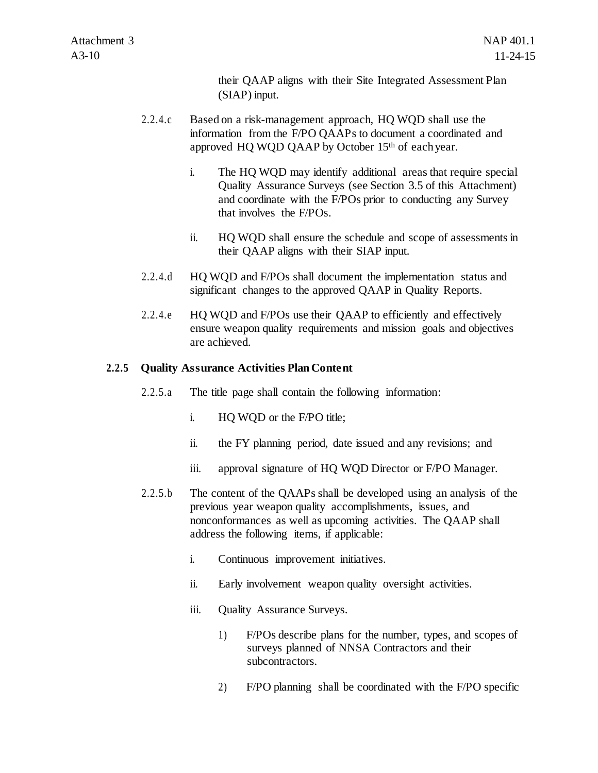their QAAP aligns with their Site Integrated Assessment Plan (SIAP) input.

- 2.2.4.c Based on a risk-management approach, HQ WQD shall use the information from the F/PO QAAPs to document a coordinated and approved HQ WQD QAAP by October 15th of each year.
	- i. The HQ WQD may identify additional areas that require special Quality Assurance Surveys (see Section 3.5 of this Attachment) and coordinate with the F/POs prior to conducting any Survey that involves the F/POs.
	- ii. HQ WQD shall ensure the schedule and scope of assessments in their QAAP aligns with their SIAP input.
- 2.2.4.d HQ WQD and F/POs shall document the implementation status and significant changes to the approved QAAP in Quality Reports.
- 2.2.4.e HQ WQD and F/POs use their QAAP to efficiently and effectively ensure weapon quality requirements and mission goals and objectives are achieved.

## **2.2.5 Quality Assurance Activities Plan Content**

- 2.2.5.a The title page shall contain the following information:
	- i. HQ WQD or the F/PO title;
	- ii. the FY planning period, date issued and any revisions; and
	- iii. approval signature of HQ WQD Director or F/PO Manager.
- 2.2.5.b The content of the QAAPs shall be developed using an analysis of the previous year weapon quality accomplishments, issues, and nonconformances as well as upcoming activities. The QAAP shall address the following items, if applicable:
	- i. Continuous improvement initiatives.
	- ii. Early involvement weapon quality oversight activities.
	- iii. Quality Assurance Surveys.
		- 1) F/POs describe plans for the number, types, and scopes of surveys planned of NNSA Contractors and their subcontractors.
		- 2) F/PO planning shall be coordinated with the F/PO specific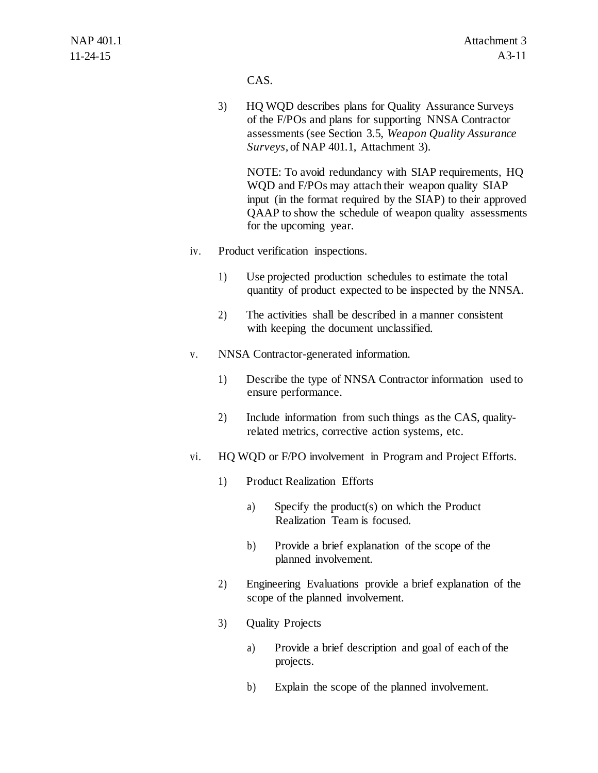CAS.

3) HQ WQD describes plans for Quality Assurance Surveys of the F/POs and plans for supporting NNSA Contractor assessments (see Section 3.5, *Weapon Quality Assurance Surveys*, of NAP 401.1, Attachment 3).

NOTE: To avoid redundancy with SIAP requirements, HQ WQD and F/POs may attach their weapon quality SIAP input (in the format required by the SIAP) to their approved QAAP to show the schedule of weapon quality assessments for the upcoming year.

- iv. Product verification inspections.
	- 1) Use projected production schedules to estimate the total quantity of product expected to be inspected by the NNSA.
	- 2) The activities shall be described in a manner consistent with keeping the document unclassified.
- v. NNSA Contractor-generated information.
	- 1) Describe the type of NNSA Contractor information used to ensure performance.
	- 2) Include information from such things as the CAS, qualityrelated metrics, corrective action systems, etc.
- vi. HQ WQD or F/PO involvement in Program and Project Efforts.
	- 1) Product Realization Efforts
		- a) Specify the product(s) on which the Product Realization Team is focused.
		- b) Provide a brief explanation of the scope of the planned involvement.
	- 2) Engineering Evaluations provide a brief explanation of the scope of the planned involvement.
	- 3) Quality Projects
		- a) Provide a brief description and goal of each of the projects.
		- b) Explain the scope of the planned involvement.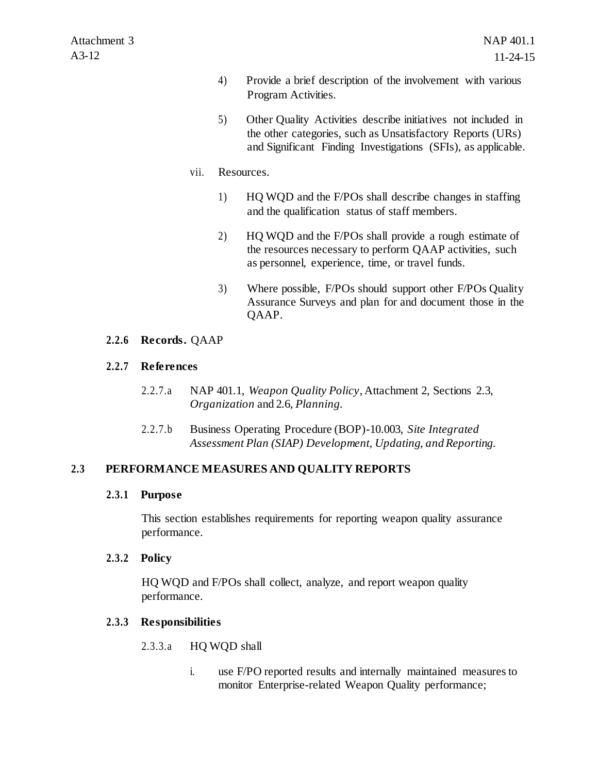- 4) Provide a brief description of the involvement with various Program Activities.
- 5) Other Quality Activities describe initiatives not included in the other categories, such as Unsatisfactory Reports (URs) and Significant Finding Investigations (SFIs), as applicable.
- vii. Resources.
	- 1) HQ WQD and the F/POs shall describe changes in staffing and the qualification status of staff members.
	- 2) HQ WQD and the F/POs shall provide a rough estimate of the resources necessary to perform QAAP activities, such as personnel, experience, time, or travel funds.
	- 3) Where possible, F/POs should support other F/POs Quality Assurance Surveys and plan for and document those in the QAAP.

## **2.2.6 Records.** QAAP

## **2.2.7 References**

- 2.2.7.a NAP 401.1, *Weapon Quality Policy*, Attachment 2, Sections 2.3, *Organization* and 2.6, *Planning.*
- 2.2.7.b Business Operating Procedure (BOP)-10.003, *Site Integrated Assessment Plan (SIAP) Development, Updating, and Reporting*.

## **2.3 PERFORMANCE MEASURES AND QUALITY REPORTS**

## **2.3.1 Purpose**

This section establishes requirements for reporting weapon quality assurance performance.

## **2.3.2 Policy**

HQ WQD and F/POs shall collect, analyze, and report weapon quality performance.

## **2.3.3 Responsibilities**

- 2.3.3.a HQ WQD shall
	- i. use F/PO reported results and internally maintained measures to monitor Enterprise-related Weapon Quality performance;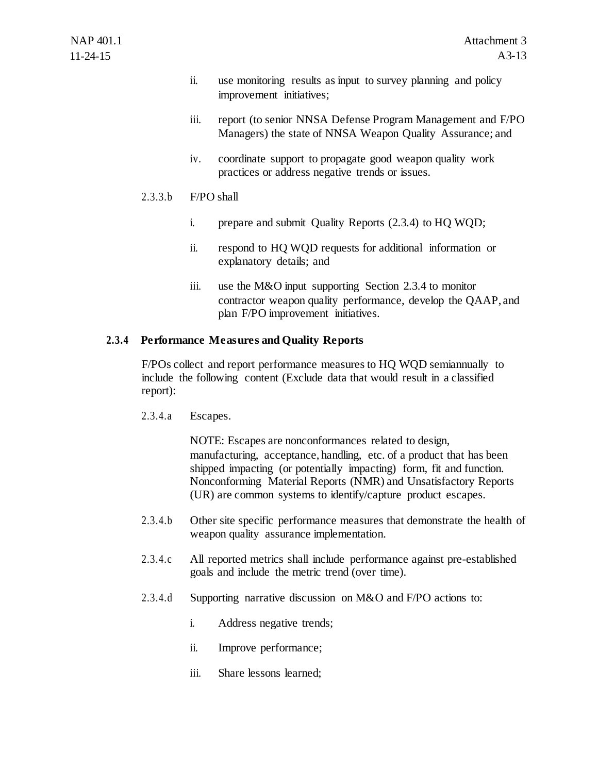- ii. use monitoring results as input to survey planning and policy improvement initiatives;
- iii. report (to senior NNSA Defense Program Management and F/PO Managers) the state of NNSA Weapon Quality Assurance; and
- iv. coordinate support to propagate good weapon quality work practices or address negative trends or issues.

## $2.3.3.b$   $F/PO$  shall

- i. prepare and submit Quality Reports (2.3.4) to HQ WQD;
- ii. respond to HQ WQD requests for additional information or explanatory details; and
- iii. use the M&O input supporting Section 2.3.4 to monitor contractor weapon quality performance, develop the QAAP, and plan F/PO improvement initiatives.

#### **2.3.4 Performance Measures and Quality Reports**

F/POs collect and report performance measures to HQ WQD semiannually to include the following content (Exclude data that would result in a classified report):

2.3.4.a Escapes.

NOTE: Escapes are nonconformances related to design, manufacturing, acceptance, handling, etc. of a product that has been shipped impacting (or potentially impacting) form, fit and function. Nonconforming Material Reports (NMR) and Unsatisfactory Reports (UR) are common systems to identify/capture product escapes.

- 2.3.4.b Other site specific performance measures that demonstrate the health of weapon quality assurance implementation.
- 2.3.4.c All reported metrics shall include performance against pre-established goals and include the metric trend (over time).
- 2.3.4.d Supporting narrative discussion on M&O and F/PO actions to:
	- i. Address negative trends;
	- ii. Improve performance;
	- iii. Share lessons learned;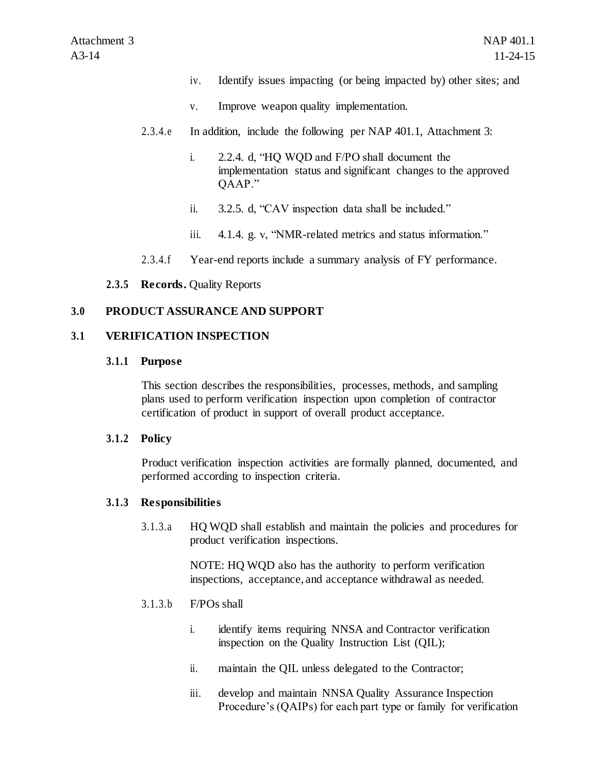- iv. Identify issues impacting (or being impacted by) other sites; and
- v. Improve weapon quality implementation.
- 2.3.4.e In addition, include the following per NAP 401.1, Attachment 3:
	- i. 2.2.4. d, "HQ WQD and F/PO shall document the implementation status and significant changes to the approved QAAP."
	- ii. 3.2.5. d, "CAV inspection data shall be included."
	- iii. 4.1.4. g. v, "NMR-related metrics and status information."
- 2.3.4.f Year-end reports include a summary analysis of FY performance.

## **2.3.5 Records.** Quality Reports

## **3.0 PRODUCT ASSURANCE AND SUPPORT**

## **3.1 VERIFICATION INSPECTION**

#### **3.1.1 Purpose**

This section describes the responsibilities, processes, methods, and sampling plans used to perform verification inspection upon completion of contractor certification of product in support of overall product acceptance.

## **3.1.2 Policy**

Product verification inspection activities are formally planned, documented, and performed according to inspection criteria.

## **3.1.3 Responsibilities**

3.1.3.a HQ WQD shall establish and maintain the policies and procedures for product verification inspections.

> NOTE: HQ WQD also has the authority to perform verification inspections, acceptance, and acceptance withdrawal as needed.

## 3.1.3.b F/POs shall

- i. identify items requiring NNSA and Contractor verification inspection on the Quality Instruction List (QIL);
- ii. maintain the QIL unless delegated to the Contractor;
- iii. develop and maintain NNSA Quality Assurance Inspection Procedure's (QAIPs) for each part type or family for verification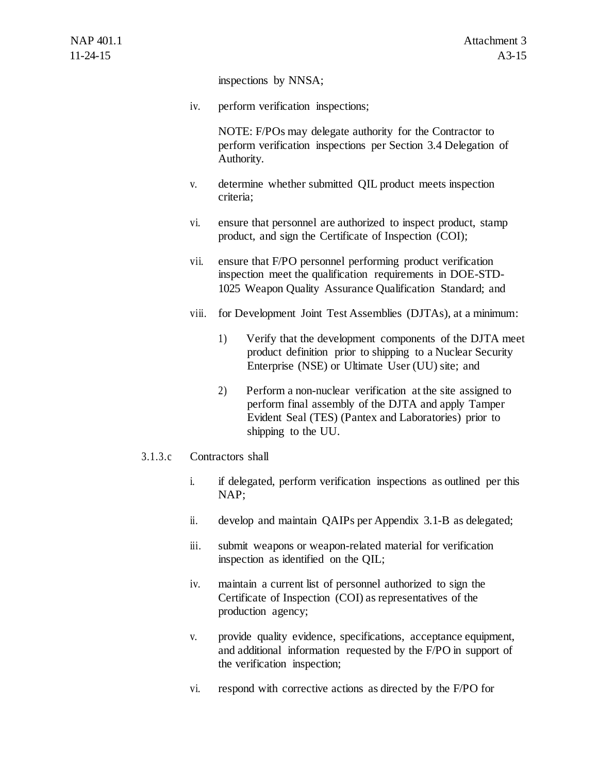inspections by NNSA;

iv. perform verification inspections;

NOTE: F/POs may delegate authority for the Contractor to perform verification inspections per Section 3.4 Delegation of Authority.

- v. determine whether submitted QIL product meets inspection criteria;
- vi. ensure that personnel are authorized to inspect product, stamp product, and sign the Certificate of Inspection (COI);
- vii. ensure that F/PO personnel performing product verification inspection meet the qualification requirements in DOE-STD-1025 Weapon Quality Assurance Qualification Standard; and
- viii. for Development Joint Test Assemblies (DJTAs), at a minimum:
	- 1) Verify that the development components of the DJTA meet product definition prior to shipping to a Nuclear Security Enterprise (NSE) or Ultimate User (UU) site; and
	- 2) Perform a non-nuclear verification at the site assigned to perform final assembly of the DJTA and apply Tamper Evident Seal (TES) (Pantex and Laboratories) prior to shipping to the UU.

## 3.1.3.c Contractors shall

- i. if delegated, perform verification inspections as outlined per this NAP;
- ii. develop and maintain QAIPs per Appendix 3.1-B as delegated;
- iii. submit weapons or weapon-related material for verification inspection as identified on the QIL;
- iv. maintain a current list of personnel authorized to sign the Certificate of Inspection (COI) as representatives of the production agency;
- v. provide quality evidence, specifications, acceptance equipment, and additional information requested by the F/PO in support of the verification inspection;
- vi. respond with corrective actions as directed by the F/PO for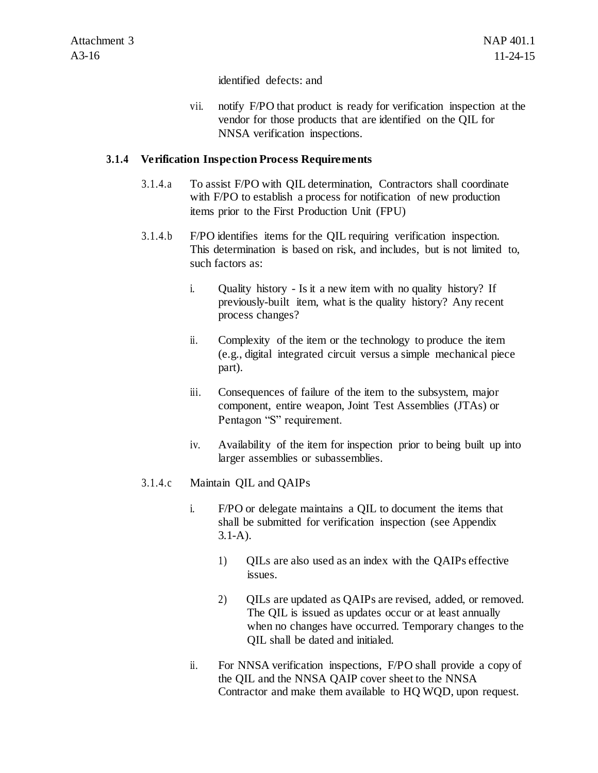identified defects: and

vii. notify F/PO that product is ready for verification inspection at the vendor for those products that are identified on the QIL for NNSA verification inspections.

#### **3.1.4 Verification Inspection Process Requirements**

- 3.1.4.a To assist F/PO with QIL determination, Contractors shall coordinate with F/PO to establish a process for notification of new production items prior to the First Production Unit (FPU)
- 3.1.4.b F/PO identifies items for the QIL requiring verification inspection. This determination is based on risk, and includes, but is not limited to, such factors as:
	- i. Quality history Is it a new item with no quality history? If previously-built item, what is the quality history? Any recent process changes?
	- ii. Complexity of the item or the technology to produce the item (e.g., digital integrated circuit versus a simple mechanical piece part).
	- iii. Consequences of failure of the item to the subsystem, major component, entire weapon, Joint Test Assemblies (JTAs) or Pentagon "S" requirement.
	- iv. Availability of the item for inspection prior to being built up into larger assemblies or subassemblies.
- 3.1.4.c Maintain QIL and QAIPs
	- i. F/PO or delegate maintains a QIL to document the items that shall be submitted for verification inspection (see Appendix 3.1-A).
		- 1) QILs are also used as an index with the QAIPs effective issues.
		- 2) OILs are updated as OAIPs are revised, added, or removed. The QIL is issued as updates occur or at least annually when no changes have occurred. Temporary changes to the QIL shall be dated and initialed.
	- ii. For NNSA verification inspections, F/PO shall provide a copy of the QIL and the NNSA QAIP cover sheet to the NNSA Contractor and make them available to HQ WQD, upon request.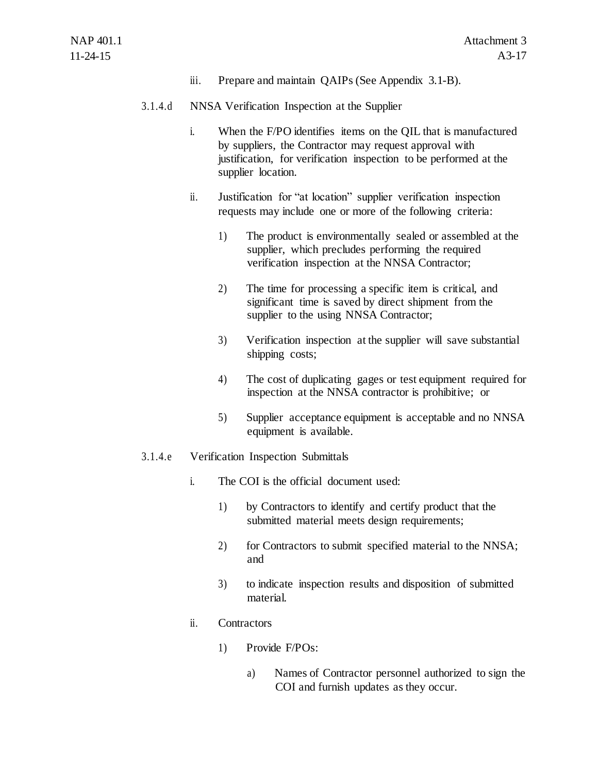iii. Prepare and maintain QAIPs (See Appendix 3.1-B).

#### 3.1.4.d NNSA Verification Inspection at the Supplier

- i. When the F/PO identifies items on the QIL that is manufactured by suppliers, the Contractor may request approval with justification, for verification inspection to be performed at the supplier location.
- ii. Justification for "at location" supplier verification inspection requests may include one or more of the following criteria:
	- 1) The product is environmentally sealed or assembled at the supplier, which precludes performing the required verification inspection at the NNSA Contractor;
	- 2) The time for processing a specific item is critical, and significant time is saved by direct shipment from the supplier to the using NNSA Contractor;
	- 3) Verification inspection at the supplier will save substantial shipping costs;
	- 4) The cost of duplicating gages or test equipment required for inspection at the NNSA contractor is prohibitive; or
	- 5) Supplier acceptance equipment is acceptable and no NNSA equipment is available.
- 3.1.4.e Verification Inspection Submittals
	- i. The COI is the official document used:
		- 1) by Contractors to identify and certify product that the submitted material meets design requirements;
		- 2) for Contractors to submit specified material to the NNSA; and
		- 3) to indicate inspection results and disposition of submitted material.
	- ii. Contractors
		- 1) Provide F/POs:
			- a) Names of Contractor personnel authorized to sign the COI and furnish updates as they occur.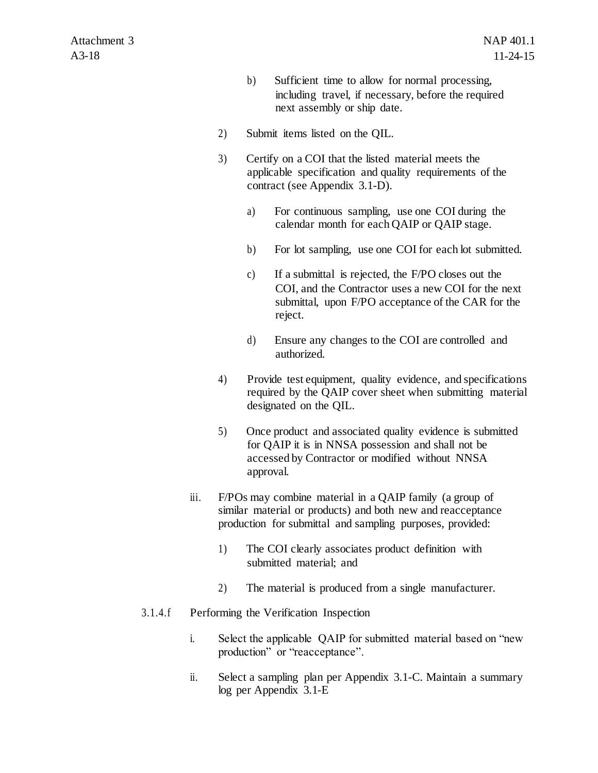- b) Sufficient time to allow for normal processing, including travel, if necessary, before the required next assembly or ship date.
- 2) Submit items listed on the QIL.
- 3) Certify on a COI that the listed material meets the applicable specification and quality requirements of the contract (see Appendix 3.1-D).
	- a) For continuous sampling, use one COI during the calendar month for each QAIP or QAIP stage.
	- b) For lot sampling, use one COI for each lot submitted.
	- c) If a submittal is rejected, the F/PO closes out the COI, and the Contractor uses a new COI for the next submittal, upon F/PO acceptance of the CAR for the reject.
	- d) Ensure any changes to the COI are controlled and authorized.
- 4) Provide test equipment, quality evidence, and specifications required by the QAIP cover sheet when submitting material designated on the QIL.
- 5) Once product and associated quality evidence is submitted for QAIP it is in NNSA possession and shall not be accessed by Contractor or modified without NNSA approval.
- iii. F/POs may combine material in a QAIP family (a group of similar material or products) and both new and reacceptance production for submittal and sampling purposes, provided:
	- 1) The COI clearly associates product definition with submitted material; and
	- 2) The material is produced from a single manufacturer.

## 3.1.4.f Performing the Verification Inspection

- i. Select the applicable QAIP for submitted material based on "new production" or "reacceptance".
- ii. Select a sampling plan per Appendix 3.1-C. Maintain a summary log per Appendix 3.1-E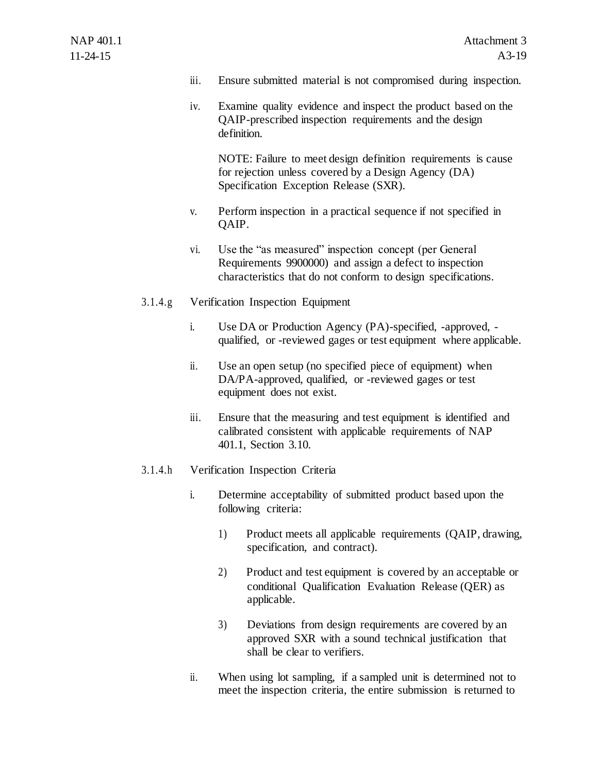- iii. Ensure submitted material is not compromised during inspection.
- iv. Examine quality evidence and inspect the product based on the QAIP-prescribed inspection requirements and the design definition.

NOTE: Failure to meet design definition requirements is cause for rejection unless covered by a Design Agency (DA) Specification Exception Release (SXR).

- v. Perform inspection in a practical sequence if not specified in QAIP.
- vi. Use the "as measured" inspection concept (per General Requirements 9900000) and assign a defect to inspection characteristics that do not conform to design specifications.
- 3.1.4.g Verification Inspection Equipment
	- i. Use DA or Production Agency (PA)-specified, -approved, qualified, or -reviewed gages or test equipment where applicable.
	- ii. Use an open setup (no specified piece of equipment) when DA/PA-approved, qualified, or -reviewed gages or test equipment does not exist.
	- iii. Ensure that the measuring and test equipment is identified and calibrated consistent with applicable requirements of NAP 401.1, Section 3.10.

## 3.1.4.h Verification Inspection Criteria

- i. Determine acceptability of submitted product based upon the following criteria:
	- 1) Product meets all applicable requirements (QAIP, drawing, specification, and contract).
	- 2) Product and test equipment is covered by an acceptable or conditional Qualification Evaluation Release (QER) as applicable.
	- 3) Deviations from design requirements are covered by an approved SXR with a sound technical justification that shall be clear to verifiers.
- ii. When using lot sampling, if a sampled unit is determined not to meet the inspection criteria, the entire submission is returned to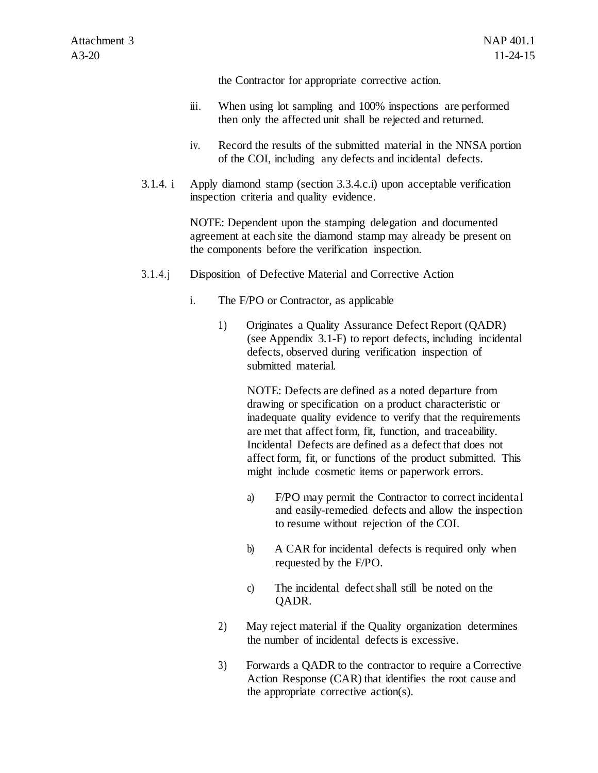the Contractor for appropriate corrective action.

- iii. When using lot sampling and 100% inspections are performed then only the affected unit shall be rejected and returned.
- iv. Record the results of the submitted material in the NNSA portion of the COI, including any defects and incidental defects.
- 3.1.4. i Apply diamond stamp (section 3.3.4.c.i) upon acceptable verification inspection criteria and quality evidence.

NOTE: Dependent upon the stamping delegation and documented agreement at each site the diamond stamp may already be present on the components before the verification inspection.

- 3.1.4.j Disposition of Defective Material and Corrective Action
	- i. The F/PO or Contractor, as applicable
		- 1) Originates a Quality Assurance Defect Report (QADR) (see Appendix 3.1-F) to report defects, including incidental defects, observed during verification inspection of submitted material.

NOTE: Defects are defined as a noted departure from drawing or specification on a product characteristic or inadequate quality evidence to verify that the requirements are met that affect form, fit, function, and traceability. Incidental Defects are defined as a defect that does not affect form, fit, or functions of the product submitted. This might include cosmetic items or paperwork errors.

- a) F/PO may permit the Contractor to correct incidental and easily-remedied defects and allow the inspection to resume without rejection of the COI.
- b) A CAR for incidental defects is required only when requested by the F/PO.
- c) The incidental defect shall still be noted on the QADR.
- 2) May reject material if the Quality organization determines the number of incidental defects is excessive.
- 3) Forwards a QADR to the contractor to require a Corrective Action Response (CAR) that identifies the root cause and the appropriate corrective action(s).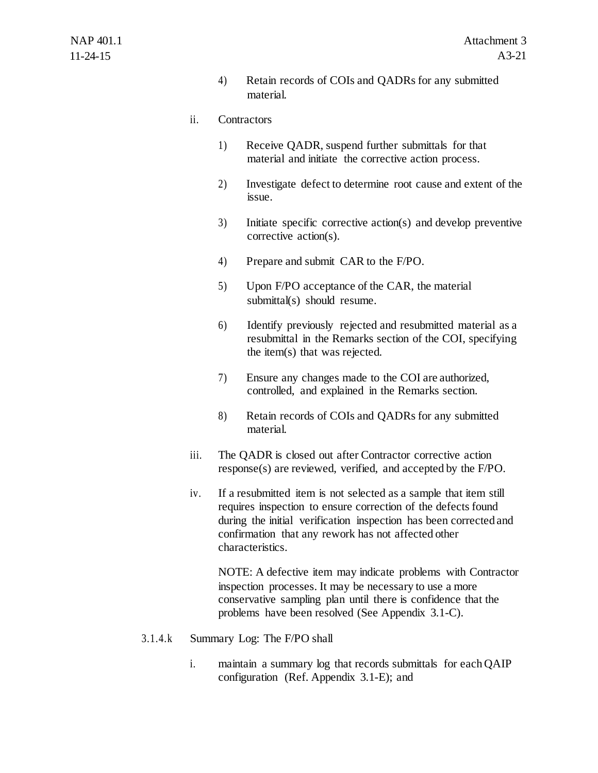4) Retain records of COIs and QADRs for any submitted material.

#### ii. Contractors

- 1) Receive QADR, suspend further submittals for that material and initiate the corrective action process.
- 2) Investigate defect to determine root cause and extent of the issue.
- 3) Initiate specific corrective action(s) and develop preventive corrective action(s).
- 4) Prepare and submit CAR to the F/PO.
- 5) Upon F/PO acceptance of the CAR, the material submittal(s) should resume.
- 6) Identify previously rejected and resubmitted material as a resubmittal in the Remarks section of the COI, specifying the item(s) that was rejected.
- 7) Ensure any changes made to the COI are authorized, controlled, and explained in the Remarks section.
- 8) Retain records of COIs and QADRs for any submitted material.
- iii. The QADR is closed out after Contractor corrective action response(s) are reviewed, verified, and accepted by the F/PO.
- iv. If a resubmitted item is not selected as a sample that item still requires inspection to ensure correction of the defects found during the initial verification inspection has been corrected and confirmation that any rework has not affected other characteristics.

NOTE: A defective item may indicate problems with Contractor inspection processes. It may be necessary to use a more conservative sampling plan until there is confidence that the problems have been resolved (See Appendix 3.1-C).

- 3.1.4.k Summary Log: The F/PO shall
	- i. maintain a summary log that records submittals for each QAIP configuration (Ref. Appendix 3.1-E); and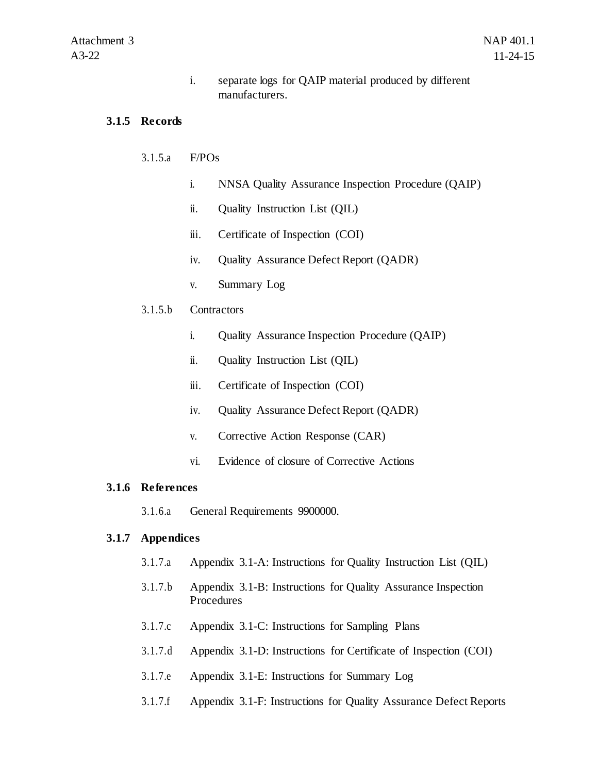i. separate logs for QAIP material produced by different manufacturers.

#### **3.1.5 Records**

#### 3.1.5.a F/POs

- i. NNSA Quality Assurance Inspection Procedure (QAIP)
- ii. Quality Instruction List (QIL)
- iii. Certificate of Inspection (COI)
- iv. Quality Assurance Defect Report (QADR)
- v. Summary Log

#### 3.1.5.b Contractors

- i. Quality Assurance Inspection Procedure (QAIP)
- ii. Quality Instruction List (QIL)
- iii. Certificate of Inspection (COI)
- iv. Quality Assurance Defect Report (QADR)
- v. Corrective Action Response (CAR)
- vi. Evidence of closure of Corrective Actions

#### **3.1.6 References**

3.1.6.a General Requirements 9900000.

#### **3.1.7 Appendices**

- 3.1.7.a Appendix 3.1-A: Instructions for Quality Instruction List (QIL)
- 3.1.7.b Appendix 3.1-B: Instructions for Quality Assurance Inspection Procedures
- 3.1.7.c Appendix 3.1-C: Instructions for Sampling Plans
- 3.1.7.d Appendix 3.1-D: Instructions for Certificate of Inspection (COI)
- 3.1.7.e Appendix 3.1-E: Instructions for Summary Log
- 3.1.7.f Appendix 3.1-F: Instructions for Quality Assurance Defect Reports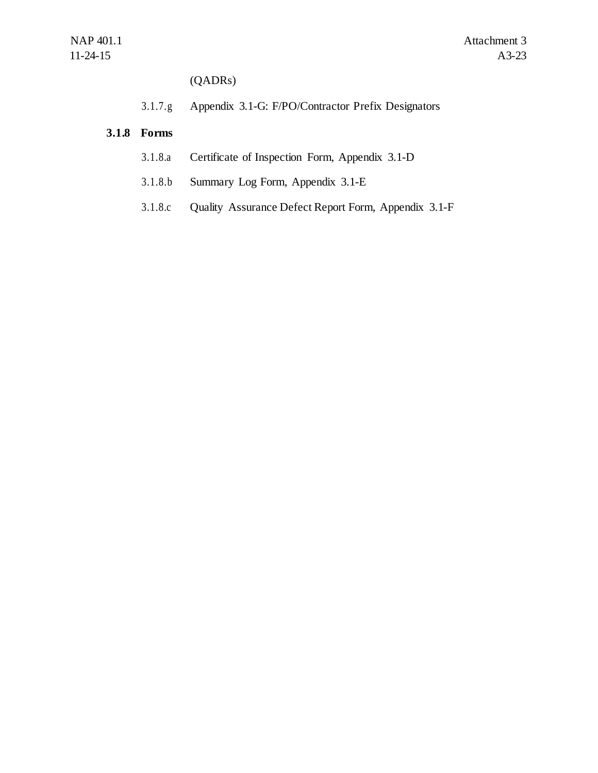(QADRs)

3.1.7.g Appendix 3.1-G: F/PO/Contractor Prefix Designators

## **3.1.8 Forms**

- 3.1.8.a Certificate of Inspection Form, Appendix 3.1-D
- 3.1.8.b Summary Log Form, Appendix 3.1-E
- 3.1.8.c Quality Assurance Defect Report Form, Appendix 3.1-F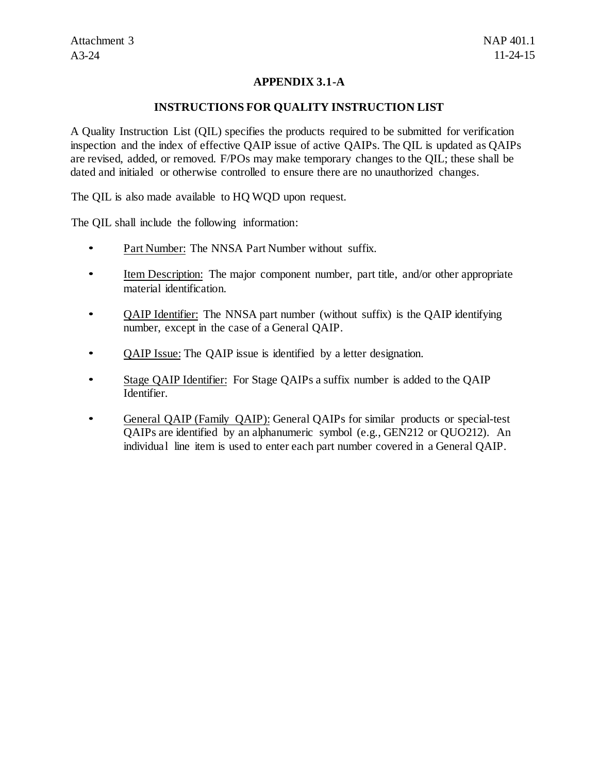## **APPENDIX 3.1-A**

#### **INSTRUCTIONS FOR QUALITY INSTRUCTION LIST**

A Quality Instruction List (QIL) specifies the products required to be submitted for verification inspection and the index of effective QAIP issue of active QAIPs. The QIL is updated as QAIPs are revised, added, or removed. F/POs may make temporary changes to the QIL; these shall be dated and initialed or otherwise controlled to ensure there are no unauthorized changes.

The QIL is also made available to HQ WQD upon request.

The QIL shall include the following information:

- Part Number: The NNSA Part Number without suffix.
- Item Description: The major component number, part title, and/or other appropriate material identification.
- QAIP Identifier: The NNSA part number (without suffix) is the QAIP identifying number, except in the case of a General QAIP.
- **QAIP Issue: The QAIP issue is identified by a letter designation.**
- Stage QAIP Identifier: For Stage QAIPs a suffix number is added to the QAIP Identifier.
- General QAIP (Family QAIP): General QAIPs for similar products or special-test QAIPs are identified by an alphanumeric symbol (e.g., GEN212 or QUO212). An individual line item is used to enter each part number covered in a General QAIP.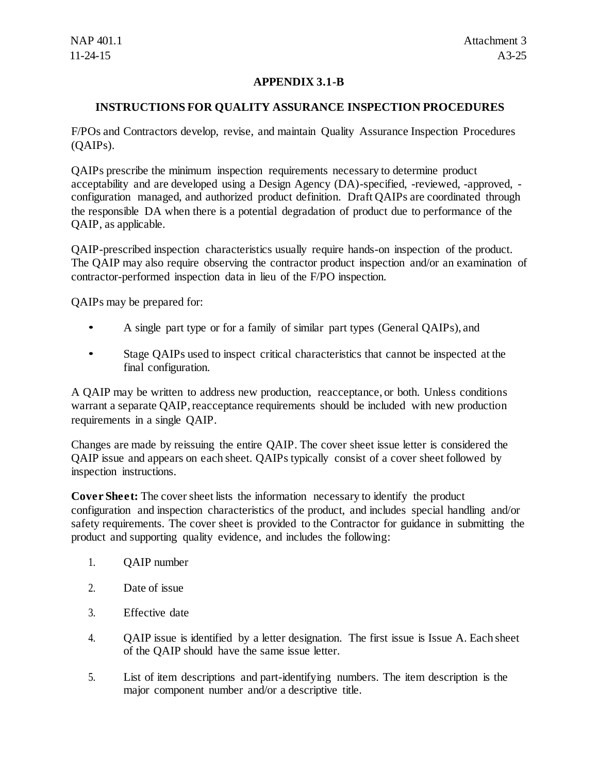## **APPENDIX 3.1-B**

## **INSTRUCTIONS FOR QUALITY ASSURANCE INSPECTION PROCEDURES**

F/POs and Contractors develop, revise, and maintain Quality Assurance Inspection Procedures (QAIPs).

QAIPs prescribe the minimum inspection requirements necessary to determine product acceptability and are developed using a Design Agency (DA)-specified, -reviewed, -approved, configuration managed, and authorized product definition. Draft QAIPs are coordinated through the responsible DA when there is a potential degradation of product due to performance of the QAIP, as applicable.

QAIP-prescribed inspection characteristics usually require hands-on inspection of the product. The QAIP may also require observing the contractor product inspection and/or an examination of contractor-performed inspection data in lieu of the F/PO inspection.

QAIPs may be prepared for:

- A single part type or for a family of similar part types (General QAIPs), and
- Stage QAIPs used to inspect critical characteristics that cannot be inspected at the final configuration.

A QAIP may be written to address new production, reacceptance, or both. Unless conditions warrant a separate QAIP, reacceptance requirements should be included with new production requirements in a single QAIP.

Changes are made by reissuing the entire QAIP. The cover sheet issue letter is considered the QAIP issue and appears on each sheet. QAIPs typically consist of a cover sheet followed by inspection instructions.

**Cover Sheet:** The cover sheet lists the information necessary to identify the product configuration and inspection characteristics of the product, and includes special handling and/or safety requirements. The cover sheet is provided to the Contractor for guidance in submitting the product and supporting quality evidence, and includes the following:

- 1. QAIP number
- 2. Date of issue
- 3. Effective date
- 4. QAIP issue is identified by a letter designation. The first issue is Issue A. Each sheet of the QAIP should have the same issue letter.
- 5. List of item descriptions and part-identifying numbers. The item description is the major component number and/or a descriptive title.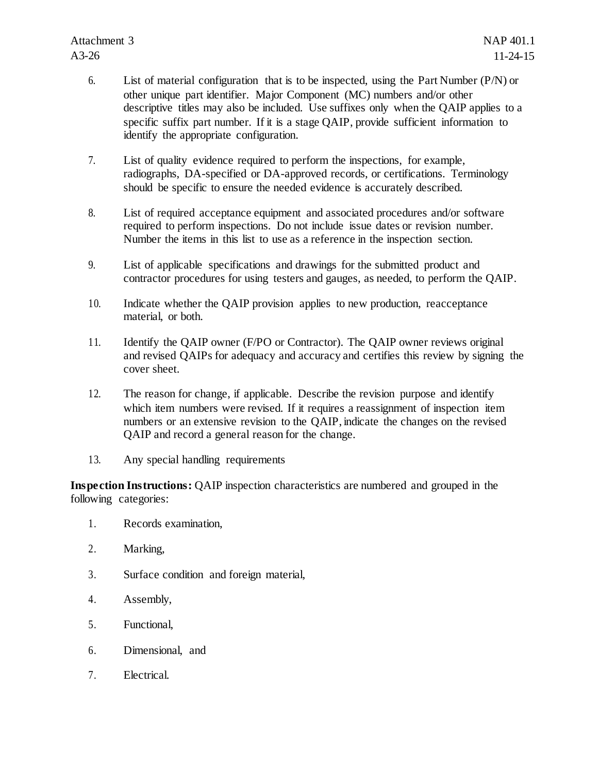- 6. List of material configuration that is to be inspected, using the Part Number (P/N) or other unique part identifier. Major Component (MC) numbers and/or other descriptive titles may also be included. Use suffixes only when the QAIP applies to a specific suffix part number. If it is a stage QAIP, provide sufficient information to identify the appropriate configuration.
- 7. List of quality evidence required to perform the inspections, for example, radiographs, DA-specified or DA-approved records, or certifications. Terminology should be specific to ensure the needed evidence is accurately described.
- 8. List of required acceptance equipment and associated procedures and/or software required to perform inspections. Do not include issue dates or revision number. Number the items in this list to use as a reference in the inspection section.
- 9. List of applicable specifications and drawings for the submitted product and contractor procedures for using testers and gauges, as needed, to perform the QAIP.
- 10. Indicate whether the QAIP provision applies to new production, reacceptance material, or both.
- 11. Identify the QAIP owner (F/PO or Contractor). The QAIP owner reviews original and revised QAIPs for adequacy and accuracy and certifies this review by signing the cover sheet.
- 12. The reason for change, if applicable. Describe the revision purpose and identify which item numbers were revised. If it requires a reassignment of inspection item numbers or an extensive revision to the QAIP, indicate the changes on the revised QAIP and record a general reason for the change.
- 13. Any special handling requirements

**Inspection Instructions:** QAIP inspection characteristics are numbered and grouped in the following categories:

- 1. Records examination,
- 2. Marking,
- 3. Surface condition and foreign material,
- 4. Assembly,
- 5. Functional,
- 6. Dimensional, and
- 7. Electrical.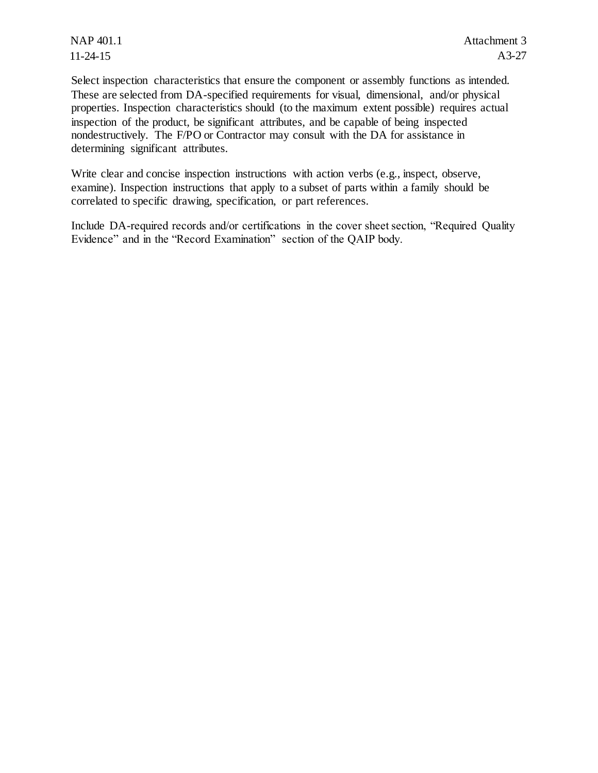NAP 401.1 11-24-15

Select inspection characteristics that ensure the component or assembly functions as intended. These are selected from DA-specified requirements for visual, dimensional, and/or physical properties. Inspection characteristics should (to the maximum extent possible) requires actual inspection of the product, be significant attributes, and be capable of being inspected nondestructively. The F/PO or Contractor may consult with the DA for assistance in determining significant attributes.

Write clear and concise inspection instructions with action verbs (e.g., inspect, observe, examine). Inspection instructions that apply to a subset of parts within a family should be correlated to specific drawing, specification, or part references.

Include DA-required records and/or certifications in the cover sheet section, "Required Quality Evidence" and in the "Record Examination" section of the QAIP body.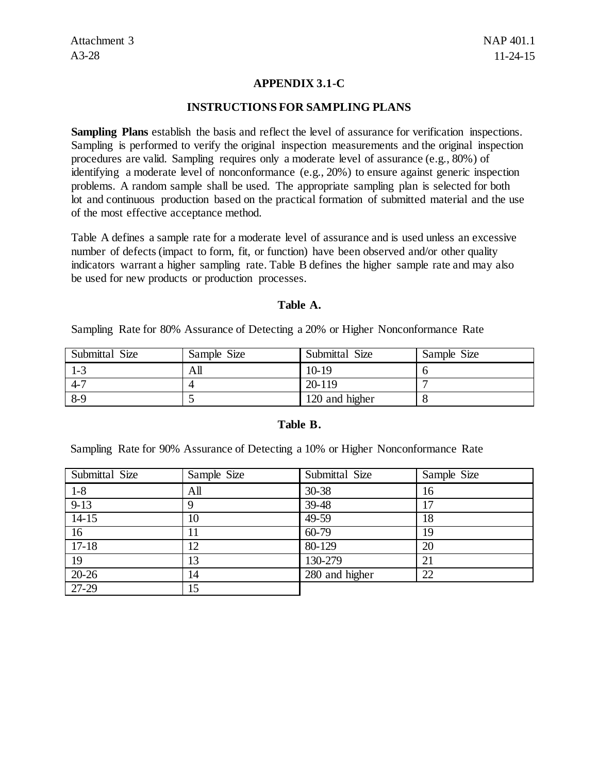## **APPENDIX 3.1-C**

#### **INSTRUCTIONS FOR SAMPLING PLANS**

**Sampling Plans** establish the basis and reflect the level of assurance for verification inspections. Sampling is performed to verify the original inspection measurements and the original inspection procedures are valid. Sampling requires only a moderate level of assurance (e.g., 80%) of identifying a moderate level of nonconformance (e.g., 20%) to ensure against generic inspection problems. A random sample shall be used. The appropriate sampling plan is selected for both lot and continuous production based on the practical formation of submitted material and the use of the most effective acceptance method.

Table A defines a sample rate for a moderate level of assurance and is used unless an excessive number of defects (impact to form, fit, or function) have been observed and/or other quality indicators warrant a higher sampling rate. Table B defines the higher sample rate and may also be used for new products or production processes.

#### **Table A.**

Sampling Rate for 80% Assurance of Detecting a 20% or Higher Nonconformance Rate

| Submittal Size | Sample Size | Submittal Size | Sample Size |
|----------------|-------------|----------------|-------------|
| 1-3            | All         | 10-19          |             |
| $4 - 7$        |             | 20-119         |             |
| $8-9$          |             | 120 and higher |             |

#### **Table B.**

Sampling Rate for 90% Assurance of Detecting a 10% or Higher Nonconformance Rate

| Submittal Size | Sample Size | Submittal Size | Sample Size |
|----------------|-------------|----------------|-------------|
| $1 - 8$        | All         | 30-38          | 16          |
| $9-13$         |             | $39-48$        | 17          |
| $14-15$        | 10          | 49-59          | 18          |
| 16             |             | $60 - 79$      | 19          |
| $17-18$        | 12          | 80-129         | 20          |
| 19             | 13          | 130-279        | 21          |
| $20-26$        | 14          | 280 and higher | 22          |
| 27-29          | 15          |                |             |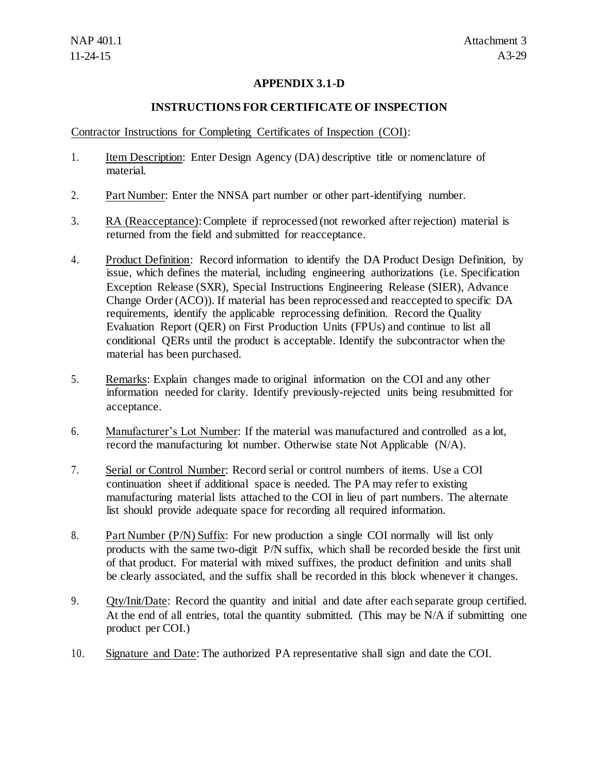## **APPENDIX 3.1-D**

## **INSTRUCTIONS FOR CERTIFICATE OF INSPECTION**

Contractor Instructions for Completing Certificates of Inspection (COI):

- 1. Item Description: Enter Design Agency (DA) descriptive title or nomenclature of material.
- 2. Part Number: Enter the NNSA part number or other part-identifying number.
- 3. RA (Reacceptance): Complete if reprocessed (not reworked after rejection) material is returned from the field and submitted for reacceptance.
- 4. Product Definition: Record information to identify the DA Product Design Definition, by issue, which defines the material, including engineering authorizations (i.e. Specification Exception Release (SXR), Special Instructions Engineering Release (SIER), Advance Change Order (ACO)). If material has been reprocessed and reaccepted to specific DA requirements, identify the applicable reprocessing definition. Record the Quality Evaluation Report (QER) on First Production Units (FPUs) and continue to list all conditional QERs until the product is acceptable. Identify the subcontractor when the material has been purchased.
- 5. Remarks: Explain changes made to original information on the COI and any other information needed for clarity. Identify previously-rejected units being resubmitted for acceptance.
- 6. Manufacturer's Lot Number: If the material was manufactured and controlled as a lot, record the manufacturing lot number. Otherwise state Not Applicable (N/A).
- 7. Serial or Control Number: Record serial or control numbers of items. Use a COI continuation sheet if additional space is needed. The PA may refer to existing manufacturing material lists attached to the COI in lieu of part numbers. The alternate list should provide adequate space for recording all required information.
- 8. Part Number (P/N) Suffix: For new production a single COI normally will list only products with the same two-digit P/N suffix, which shall be recorded beside the first unit of that product. For material with mixed suffixes, the product definition and units shall be clearly associated, and the suffix shall be recorded in this block whenever it changes.
- 9. Qty/Init/Date: Record the quantity and initial and date after each separate group certified. At the end of all entries, total the quantity submitted. (This may be N/A if submitting one product per COI.)
- 10. Signature and Date: The authorized PA representative shall sign and date the COI.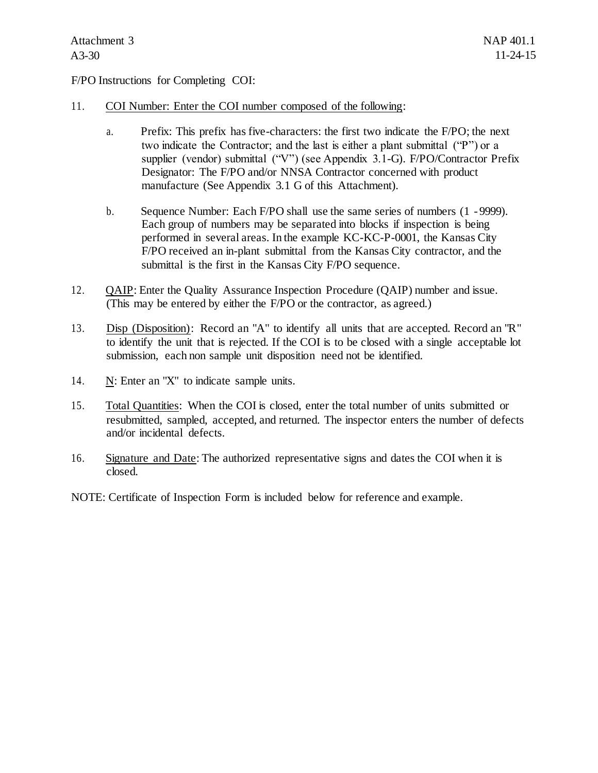F/PO Instructions for Completing COI:

- 11. COI Number: Enter the COI number composed of the following:
	- a. Prefix: This prefix has five-characters: the first two indicate the F/PO; the next two indicate the Contractor; and the last is either a plant submittal ("P") or a supplier (vendor) submittal ("V") (see Appendix 3.1-G). F/PO/Contractor Prefix Designator: The F/PO and/or NNSA Contractor concerned with product manufacture (See Appendix 3.1 G of this Attachment).
	- b. Sequence Number: Each F/PO shall use the same series of numbers (1 9999). Each group of numbers may be separated into blocks if inspection is being performed in several areas. In the example KC-KC-P-0001, the Kansas City F/PO received an in-plant submittal from the Kansas City contractor, and the submittal is the first in the Kansas City F/PO sequence.
- 12. QAIP: Enter the Quality Assurance Inspection Procedure (QAIP) number and issue. (This may be entered by either the F/PO or the contractor, as agreed.)
- 13. Disp (Disposition): Record an "A" to identify all units that are accepted. Record an "R" to identify the unit that is rejected. If the COI is to be closed with a single acceptable lot submission, each non sample unit disposition need not be identified.
- 14. N: Enter an "X" to indicate sample units.
- 15. Total Quantities: When the COI is closed, enter the total number of units submitted or resubmitted, sampled, accepted, and returned. The inspector enters the number of defects and/or incidental defects.
- 16. Signature and Date: The authorized representative signs and dates the COI when it is closed.
- NOTE: Certificate of Inspection Form is included below for reference and example.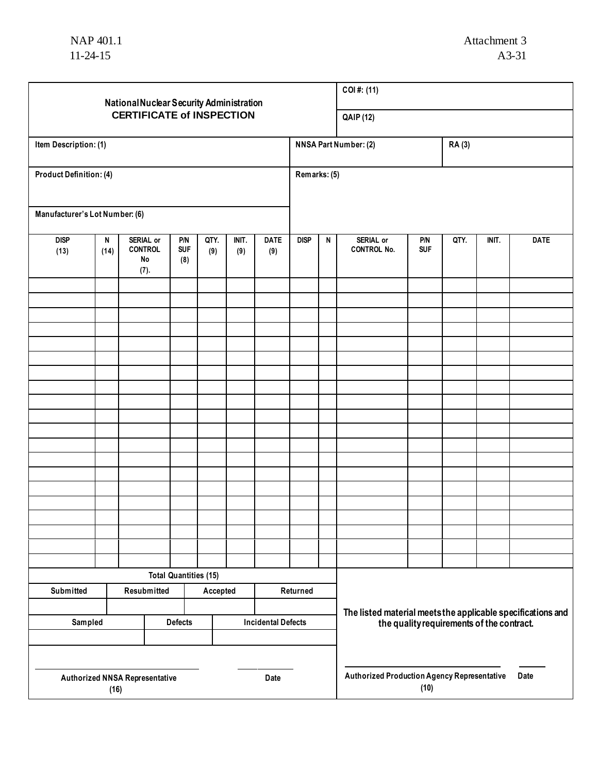| National Nuclear Security Administration                             |                                                                                                                                         |  |  |  |  |                                  |          |              |                                                             | COI#: (11)                                                         |                   |      |       |             |  |
|----------------------------------------------------------------------|-----------------------------------------------------------------------------------------------------------------------------------------|--|--|--|--|----------------------------------|----------|--------------|-------------------------------------------------------------|--------------------------------------------------------------------|-------------------|------|-------|-------------|--|
|                                                                      |                                                                                                                                         |  |  |  |  | <b>CERTIFICATE of INSPECTION</b> |          |              |                                                             | <b>QAIP (12)</b>                                                   |                   |      |       |             |  |
| Item Description: (1)                                                |                                                                                                                                         |  |  |  |  |                                  |          |              |                                                             | <b>NNSA Part Number: (2)</b><br><b>RA(3)</b>                       |                   |      |       |             |  |
| <b>Product Definition: (4)</b>                                       |                                                                                                                                         |  |  |  |  |                                  |          | Remarks: (5) |                                                             |                                                                    |                   |      |       |             |  |
| Manufacturer's Lot Number: (6)                                       |                                                                                                                                         |  |  |  |  |                                  |          |              |                                                             |                                                                    |                   |      |       |             |  |
| <b>DISP</b><br>(13)                                                  | QTY.<br><b>DATE</b><br>SERIAL or<br>P/N<br>INIT.<br>N<br><b>SUF</b><br><b>CONTROL</b><br>(9)<br>(9)<br>(14)<br>(9)<br>No<br>(8)<br>(7). |  |  |  |  |                                  |          | <b>DISP</b>  | N                                                           | SERIAL or<br><b>CONTROL No.</b>                                    | P/N<br><b>SUF</b> | QTY. | INIT. | <b>DATE</b> |  |
|                                                                      |                                                                                                                                         |  |  |  |  |                                  |          |              |                                                             |                                                                    |                   |      |       |             |  |
|                                                                      |                                                                                                                                         |  |  |  |  |                                  |          |              |                                                             |                                                                    |                   |      |       |             |  |
|                                                                      |                                                                                                                                         |  |  |  |  |                                  |          |              |                                                             |                                                                    |                   |      |       |             |  |
|                                                                      |                                                                                                                                         |  |  |  |  |                                  |          |              |                                                             |                                                                    |                   |      |       |             |  |
|                                                                      |                                                                                                                                         |  |  |  |  |                                  |          |              |                                                             |                                                                    |                   |      |       |             |  |
|                                                                      |                                                                                                                                         |  |  |  |  |                                  |          |              |                                                             |                                                                    |                   |      |       |             |  |
|                                                                      |                                                                                                                                         |  |  |  |  |                                  |          |              |                                                             |                                                                    |                   |      |       |             |  |
|                                                                      |                                                                                                                                         |  |  |  |  |                                  |          |              |                                                             |                                                                    |                   |      |       |             |  |
|                                                                      |                                                                                                                                         |  |  |  |  |                                  |          |              |                                                             |                                                                    |                   |      |       |             |  |
|                                                                      |                                                                                                                                         |  |  |  |  |                                  |          |              |                                                             |                                                                    |                   |      |       |             |  |
|                                                                      |                                                                                                                                         |  |  |  |  |                                  |          |              |                                                             |                                                                    |                   |      |       |             |  |
|                                                                      |                                                                                                                                         |  |  |  |  |                                  |          |              |                                                             |                                                                    |                   |      |       |             |  |
|                                                                      |                                                                                                                                         |  |  |  |  |                                  |          |              |                                                             |                                                                    |                   |      |       |             |  |
|                                                                      |                                                                                                                                         |  |  |  |  |                                  |          |              |                                                             |                                                                    |                   |      |       |             |  |
|                                                                      |                                                                                                                                         |  |  |  |  |                                  |          |              |                                                             |                                                                    |                   |      |       |             |  |
|                                                                      |                                                                                                                                         |  |  |  |  |                                  |          |              |                                                             |                                                                    |                   |      |       |             |  |
| <b>Total Quantities (15)</b><br>Submitted<br>Resubmitted<br>Accepted |                                                                                                                                         |  |  |  |  |                                  | Returned |              |                                                             |                                                                    |                   |      |       |             |  |
| Sampled<br><b>Defects</b><br><b>Incidental Defects</b>               |                                                                                                                                         |  |  |  |  |                                  |          |              | The listed material meets the applicable specifications and | the quality requirements of the contract.                          |                   |      |       |             |  |
|                                                                      |                                                                                                                                         |  |  |  |  |                                  |          |              |                                                             |                                                                    |                   |      |       |             |  |
| <b>Authorized NNSA Representative</b><br>Date<br>(16)                |                                                                                                                                         |  |  |  |  |                                  |          |              |                                                             | <b>Authorized Production Agency Representative</b><br>Date<br>(10) |                   |      |       |             |  |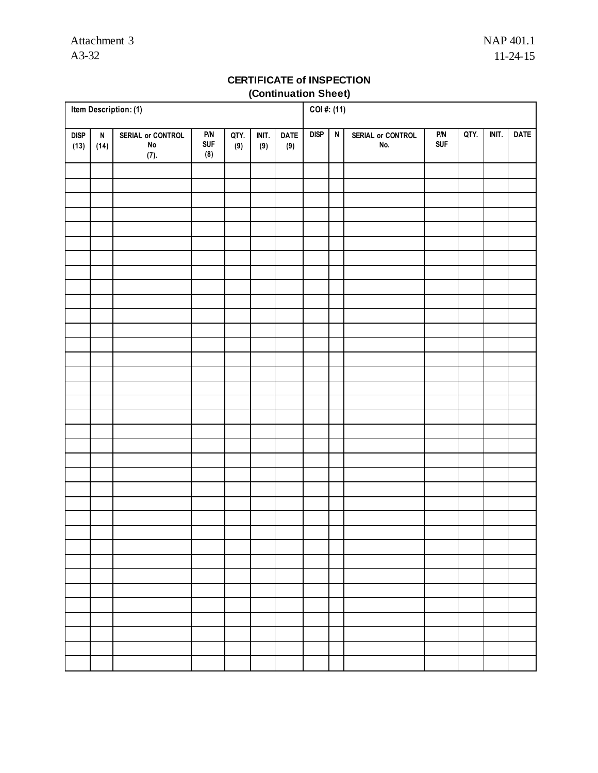## **CERTIFICATE of INSPECTION (Continuation Sheet)**

| Item Description: (1) |                                   |                                         |                                     |             |              |                    |             | $\overline{COI}$ #: (11) |                          |            |      |       |             |  |
|-----------------------|-----------------------------------|-----------------------------------------|-------------------------------------|-------------|--------------|--------------------|-------------|--------------------------|--------------------------|------------|------|-------|-------------|--|
| DISP<br>(13)          | $\boldsymbol{\mathsf{N}}$<br>(14) | SERIAL or CONTROL<br>${\sf No}$<br>(7). | $\mathsf{P/N}$<br><b>SUF</b><br>(8) | QTY.<br>(9) | INIT.<br>(9) | <b>DATE</b><br>(9) | <b>DISP</b> | $\overline{N}$           | SERIAL or CONTROL<br>No. | P/N<br>Suf | QTY. | INIT. | <b>DATE</b> |  |
|                       |                                   |                                         |                                     |             |              |                    |             |                          |                          |            |      |       |             |  |
|                       |                                   |                                         |                                     |             |              |                    |             |                          |                          |            |      |       |             |  |
|                       |                                   |                                         |                                     |             |              |                    |             |                          |                          |            |      |       |             |  |
|                       |                                   |                                         |                                     |             |              |                    |             |                          |                          |            |      |       |             |  |
|                       |                                   |                                         |                                     |             |              |                    |             |                          |                          |            |      |       |             |  |
|                       |                                   |                                         |                                     |             |              |                    |             |                          |                          |            |      |       |             |  |
|                       |                                   |                                         |                                     |             |              |                    |             |                          |                          |            |      |       |             |  |
|                       |                                   |                                         |                                     |             |              |                    |             |                          |                          |            |      |       |             |  |
|                       |                                   |                                         |                                     |             |              |                    |             |                          |                          |            |      |       |             |  |
|                       |                                   |                                         |                                     |             |              |                    |             |                          |                          |            |      |       |             |  |
|                       |                                   |                                         |                                     |             |              |                    |             |                          |                          |            |      |       |             |  |
|                       |                                   |                                         |                                     |             |              |                    |             |                          |                          |            |      |       |             |  |
|                       |                                   |                                         |                                     |             |              |                    |             |                          |                          |            |      |       |             |  |
|                       |                                   |                                         |                                     |             |              |                    |             |                          |                          |            |      |       |             |  |
|                       |                                   |                                         |                                     |             |              |                    |             |                          |                          |            |      |       |             |  |
|                       |                                   |                                         |                                     |             |              |                    |             |                          |                          |            |      |       |             |  |
|                       |                                   |                                         |                                     |             |              |                    |             |                          |                          |            |      |       |             |  |
|                       |                                   |                                         |                                     |             |              |                    |             |                          |                          |            |      |       |             |  |
|                       |                                   |                                         |                                     |             |              |                    |             |                          |                          |            |      |       |             |  |
|                       |                                   |                                         |                                     |             |              |                    |             |                          |                          |            |      |       |             |  |
|                       |                                   |                                         |                                     |             |              |                    |             |                          |                          |            |      |       |             |  |
|                       |                                   |                                         |                                     |             |              |                    |             |                          |                          |            |      |       |             |  |
|                       |                                   |                                         |                                     |             |              |                    |             |                          |                          |            |      |       |             |  |
|                       |                                   |                                         |                                     |             |              |                    |             |                          |                          |            |      |       |             |  |
|                       |                                   |                                         |                                     |             |              |                    |             |                          |                          |            |      |       |             |  |
|                       |                                   |                                         |                                     |             |              |                    |             |                          |                          |            |      |       |             |  |
|                       |                                   |                                         |                                     |             |              |                    |             |                          |                          |            |      |       |             |  |
|                       |                                   |                                         |                                     |             |              |                    |             |                          |                          |            |      |       |             |  |
|                       |                                   |                                         |                                     |             |              |                    |             |                          |                          |            |      |       |             |  |
|                       |                                   |                                         |                                     |             |              |                    |             |                          |                          |            |      |       |             |  |
|                       |                                   |                                         |                                     |             |              |                    |             |                          |                          |            |      |       |             |  |
|                       |                                   |                                         |                                     |             |              |                    |             |                          |                          |            |      |       |             |  |
|                       |                                   |                                         |                                     |             |              |                    |             |                          |                          |            |      |       |             |  |
|                       |                                   |                                         |                                     |             |              |                    |             |                          |                          |            |      |       |             |  |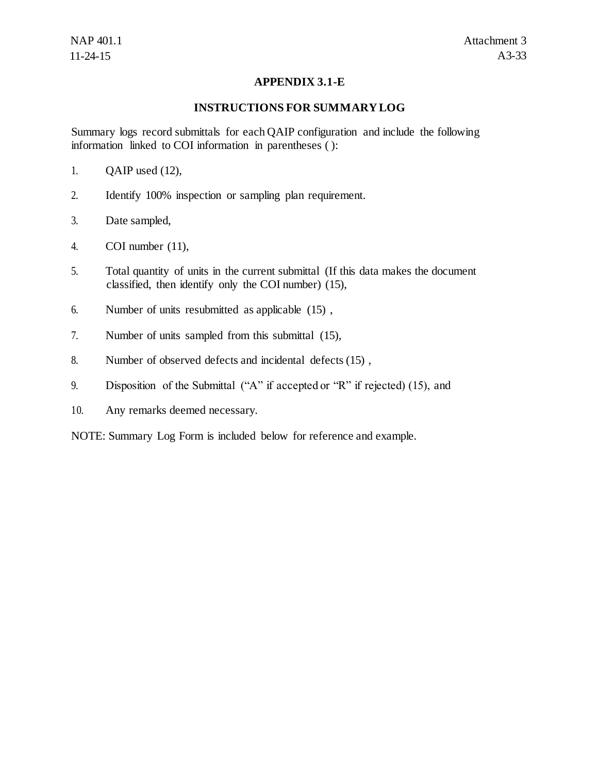## **APPENDIX 3.1-E**

## **INSTRUCTIONS FOR SUMMARY LOG**

Summary logs record submittals for each QAIP configuration and include the following information linked to COI information in parentheses ( ):

- 1. QAIP used (12),
- 2. Identify 100% inspection or sampling plan requirement.
- 3. Date sampled,
- 4. COI number (11),
- 5. Total quantity of units in the current submittal (If this data makes the document classified, then identify only the COI number) (15),
- 6. Number of units resubmitted as applicable (15) ,
- 7. Number of units sampled from this submittal (15),
- 8. Number of observed defects and incidental defects (15) ,
- 9. Disposition of the Submittal ("A" if accepted or "R" if rejected) (15), and
- 10. Any remarks deemed necessary.

NOTE: Summary Log Form is included below for reference and example.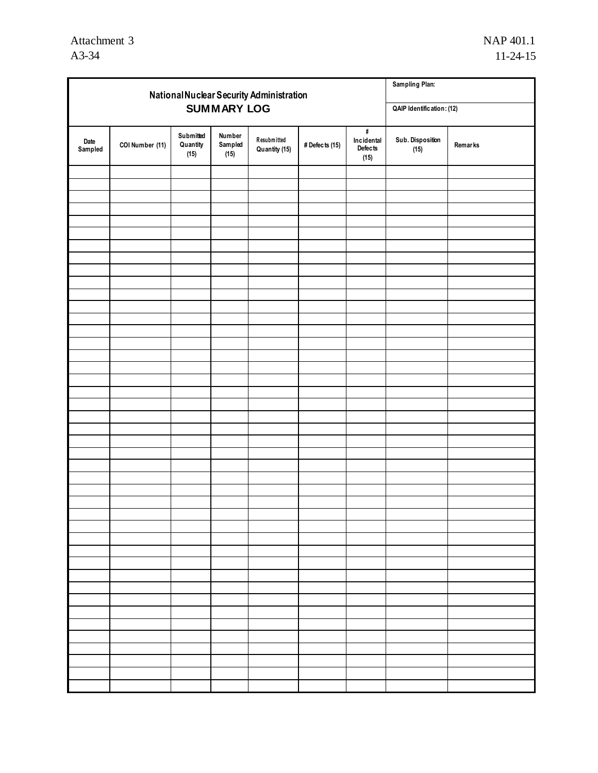|                 | National Nuclear Security Administration | Sampling Plan:                |                           |                              |                |                                              |                          |         |
|-----------------|------------------------------------------|-------------------------------|---------------------------|------------------------------|----------------|----------------------------------------------|--------------------------|---------|
|                 |                                          |                               | QAIP Identification: (12) |                              |                |                                              |                          |         |
| Date<br>Sampled | COI Number (11)                          | Submitted<br>Quantity<br>(15) | Number<br>Sampled<br>(15) | Resubmitted<br>Quantity (15) | # Defects (15) | $\#$<br>Incidental<br><b>Defects</b><br>(15) | Sub. Disposition<br>(15) | Remarks |
|                 |                                          |                               |                           |                              |                |                                              |                          |         |
|                 |                                          |                               |                           |                              |                |                                              |                          |         |
|                 |                                          |                               |                           |                              |                |                                              |                          |         |
|                 |                                          |                               |                           |                              |                |                                              |                          |         |
|                 |                                          |                               |                           |                              |                |                                              |                          |         |
|                 |                                          |                               |                           |                              |                |                                              |                          |         |
|                 |                                          |                               |                           |                              |                |                                              |                          |         |
|                 |                                          |                               |                           |                              |                |                                              |                          |         |
|                 |                                          |                               |                           |                              |                |                                              |                          |         |
|                 |                                          |                               |                           |                              |                |                                              |                          |         |
|                 |                                          |                               |                           |                              |                |                                              |                          |         |
|                 |                                          |                               |                           |                              |                |                                              |                          |         |
|                 |                                          |                               |                           |                              |                |                                              |                          |         |
|                 |                                          |                               |                           |                              |                |                                              |                          |         |
|                 |                                          |                               |                           |                              |                |                                              |                          |         |
|                 |                                          |                               |                           |                              |                |                                              |                          |         |
|                 |                                          |                               |                           |                              |                |                                              |                          |         |
|                 |                                          |                               |                           |                              |                |                                              |                          |         |
|                 |                                          |                               |                           |                              |                |                                              |                          |         |
|                 |                                          |                               |                           |                              |                |                                              |                          |         |
|                 |                                          |                               |                           |                              |                |                                              |                          |         |
|                 |                                          |                               |                           |                              |                |                                              |                          |         |
|                 |                                          |                               |                           |                              |                |                                              |                          |         |
|                 |                                          |                               |                           |                              |                |                                              |                          |         |
|                 |                                          |                               |                           |                              |                |                                              |                          |         |
|                 |                                          |                               |                           |                              |                |                                              |                          |         |
|                 |                                          |                               |                           |                              |                |                                              |                          |         |
|                 |                                          |                               |                           |                              |                |                                              |                          |         |
|                 |                                          |                               |                           |                              |                |                                              |                          |         |
|                 |                                          |                               |                           |                              |                |                                              |                          |         |
|                 |                                          |                               |                           |                              |                |                                              |                          |         |
|                 |                                          |                               |                           |                              |                |                                              |                          |         |
|                 |                                          |                               |                           |                              |                |                                              |                          |         |
|                 |                                          |                               |                           |                              |                |                                              |                          |         |
|                 |                                          |                               |                           |                              |                |                                              |                          |         |
|                 |                                          |                               |                           |                              |                |                                              |                          |         |
|                 |                                          |                               |                           |                              |                |                                              |                          |         |
|                 |                                          |                               |                           |                              |                |                                              |                          |         |
|                 |                                          |                               |                           |                              |                |                                              |                          |         |
|                 |                                          |                               |                           |                              |                |                                              |                          |         |
|                 |                                          |                               |                           |                              |                |                                              |                          |         |
|                 |                                          |                               |                           |                              |                |                                              |                          |         |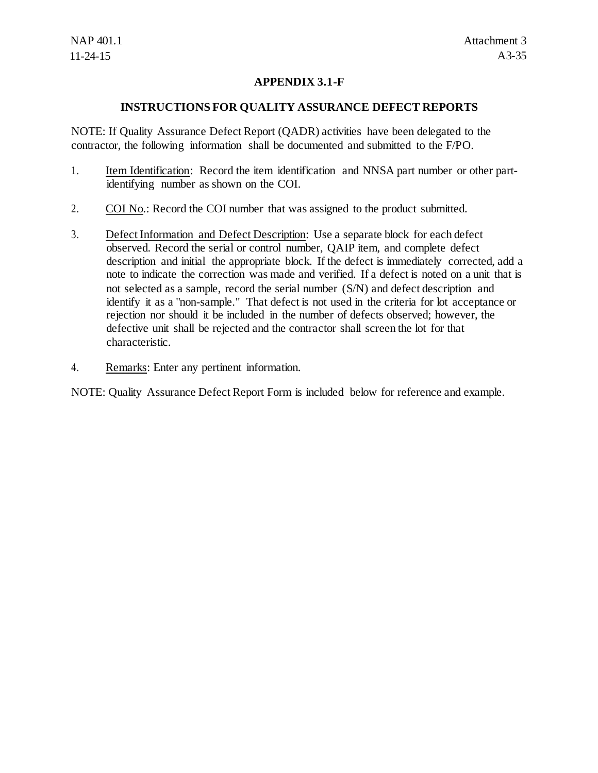## **APPENDIX 3.1-F**

## **INSTRUCTIONS FOR QUALITY ASSURANCE DEFECT REPORTS**

NOTE: If Quality Assurance Defect Report (QADR) activities have been delegated to the contractor, the following information shall be documented and submitted to the F/PO.

- 1. Item Identification: Record the item identification and NNSA part number or other partidentifying number as shown on the COI.
- 2. COI No.: Record the COI number that was assigned to the product submitted.
- 3. Defect Information and Defect Description: Use a separate block for each defect observed. Record the serial or control number, QAIP item, and complete defect description and initial the appropriate block. If the defect is immediately corrected, add a note to indicate the correction was made and verified. If a defect is noted on a unit that is not selected as a sample, record the serial number (S/N) and defect description and identify it as a "non-sample." That defect is not used in the criteria for lot acceptance or rejection nor should it be included in the number of defects observed; however, the defective unit shall be rejected and the contractor shall screen the lot for that characteristic.
- 4. Remarks: Enter any pertinent information.

NOTE: Quality Assurance Defect Report Form is included below for reference and example.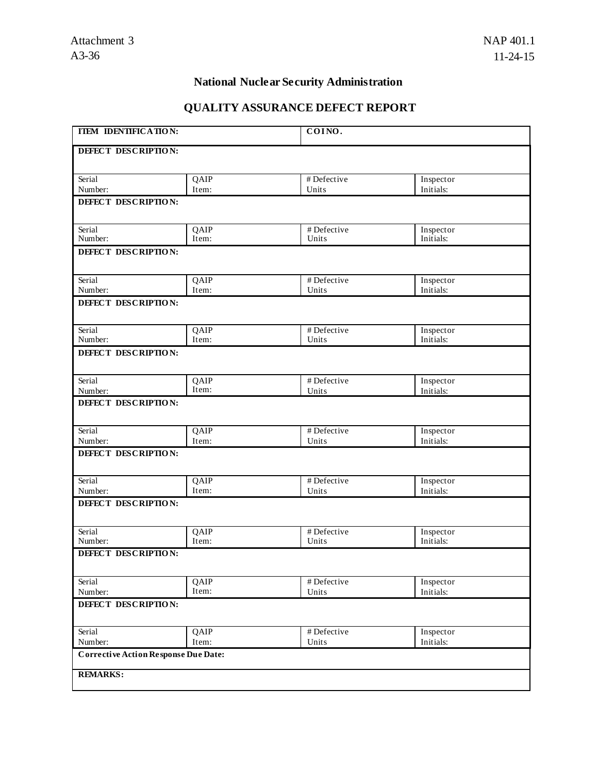## **National Nuclear Security Administration**

# **QUALITY ASSURANCE DEFECT REPORT**

| <b>ITEM IDENTIFICATION:</b>                 |               | COINO.               |                        |
|---------------------------------------------|---------------|----------------------|------------------------|
| DEFECT DESCRIPTION:                         |               |                      |                        |
| Serial                                      | QAIP          | # Defective          | Inspector              |
| Number:                                     | Item:         | Units                | Initials:              |
| DEFECT DESCRIPTION:                         |               |                      |                        |
| Serial<br>Number:                           | QAIP<br>Item: | # Defective<br>Units | Inspector<br>Initials: |
| DEFECT DESCRIPTION:                         |               |                      |                        |
| Serial                                      | QAIP          | # Defective          | Inspector              |
| Number:                                     | Item:         | Units                | Initials:              |
| DEFECT DESCRIPTION:                         |               |                      |                        |
| Serial<br>Number:                           | QAIP<br>Item: | # Defective<br>Units | Inspector<br>Initials: |
| DEFECT DESCRIPTION:                         |               |                      |                        |
|                                             |               |                      |                        |
| Serial                                      | QAIP<br>Item: | # Defective          | Inspector              |
| Number:                                     |               | Units                | Initials:              |
| DEFECT DESCRIPTION:                         |               |                      |                        |
| Serial                                      | QAIP          | # Defective          | Inspector              |
| Number:                                     | Item:         | Units                | Initials:              |
| DEFECT DESCRIPTION:                         |               |                      |                        |
| Serial                                      | QAIP          | # Defective          | Inspector              |
| Number:                                     | Item:         | Units                | Initials:              |
| DEFECT DESCRIPTION:                         |               |                      |                        |
| Serial                                      | QAIP          | # Defective          | Inspector              |
| Number:                                     | Item:         | Units                | Initials:              |
| DEFECT DESCRIPTION:                         |               |                      |                        |
| Serial                                      | QAIP          | # Defective          | Inspector              |
| Number:                                     | Item:         | Units                | Initials:              |
| DEFECT DESCRIPTION:                         |               |                      |                        |
| Serial                                      | QAIP          | # Defective          | Inspector              |
| Number:                                     | Item:         | Units                | Initials:              |
| <b>Corrective Action Response Due Date:</b> |               |                      |                        |
| <b>REMARKS:</b>                             |               |                      |                        |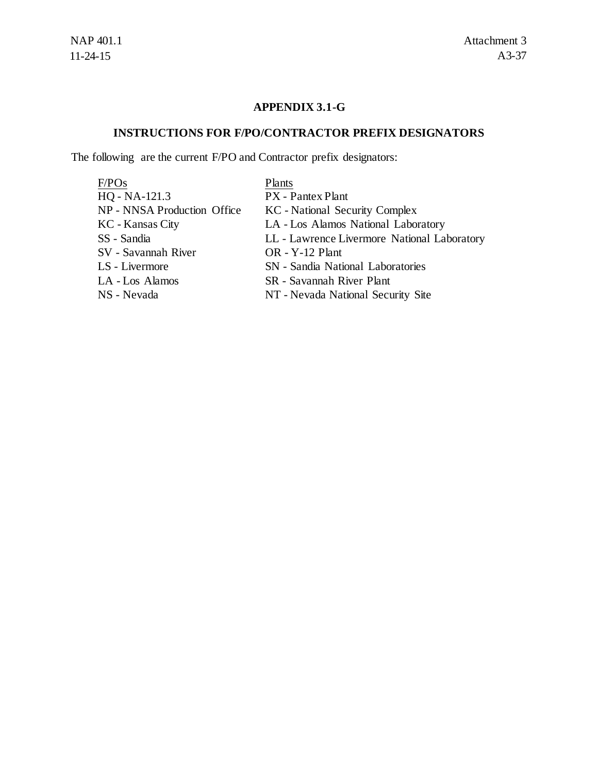## **APPENDIX 3.1-G**

# **INSTRUCTIONS FOR F/PO/CONTRACTOR PREFIX DESIGNATORS**

The following are the current F/PO and Contractor prefix designators:

| Plants                                      |
|---------------------------------------------|
| PX - Pantex Plant                           |
| <b>KC</b> - National Security Complex       |
| LA - Los Alamos National Laboratory         |
| LL - Lawrence Livermore National Laboratory |
| OR - Y-12 Plant                             |
| <b>SN</b> - Sandia National Laboratories    |
| SR - Savannah River Plant                   |
| NT - Nevada National Security Site          |
|                                             |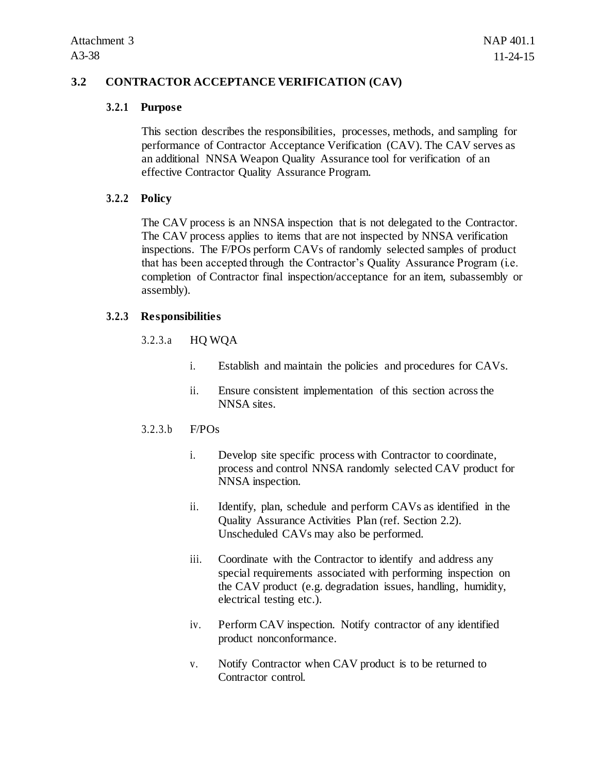## **3.2 CONTRACTOR ACCEPTANCE VERIFICATION (CAV)**

#### **3.2.1 Purpose**

This section describes the responsibilities, processes, methods, and sampling for performance of Contractor Acceptance Verification (CAV). The CAV serves as an additional NNSA Weapon Quality Assurance tool for verification of an effective Contractor Quality Assurance Program.

## **3.2.2 Policy**

The CAV process is an NNSA inspection that is not delegated to the Contractor. The CAV process applies to items that are not inspected by NNSA verification inspections. The F/POs perform CAVs of randomly selected samples of product that has been accepted through the Contractor's Quality Assurance Program (i.e. completion of Contractor final inspection/acceptance for an item, subassembly or assembly).

## **3.2.3 Responsibilities**

## 3.2.3.a HQ WQA

- i. Establish and maintain the policies and procedures for CAVs.
- ii. Ensure consistent implementation of this section across the NNSA sites.

#### 3.2.3.b F/POs

- i. Develop site specific process with Contractor to coordinate, process and control NNSA randomly selected CAV product for NNSA inspection.
- ii. Identify, plan, schedule and perform CAVs as identified in the Quality Assurance Activities Plan (ref. Section 2.2). Unscheduled CAVs may also be performed.
- iii. Coordinate with the Contractor to identify and address any special requirements associated with performing inspection on the CAV product (e.g. degradation issues, handling, humidity, electrical testing etc.).
- iv. Perform CAV inspection. Notify contractor of any identified product nonconformance.
- v. Notify Contractor when CAV product is to be returned to Contractor control.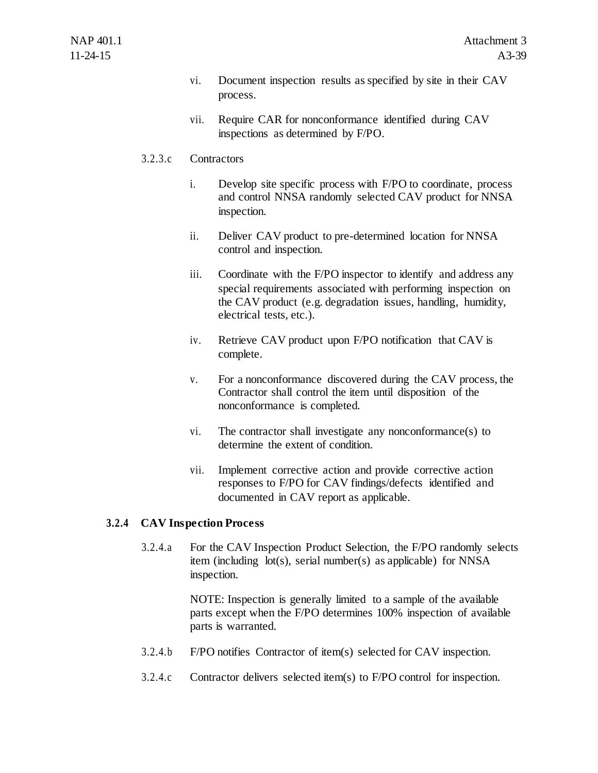- vi. Document inspection results as specified by site in their CAV process.
- vii. Require CAR for nonconformance identified during CAV inspections as determined by F/PO.

## 3.2.3.c Contractors

- i. Develop site specific process with F/PO to coordinate, process and control NNSA randomly selected CAV product for NNSA inspection.
- ii. Deliver CAV product to pre-determined location for NNSA control and inspection.
- iii. Coordinate with the F/PO inspector to identify and address any special requirements associated with performing inspection on the CAV product (e.g. degradation issues, handling, humidity, electrical tests, etc.).
- iv. Retrieve CAV product upon F/PO notification that CAV is complete.
- v. For a nonconformance discovered during the CAV process, the Contractor shall control the item until disposition of the nonconformance is completed.
- vi. The contractor shall investigate any nonconformance(s) to determine the extent of condition.
- vii. Implement corrective action and provide corrective action responses to F/PO for CAV findings/defects identified and documented in CAV report as applicable.

## **3.2.4 CAV Inspection Process**

3.2.4.a For the CAV Inspection Product Selection, the F/PO randomly selects item (including lot(s), serial number(s) as applicable) for NNSA inspection.

> NOTE: Inspection is generally limited to a sample of the available parts except when the F/PO determines 100% inspection of available parts is warranted.

- 3.2.4.b F/PO notifies Contractor of item(s) selected for CAV inspection.
- 3.2.4.c Contractor delivers selected item(s) to F/PO control for inspection.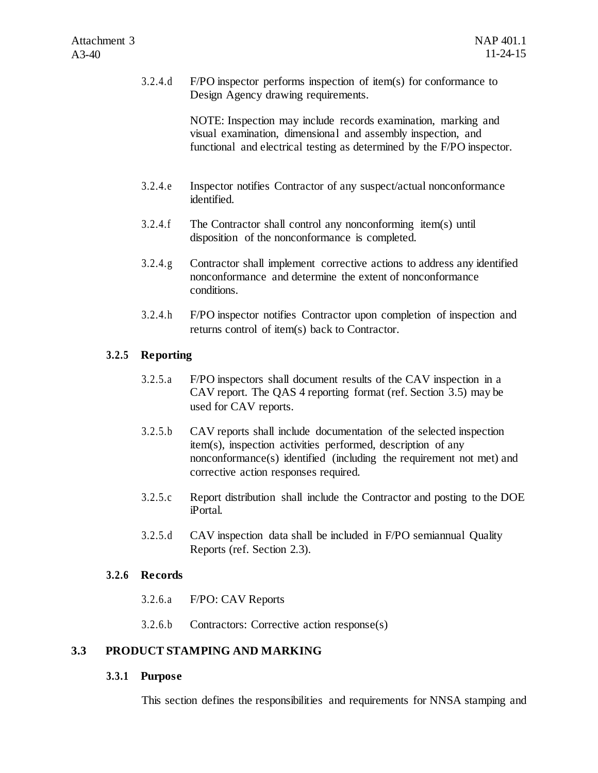3.2.4.d F/PO inspector performs inspection of item(s) for conformance to Design Agency drawing requirements.

> NOTE: Inspection may include records examination, marking and visual examination, dimensional and assembly inspection, and functional and electrical testing as determined by the F/PO inspector.

- 3.2.4.e Inspector notifies Contractor of any suspect/actual nonconformance identified.
- 3.2.4.f The Contractor shall control any nonconforming item(s) until disposition of the nonconformance is completed.
- 3.2.4.g Contractor shall implement corrective actions to address any identified nonconformance and determine the extent of nonconformance conditions.
- 3.2.4.h F/PO inspector notifies Contractor upon completion of inspection and returns control of item(s) back to Contractor.

## **3.2.5 Reporting**

- 3.2.5.a F/PO inspectors shall document results of the CAV inspection in a CAV report. The QAS 4 reporting format (ref. Section 3.5) may be used for CAV reports.
- 3.2.5.b CAV reports shall include documentation of the selected inspection item(s), inspection activities performed, description of any nonconformance(s) identified (including the requirement not met) and corrective action responses required.
- 3.2.5.c Report distribution shall include the Contractor and posting to the DOE iPortal.
- 3.2.5.d CAV inspection data shall be included in F/PO semiannual Quality Reports (ref. Section 2.3).

## **3.2.6 Records**

- 3.2.6.a F/PO: CAV Reports
- 3.2.6.b Contractors: Corrective action response(s)

## **3.3 PRODUCT STAMPING AND MARKING**

## **3.3.1 Purpose**

This section defines the responsibilities and requirements for NNSA stamping and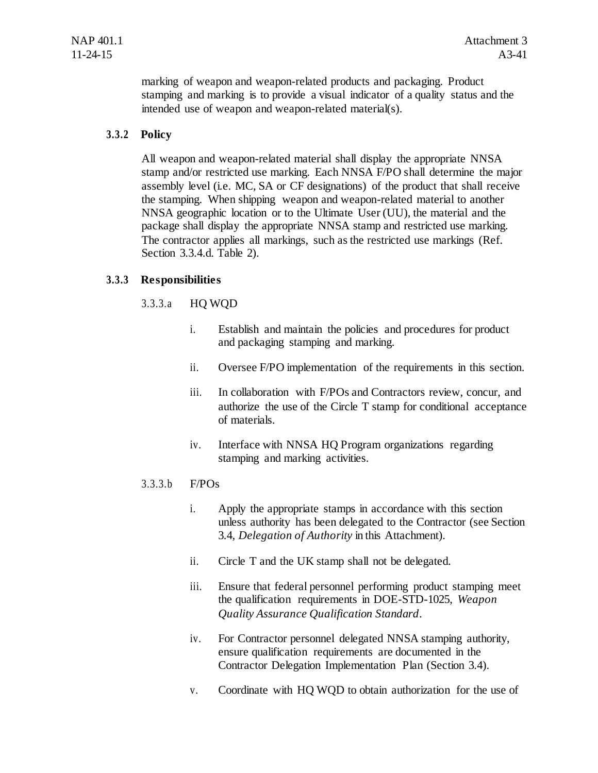marking of weapon and weapon-related products and packaging. Product stamping and marking is to provide a visual indicator of a quality status and the intended use of weapon and weapon-related material(s).

## **3.3.2 Policy**

All weapon and weapon-related material shall display the appropriate NNSA stamp and/or restricted use marking. Each NNSA F/PO shall determine the major assembly level (i.e. MC, SA or CF designations) of the product that shall receive the stamping. When shipping weapon and weapon-related material to another NNSA geographic location or to the Ultimate User (UU), the material and the package shall display the appropriate NNSA stamp and restricted use marking. The contractor applies all markings, such as the restricted use markings (Ref. Section 3.3.4.d. Table 2).

## **3.3.3 Responsibilities**

## 3.3.3.a HQ WQD

- i. Establish and maintain the policies and procedures for product and packaging stamping and marking.
- ii. Oversee F/PO implementation of the requirements in this section.
- iii. In collaboration with F/POs and Contractors review, concur, and authorize the use of the Circle T stamp for conditional acceptance of materials.
- iv. Interface with NNSA HQ Program organizations regarding stamping and marking activities.

## 3.3.3.b F/POs

- i. Apply the appropriate stamps in accordance with this section unless authority has been delegated to the Contractor (see Section 3.4, *Delegation of Authority* in this Attachment).
- ii. Circle T and the UK stamp shall not be delegated.
- iii. Ensure that federal personnel performing product stamping meet the qualification requirements in DOE-STD-1025, *Weapon Quality Assurance Qualification Standard*.
- iv. For Contractor personnel delegated NNSA stamping authority, ensure qualification requirements are documented in the Contractor Delegation Implementation Plan (Section 3.4).
- v. Coordinate with HQ WQD to obtain authorization for the use of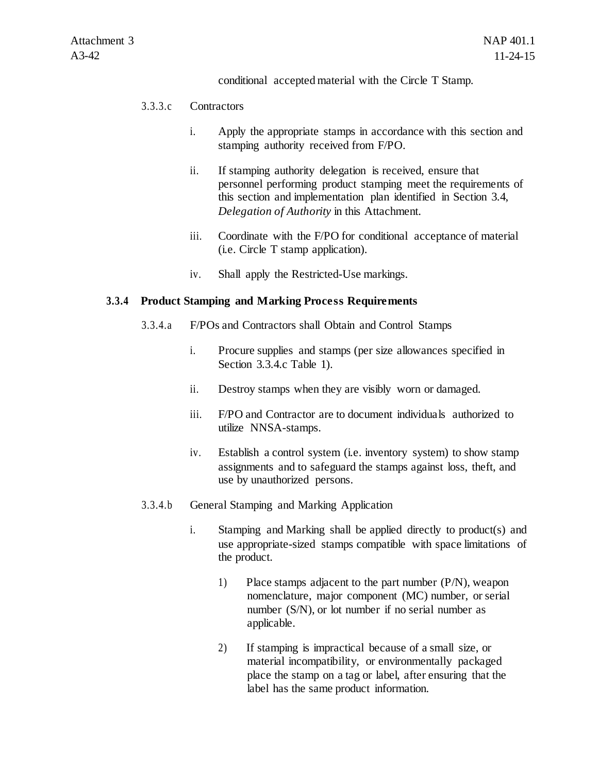#### conditional accepted material with the Circle T Stamp.

#### 3.3.3.c Contractors

- i. Apply the appropriate stamps in accordance with this section and stamping authority received from F/PO.
- ii. If stamping authority delegation is received, ensure that personnel performing product stamping meet the requirements of this section and implementation plan identified in Section 3.4, *Delegation of Authority* in this Attachment.
- iii. Coordinate with the F/PO for conditional acceptance of material (i.e. Circle T stamp application).
- iv. Shall apply the Restricted-Use markings.

### **3.3.4 Product Stamping and Marking Process Requirements**

- 3.3.4.a F/POs and Contractors shall Obtain and Control Stamps
	- i. Procure supplies and stamps (per size allowances specified in Section 3.3.4.c Table 1).
	- ii. Destroy stamps when they are visibly worn or damaged.
	- iii. F/PO and Contractor are to document individuals authorized to utilize NNSA-stamps.
	- iv. Establish a control system (i.e. inventory system) to show stamp assignments and to safeguard the stamps against loss, theft, and use by unauthorized persons.
- 3.3.4.b General Stamping and Marking Application
	- i. Stamping and Marking shall be applied directly to product(s) and use appropriate-sized stamps compatible with space limitations of the product.
		- 1) Place stamps adjacent to the part number (P/N), weapon nomenclature, major component (MC) number, or serial number (S/N), or lot number if no serial number as applicable.
		- 2) If stamping is impractical because of a small size, or material incompatibility, or environmentally packaged place the stamp on a tag or label, after ensuring that the label has the same product information.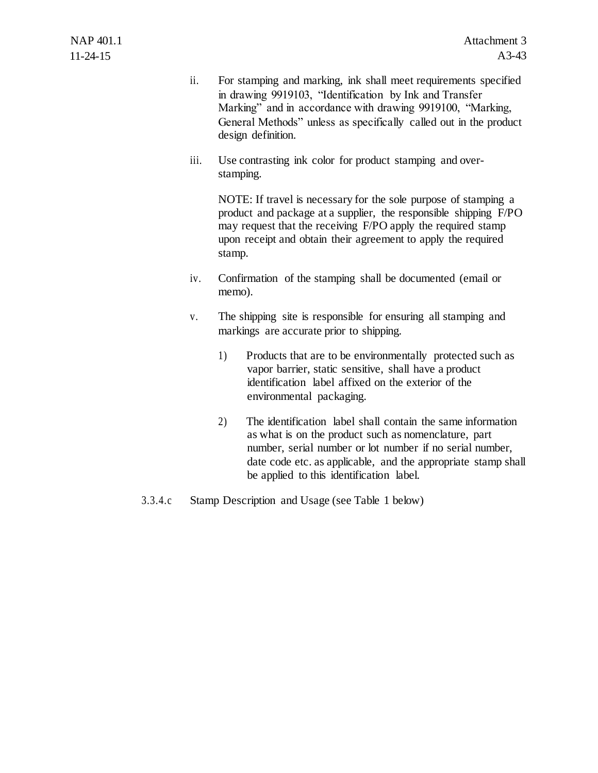- ii. For stamping and marking, ink shall meet requirements specified in drawing 9919103, "Identification by Ink and Transfer Marking" and in accordance with drawing 9919100, "Marking, General Methods" unless as specifically called out in the product design definition.
- iii. Use contrasting ink color for product stamping and overstamping.

NOTE: If travel is necessary for the sole purpose of stamping a product and package at a supplier, the responsible shipping F/PO may request that the receiving F/PO apply the required stamp upon receipt and obtain their agreement to apply the required stamp.

- iv. Confirmation of the stamping shall be documented (email or memo).
- v. The shipping site is responsible for ensuring all stamping and markings are accurate prior to shipping.
	- 1) Products that are to be environmentally protected such as vapor barrier, static sensitive, shall have a product identification label affixed on the exterior of the environmental packaging.
	- 2) The identification label shall contain the same information as what is on the product such as nomenclature, part number, serial number or lot number if no serial number, date code etc. as applicable, and the appropriate stamp shall be applied to this identification label.
- 3.3.4.c Stamp Description and Usage (see Table 1 below)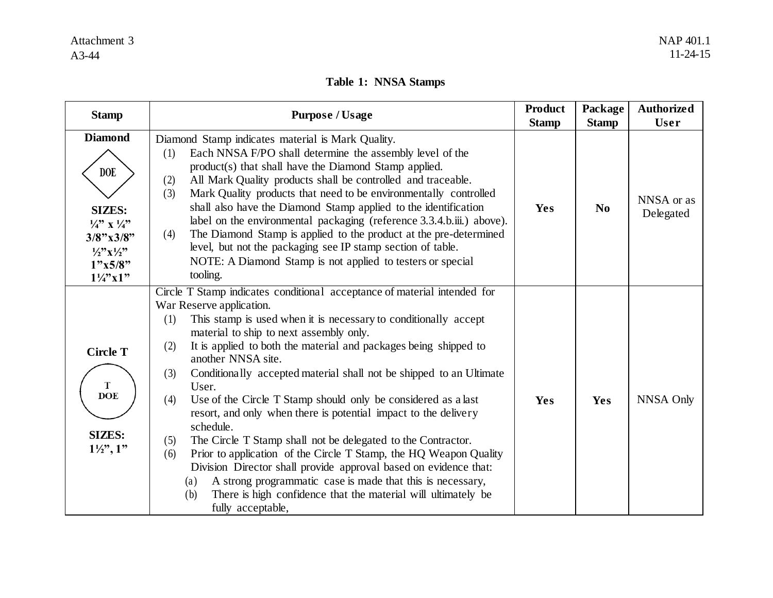## **Table 1: NNSA Stamps**

| <b>Stamp</b>                                                                                                                                                                                      | <b>Purpose / Usage</b>                                                                                                                                                                                                                                                                                                                                                                                                                                                                                                                                                                                                                                                                                                                                                                                                                                                                                                                                             | <b>Product</b><br><b>Stamp</b> | Package<br><b>Stamp</b> | <b>Authorized</b><br>User |
|---------------------------------------------------------------------------------------------------------------------------------------------------------------------------------------------------|--------------------------------------------------------------------------------------------------------------------------------------------------------------------------------------------------------------------------------------------------------------------------------------------------------------------------------------------------------------------------------------------------------------------------------------------------------------------------------------------------------------------------------------------------------------------------------------------------------------------------------------------------------------------------------------------------------------------------------------------------------------------------------------------------------------------------------------------------------------------------------------------------------------------------------------------------------------------|--------------------------------|-------------------------|---------------------------|
| <b>Diamond</b><br><b>DOE</b><br><b>SIZES:</b><br>$\frac{1}{4}$ , $\frac{1}{4}$ ,<br>$3/8$ "x $3/8$ "<br>$\frac{1}{2}$ <sup>2</sup> , $\frac{1}{2}$ <sup>2</sup><br>1"x5/8"<br>$1\frac{1}{4}$ x 1" | Diamond Stamp indicates material is Mark Quality.<br>Each NNSA F/PO shall determine the assembly level of the<br>(1)<br>product(s) that shall have the Diamond Stamp applied.<br>All Mark Quality products shall be controlled and traceable.<br>(2)<br>Mark Quality products that need to be environmentally controlled<br>(3)<br>shall also have the Diamond Stamp applied to the identification<br>label on the environmental packaging (reference 3.3.4.b.iii.) above).<br>The Diamond Stamp is applied to the product at the pre-determined<br>(4)<br>level, but not the packaging see IP stamp section of table.<br>NOTE: A Diamond Stamp is not applied to testers or special<br>tooling.                                                                                                                                                                                                                                                                   | Yes                            | $\bf No$                | NNSA or as<br>Delegated   |
| <b>Circle T</b><br>T<br><b>DOE</b><br><b>SIZES:</b><br>$1\frac{1}{2}, 1$ "                                                                                                                        | Circle T Stamp indicates conditional acceptance of material intended for<br>War Reserve application.<br>This stamp is used when it is necessary to conditionally accept<br>(1)<br>material to ship to next assembly only.<br>It is applied to both the material and packages being shipped to<br>(2)<br>another NNSA site.<br>Conditionally accepted material shall not be shipped to an Ultimate<br>(3)<br>User.<br>Use of the Circle T Stamp should only be considered as a last<br>(4)<br>resort, and only when there is potential impact to the delivery<br>schedule.<br>The Circle T Stamp shall not be delegated to the Contractor.<br>(5)<br>Prior to application of the Circle T Stamp, the HQ Weapon Quality<br>(6)<br>Division Director shall provide approval based on evidence that:<br>A strong programmatic case is made that this is necessary,<br>(a)<br>There is high confidence that the material will ultimately be<br>(b)<br>fully acceptable, | Yes                            | Yes                     | <b>NNSA Only</b>          |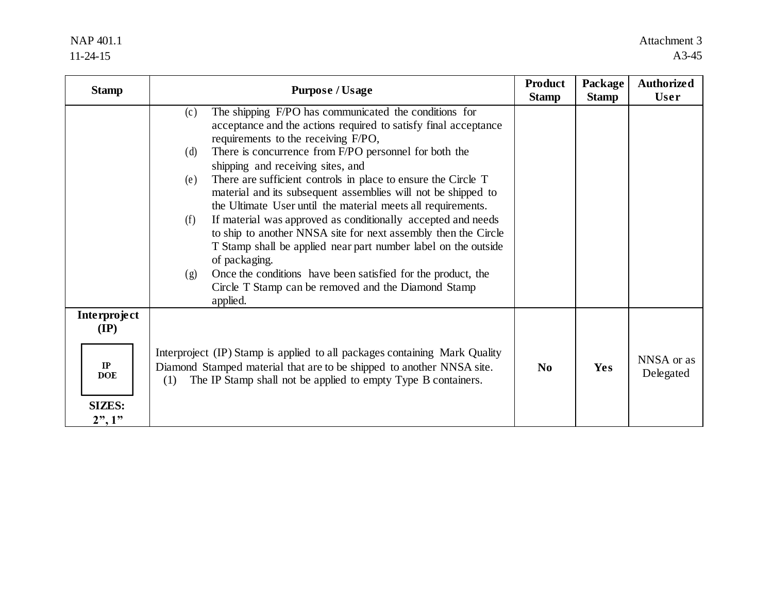## NAP 401.1 11-24-15

| <b>Stamp</b>                                                            | <b>Purpose / Usage</b>                                                                                                                                                                                                                                                                                                                                                                                                                                                                                                                                                                                                                                                                                                                                                                                                                                     | <b>Product</b><br><b>Stamp</b> | Package<br><b>Stamp</b> | <b>Authorized</b><br><b>User</b> |
|-------------------------------------------------------------------------|------------------------------------------------------------------------------------------------------------------------------------------------------------------------------------------------------------------------------------------------------------------------------------------------------------------------------------------------------------------------------------------------------------------------------------------------------------------------------------------------------------------------------------------------------------------------------------------------------------------------------------------------------------------------------------------------------------------------------------------------------------------------------------------------------------------------------------------------------------|--------------------------------|-------------------------|----------------------------------|
|                                                                         | The shipping F/PO has communicated the conditions for<br>(c)<br>acceptance and the actions required to satisfy final acceptance<br>requirements to the receiving F/PO,<br>There is concurrence from F/PO personnel for both the<br>(d)<br>shipping and receiving sites, and<br>There are sufficient controls in place to ensure the Circle T<br>(e)<br>material and its subsequent assemblies will not be shipped to<br>the Ultimate User until the material meets all requirements.<br>If material was approved as conditionally accepted and needs<br>(f)<br>to ship to another NNSA site for next assembly then the Circle<br>T Stamp shall be applied near part number label on the outside<br>of packaging.<br>Once the conditions have been satisfied for the product, the<br>(g)<br>Circle T Stamp can be removed and the Diamond Stamp<br>applied. |                                |                         |                                  |
| Interproject<br>$(\mathbf{IP})$<br>IP<br>DOE<br><b>SIZES:</b><br>2", 1" | Interproject (IP) Stamp is applied to all packages containing Mark Quality<br>Diamond Stamped material that are to be shipped to another NNSA site.<br>The IP Stamp shall not be applied to empty Type B containers.<br>(1)                                                                                                                                                                                                                                                                                                                                                                                                                                                                                                                                                                                                                                | N <sub>0</sub>                 | <b>Yes</b>              | NNSA or as<br>Delegated          |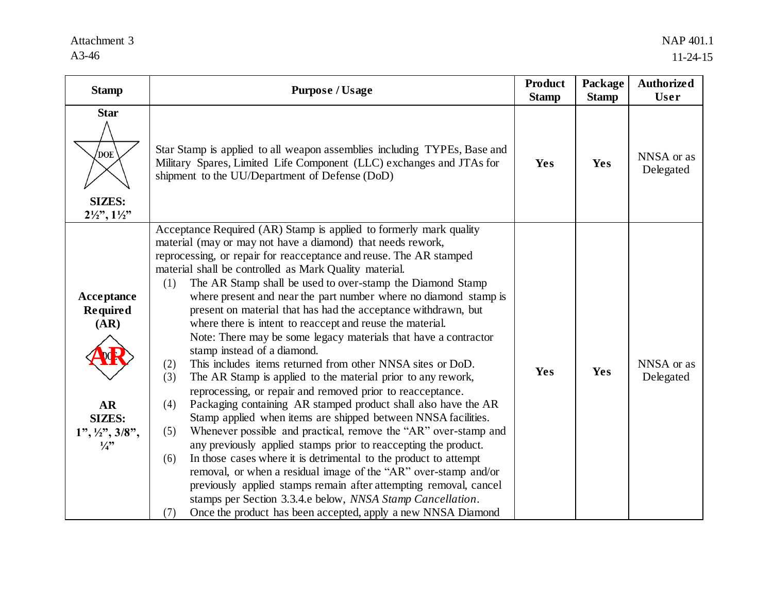## Attachment 3 A3-46

| <b>Stamp</b>                                                                                                                           | <b>Purpose / Usage</b>                                                                                                                                                                                                                                                                                                                                                                                                                                                                                                                                                                                                                                                                                                                                                                                                                                                                                                                                                                                                                                                                                                                                                                                                                                                                                                                                                                                                                                                                               | <b>Product</b><br><b>Stamp</b> | Package<br><b>Stamp</b> | <b>Authorized</b><br><b>User</b> |
|----------------------------------------------------------------------------------------------------------------------------------------|------------------------------------------------------------------------------------------------------------------------------------------------------------------------------------------------------------------------------------------------------------------------------------------------------------------------------------------------------------------------------------------------------------------------------------------------------------------------------------------------------------------------------------------------------------------------------------------------------------------------------------------------------------------------------------------------------------------------------------------------------------------------------------------------------------------------------------------------------------------------------------------------------------------------------------------------------------------------------------------------------------------------------------------------------------------------------------------------------------------------------------------------------------------------------------------------------------------------------------------------------------------------------------------------------------------------------------------------------------------------------------------------------------------------------------------------------------------------------------------------------|--------------------------------|-------------------------|----------------------------------|
| <b>Star</b><br>'doe<br><b>SIZES:</b><br>$2\frac{1}{2}\times$ , $1\frac{1}{2}\times$                                                    | Star Stamp is applied to all weapon assemblies including TYPEs, Base and<br>Military Spares, Limited Life Component (LLC) exchanges and JTAs for<br>shipment to the UU/Department of Defense (DoD)                                                                                                                                                                                                                                                                                                                                                                                                                                                                                                                                                                                                                                                                                                                                                                                                                                                                                                                                                                                                                                                                                                                                                                                                                                                                                                   | Yes                            | <b>Yes</b>              | NNSA or as<br>Delegated          |
| Acceptance<br><b>Required</b><br>(AR)<br>$\overline{\mathbf{AR}}$<br><b>SIZES:</b><br>$1", \frac{1}{2}, \frac{3}{8},$<br>$\frac{1}{3}$ | Acceptance Required (AR) Stamp is applied to formerly mark quality<br>material (may or may not have a diamond) that needs rework,<br>reprocessing, or repair for reacceptance and reuse. The AR stamped<br>material shall be controlled as Mark Quality material.<br>The AR Stamp shall be used to over-stamp the Diamond Stamp<br>(1)<br>where present and near the part number where no diamond stamp is<br>present on material that has had the acceptance withdrawn, but<br>where there is intent to reaccept and reuse the material.<br>Note: There may be some legacy materials that have a contractor<br>stamp instead of a diamond.<br>This includes items returned from other NNSA sites or DoD.<br>(2)<br>(3)<br>The AR Stamp is applied to the material prior to any rework,<br>reprocessing, or repair and removed prior to reacceptance.<br>Packaging containing AR stamped product shall also have the AR<br>(4)<br>Stamp applied when items are shipped between NNSA facilities.<br>Whenever possible and practical, remove the "AR" over-stamp and<br>(5)<br>any previously applied stamps prior to reaccepting the product.<br>In those cases where it is detrimental to the product to attempt<br>(6)<br>removal, or when a residual image of the "AR" over-stamp and/or<br>previously applied stamps remain after attempting removal, cancel<br>stamps per Section 3.3.4.e below, NNSA Stamp Cancellation.<br>Once the product has been accepted, apply a new NNSA Diamond<br>(7) | Yes                            | <b>Yes</b>              | NNSA or as<br>Delegated          |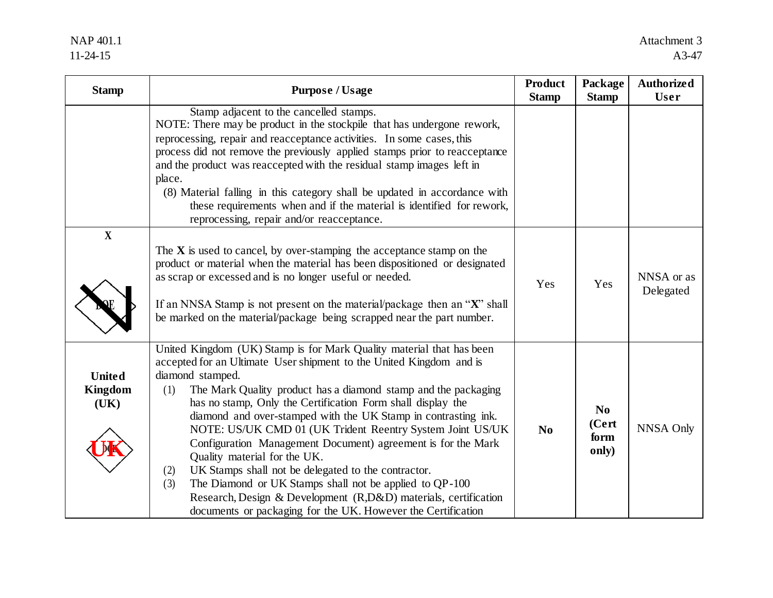## NAP 401.1 11-24-15

| <b>Stamp</b>                            | <b>Purpose / Usage</b>                                                                                                                                                                                                                                                                                                                                                                                                                                                                                                                                                                                                                                                                                                                                                                                    | <b>Product</b><br><b>Stamp</b> | Package<br><b>Stamp</b>                  | <b>Authorized</b><br>User |
|-----------------------------------------|-----------------------------------------------------------------------------------------------------------------------------------------------------------------------------------------------------------------------------------------------------------------------------------------------------------------------------------------------------------------------------------------------------------------------------------------------------------------------------------------------------------------------------------------------------------------------------------------------------------------------------------------------------------------------------------------------------------------------------------------------------------------------------------------------------------|--------------------------------|------------------------------------------|---------------------------|
| $\mathbf X$                             | Stamp adjacent to the cancelled stamps.<br>NOTE: There may be product in the stockpile that has undergone rework,<br>reprocessing, repair and reacceptance activities. In some cases, this<br>process did not remove the previously applied stamps prior to reacceptance<br>and the product was reaccepted with the residual stamp images left in<br>place.<br>(8) Material falling in this category shall be updated in accordance with<br>these requirements when and if the material is identified for rework,<br>reprocessing, repair and/or reacceptance.                                                                                                                                                                                                                                            |                                |                                          |                           |
|                                         | The $X$ is used to cancel, by over-stamping the acceptance stamp on the<br>product or material when the material has been dispositioned or designated<br>as scrap or excessed and is no longer useful or needed.<br>If an NNSA Stamp is not present on the material/package then an "X" shall<br>be marked on the material/package being scrapped near the part number.                                                                                                                                                                                                                                                                                                                                                                                                                                   | Yes                            | Yes                                      | NNSA or as<br>Delegated   |
| <b>United</b><br><b>Kingdom</b><br>(UK) | United Kingdom (UK) Stamp is for Mark Quality material that has been<br>accepted for an Ultimate User shipment to the United Kingdom and is<br>diamond stamped.<br>The Mark Quality product has a diamond stamp and the packaging<br>(1)<br>has no stamp, Only the Certification Form shall display the<br>diamond and over-stamped with the UK Stamp in contrasting ink.<br>NOTE: US/UK CMD 01 (UK Trident Reentry System Joint US/UK<br>Configuration Management Document) agreement is for the Mark<br>Quality material for the UK.<br>UK Stamps shall not be delegated to the contractor.<br>(2)<br>The Diamond or UK Stamps shall not be applied to QP-100<br>(3)<br>Research, Design & Development (R,D&D) materials, certification<br>documents or packaging for the UK. However the Certification | N <sub>0</sub>                 | N <sub>0</sub><br>(Cert<br>form<br>only) | <b>NNSA Only</b>          |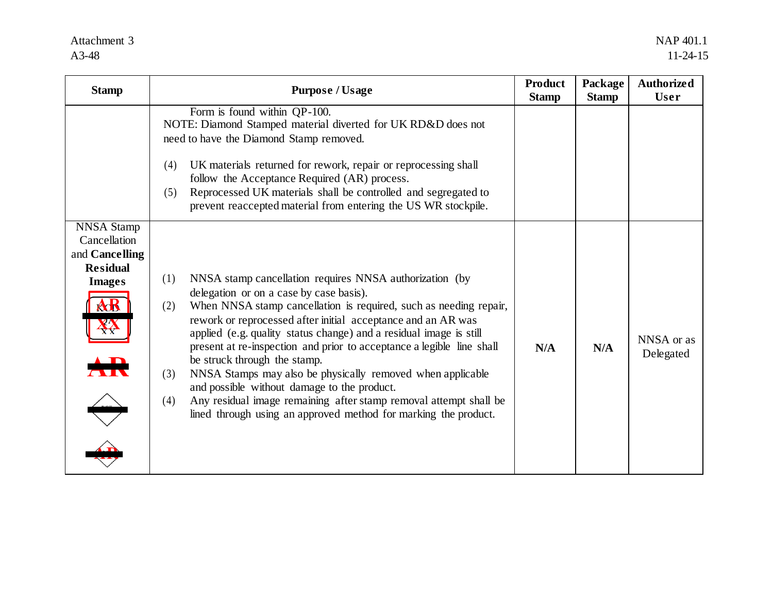## Attachment 3 A3-48

| <b>Stamp</b>                                                                                                      | <b>Purpose / Usage</b>                                                                                                                                                                                                                                                                                                                                                                                                                                                                                                                                                                                                                                                                                  | <b>Product</b><br><b>Stamp</b> | Package<br><b>Stamp</b> | <b>Authorized</b><br><b>User</b> |
|-------------------------------------------------------------------------------------------------------------------|---------------------------------------------------------------------------------------------------------------------------------------------------------------------------------------------------------------------------------------------------------------------------------------------------------------------------------------------------------------------------------------------------------------------------------------------------------------------------------------------------------------------------------------------------------------------------------------------------------------------------------------------------------------------------------------------------------|--------------------------------|-------------------------|----------------------------------|
|                                                                                                                   | Form is found within QP-100.<br>NOTE: Diamond Stamped material diverted for UK RD&D does not<br>need to have the Diamond Stamp removed.<br>UK materials returned for rework, repair or reprocessing shall<br>(4)<br>follow the Acceptance Required (AR) process.<br>Reprocessed UK materials shall be controlled and segregated to<br>(5)<br>prevent reaccepted material from entering the US WR stockpile.                                                                                                                                                                                                                                                                                             |                                |                         |                                  |
| <b>NNSA Stamp</b><br>Cancellation<br>and Cancelling<br><b>Residual</b><br><b>Images</b><br>${\bf A}{\bf B}$<br>XK | NNSA stamp cancellation requires NNSA authorization (by<br>(1)<br>delegation or on a case by case basis).<br>When NNSA stamp cancellation is required, such as needing repair,<br>(2)<br>rework or reprocessed after initial acceptance and an AR was<br>applied (e.g. quality status change) and a residual image is still<br>present at re-inspection and prior to acceptance a legible line shall<br>be struck through the stamp.<br>NNSA Stamps may also be physically removed when applicable<br>(3)<br>and possible without damage to the product.<br>Any residual image remaining after stamp removal attempt shall be<br>(4)<br>lined through using an approved method for marking the product. | N/A                            | N/A                     | NNSA or as<br>Delegated          |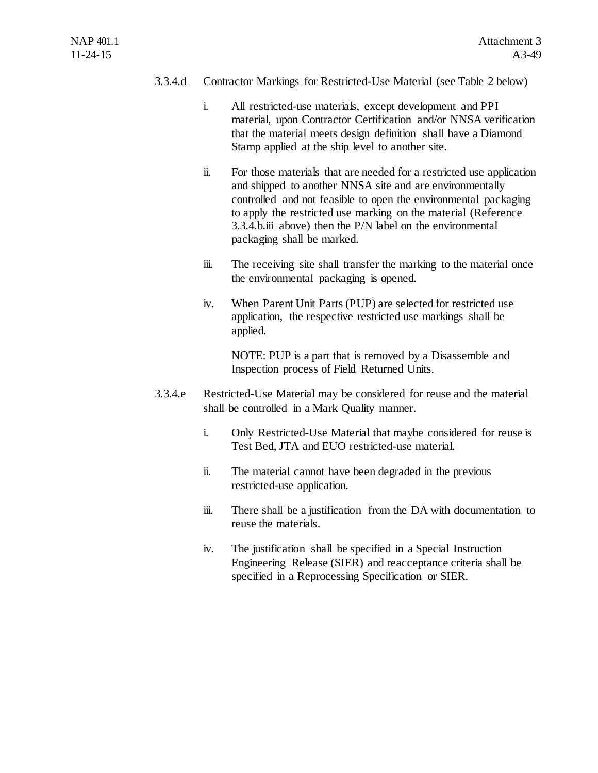## 3.3.4.d Contractor Markings for Restricted-Use Material (see Table 2 below)

- i. All restricted-use materials, except development and PPI material, upon Contractor Certification and/or NNSA verification that the material meets design definition shall have a Diamond Stamp applied at the ship level to another site.
- ii. For those materials that are needed for a restricted use application and shipped to another NNSA site and are environmentally controlled and not feasible to open the environmental packaging to apply the restricted use marking on the material (Reference 3.3.4.b.iii above) then the P/N label on the environmental packaging shall be marked.
- iii. The receiving site shall transfer the marking to the material once the environmental packaging is opened.
- iv. When Parent Unit Parts (PUP) are selected for restricted use application, the respective restricted use markings shall be applied.

NOTE: PUP is a part that is removed by a Disassemble and Inspection process of Field Returned Units.

- 3.3.4.e Restricted-Use Material may be considered for reuse and the material shall be controlled in a Mark Quality manner.
	- i. Only Restricted-Use Material that maybe considered for reuse is Test Bed, JTA and EUO restricted-use material.
	- ii. The material cannot have been degraded in the previous restricted-use application.
	- iii. There shall be a justification from the DA with documentation to reuse the materials.
	- iv. The justification shall be specified in a Special Instruction Engineering Release (SIER) and reacceptance criteria shall be specified in a Reprocessing Specification or SIER.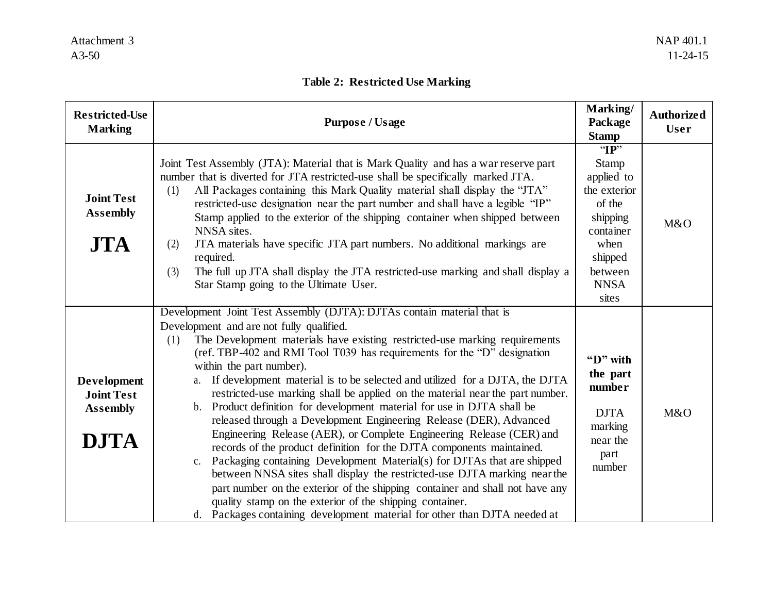## **Table 2: Restricted Use Marking**

| <b>Restricted-Use</b><br><b>Marking</b>                                   | <b>Purpose / Usage</b>                                                                                                                                                                                                                                                                                                                                                                                                                                                                                                                                                                                                                                                                                                                                                                                                                                                                                                                                                                                                                                                                                                                                                             | Marking/<br>Package<br><b>Stamp</b>                                                                                                      | <b>Authorized</b><br><b>User</b> |
|---------------------------------------------------------------------------|------------------------------------------------------------------------------------------------------------------------------------------------------------------------------------------------------------------------------------------------------------------------------------------------------------------------------------------------------------------------------------------------------------------------------------------------------------------------------------------------------------------------------------------------------------------------------------------------------------------------------------------------------------------------------------------------------------------------------------------------------------------------------------------------------------------------------------------------------------------------------------------------------------------------------------------------------------------------------------------------------------------------------------------------------------------------------------------------------------------------------------------------------------------------------------|------------------------------------------------------------------------------------------------------------------------------------------|----------------------------------|
| <b>Joint Test</b><br><b>Assembly</b><br><b>JTA</b>                        | Joint Test Assembly (JTA): Material that is Mark Quality and has a war reserve part<br>number that is diverted for JTA restricted-use shall be specifically marked JTA.<br>All Packages containing this Mark Quality material shall display the "JTA"<br>(1)<br>restricted-use designation near the part number and shall have a legible "IP"<br>Stamp applied to the exterior of the shipping container when shipped between<br>NNSA sites.<br>JTA materials have specific JTA part numbers. No additional markings are<br>(2)<br>required.<br>The full up JTA shall display the JTA restricted-use marking and shall display a<br>(3)<br>Star Stamp going to the Ultimate User.                                                                                                                                                                                                                                                                                                                                                                                                                                                                                                  | T<br><b>Stamp</b><br>applied to<br>the exterior<br>of the<br>shipping<br>container<br>when<br>shipped<br>between<br><b>NNSA</b><br>sites | M&O                              |
| <b>Development</b><br><b>Joint Test</b><br><b>Assembly</b><br><b>DJTA</b> | Development Joint Test Assembly (DJTA): DJTAs contain material that is<br>Development and are not fully qualified.<br>The Development materials have existing restricted-use marking requirements<br>(1)<br>(ref. TBP-402 and RMI Tool T039 has requirements for the "D" designation<br>within the part number).<br>If development material is to be selected and utilized for a DJTA, the DJTA<br>a.<br>restricted-use marking shall be applied on the material near the part number.<br>Product definition for development material for use in DJTA shall be<br>b.<br>released through a Development Engineering Release (DER), Advanced<br>Engineering Release (AER), or Complete Engineering Release (CER) and<br>records of the product definition for the DJTA components maintained.<br>Packaging containing Development Material(s) for DJTAs that are shipped<br>c.<br>between NNSA sites shall display the restricted-use DJTA marking near the<br>part number on the exterior of the shipping container and shall not have any<br>quality stamp on the exterior of the shipping container.<br>d. Packages containing development material for other than DJTA needed at | "D" with<br>the part<br>number<br><b>DJTA</b><br>marking<br>near the<br>part<br>number                                                   | M&O                              |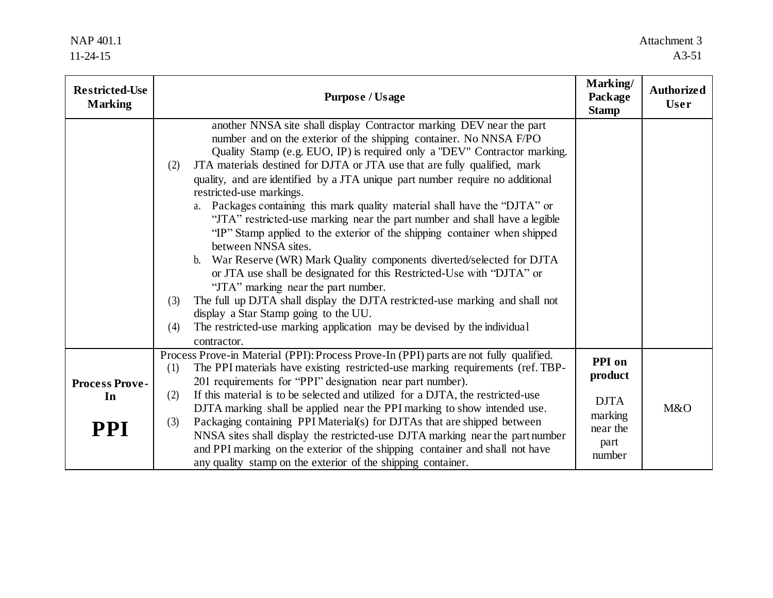| <b>Restricted-Use</b><br><b>Marking</b>   | <b>Purpose / Usage</b>                                                                                                                                                                                                                                                                                                                                                                                                                                                                                                                                                                                                                                                                                                                                                                                                                                                                                                                                                                                                                                                                                                             | Marking/<br>Package<br><b>Stamp</b>                                       | <b>Authorized</b><br><b>User</b> |
|-------------------------------------------|------------------------------------------------------------------------------------------------------------------------------------------------------------------------------------------------------------------------------------------------------------------------------------------------------------------------------------------------------------------------------------------------------------------------------------------------------------------------------------------------------------------------------------------------------------------------------------------------------------------------------------------------------------------------------------------------------------------------------------------------------------------------------------------------------------------------------------------------------------------------------------------------------------------------------------------------------------------------------------------------------------------------------------------------------------------------------------------------------------------------------------|---------------------------------------------------------------------------|----------------------------------|
|                                           | another NNSA site shall display Contractor marking DEV near the part<br>number and on the exterior of the shipping container. No NNSA F/PO<br>Quality Stamp (e.g. EUO, IP) is required only a "DEV" Contractor marking.<br>JTA materials destined for DJTA or JTA use that are fully qualified, mark<br>(2)<br>quality, and are identified by a JTA unique part number require no additional<br>restricted-use markings.<br>a. Packages containing this mark quality material shall have the "DJTA" or<br>"JTA" restricted-use marking near the part number and shall have a legible<br>"IP" Stamp applied to the exterior of the shipping container when shipped<br>between NNSA sites.<br>War Reserve (WR) Mark Quality components diverted/selected for DJTA<br>$\mathbf{b}$ .<br>or JTA use shall be designated for this Restricted-Use with "DJTA" or<br>"JTA" marking near the part number.<br>The full up DJTA shall display the DJTA restricted-use marking and shall not<br>(3)<br>display a Star Stamp going to the UU.<br>The restricted-use marking application may be devised by the individual<br>(4)<br>contractor. |                                                                           |                                  |
| <b>Process Prove-</b><br>In<br><b>PPI</b> | Process Prove-in Material (PPI): Process Prove-In (PPI) parts are not fully qualified.<br>The PPI materials have existing restricted-use marking requirements (ref. TBP-<br>(1)<br>201 requirements for "PPI" designation near part number).<br>If this material is to be selected and utilized for a DJTA, the restricted-use<br>(2)<br>DJTA marking shall be applied near the PPI marking to show intended use.<br>Packaging containing PPI Material(s) for DJTAs that are shipped between<br>(3)<br>NNSA sites shall display the restricted-use DJTA marking near the part number<br>and PPI marking on the exterior of the shipping container and shall not have<br>any quality stamp on the exterior of the shipping container.                                                                                                                                                                                                                                                                                                                                                                                               | PPI on<br>product<br><b>DJTA</b><br>marking<br>near the<br>part<br>number | M&O                              |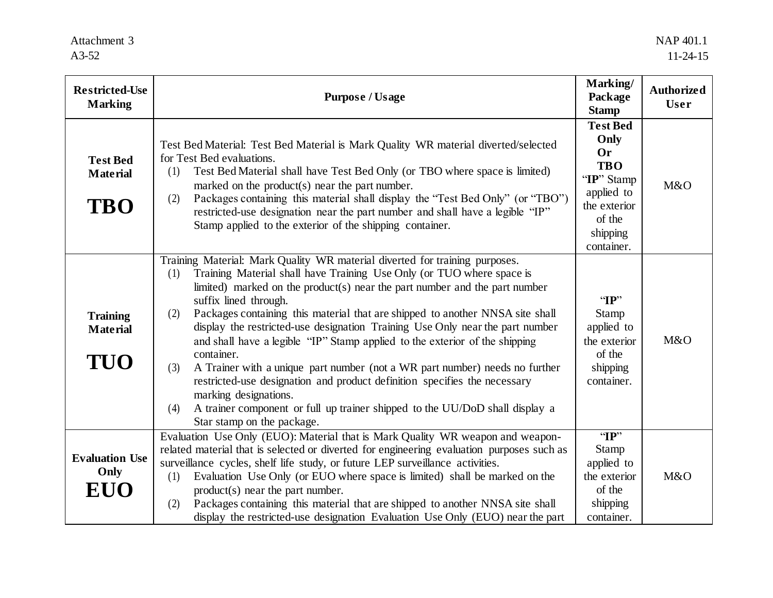| <b>Restricted-Use</b><br><b>Marking</b>          | <b>Purpose / Usage</b>                                                                                                                                                                                                                                                                                                                                                                                                                                                                                                                                                                                                                                                                                                                                                                                                                                    | Marking/<br>Package<br><b>Stamp</b>                                                                                                | <b>Authorized</b><br><b>User</b> |
|--------------------------------------------------|-----------------------------------------------------------------------------------------------------------------------------------------------------------------------------------------------------------------------------------------------------------------------------------------------------------------------------------------------------------------------------------------------------------------------------------------------------------------------------------------------------------------------------------------------------------------------------------------------------------------------------------------------------------------------------------------------------------------------------------------------------------------------------------------------------------------------------------------------------------|------------------------------------------------------------------------------------------------------------------------------------|----------------------------------|
| <b>Test Bed</b><br><b>Material</b><br><b>TBO</b> | Test Bed Material: Test Bed Material is Mark Quality WR material diverted/selected<br>for Test Bed evaluations.<br>Test Bed Material shall have Test Bed Only (or TBO where space is limited)<br>(1)<br>marked on the product(s) near the part number.<br>Packages containing this material shall display the "Test Bed Only" (or "TBO")<br>(2)<br>restricted-use designation near the part number and shall have a legible "IP"<br>Stamp applied to the exterior of the shipping container.                                                                                                                                                                                                                                                                                                                                                              | <b>Test Bed</b><br>Only<br><b>Or</b><br><b>TBO</b><br>"IP" Stamp<br>applied to<br>the exterior<br>of the<br>shipping<br>container. | M&O                              |
| <b>Training</b><br><b>Material</b><br>TUO        | Training Material: Mark Quality WR material diverted for training purposes.<br>Training Material shall have Training Use Only (or TUO where space is<br>(1)<br>limited) marked on the product(s) near the part number and the part number<br>suffix lined through.<br>Packages containing this material that are shipped to another NNSA site shall<br>(2)<br>display the restricted-use designation Training Use Only near the part number<br>and shall have a legible "IP" Stamp applied to the exterior of the shipping<br>container.<br>A Trainer with a unique part number (not a WR part number) needs no further<br>(3)<br>restricted-use designation and product definition specifies the necessary<br>marking designations.<br>A trainer component or full up trainer shipped to the UU/DoD shall display a<br>(4)<br>Star stamp on the package. | T<br><b>Stamp</b><br>applied to<br>the exterior<br>of the<br>shipping<br>container.                                                | M&O                              |
| <b>Evaluation Use</b><br>Only<br>EUO             | Evaluation Use Only (EUO): Material that is Mark Quality WR weapon and weapon-<br>related material that is selected or diverted for engineering evaluation purposes such as<br>surveillance cycles, shelf life study, or future LEP surveillance activities.<br>Evaluation Use Only (or EUO where space is limited) shall be marked on the<br>(1)<br>$product(s)$ near the part number.<br>Packages containing this material that are shipped to another NNSA site shall<br>(2)<br>display the restricted-use designation Evaluation Use Only (EUO) near the part                                                                                                                                                                                                                                                                                         | T<br>Stamp<br>applied to<br>the exterior<br>of the<br>shipping<br>container.                                                       | M&O                              |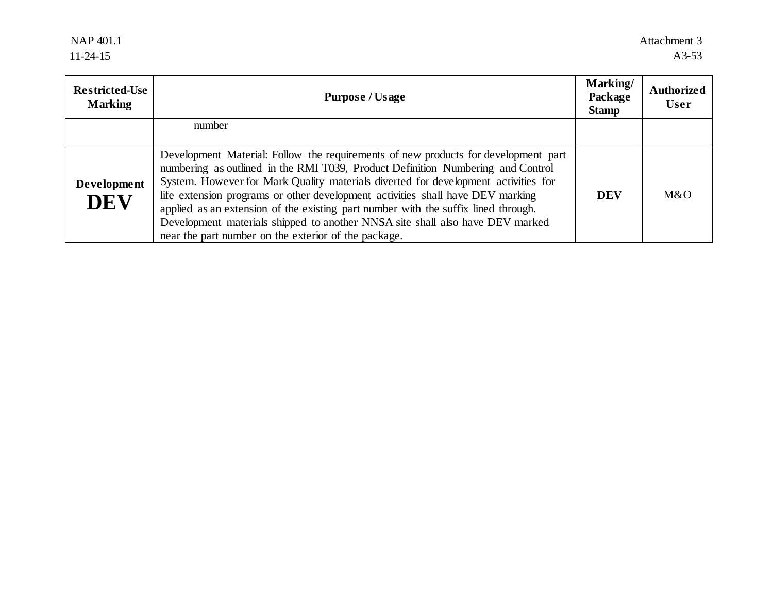NAP 401.1 11-24-15

| <b>Restricted-Use</b><br><b>Marking</b> | <b>Purpose / Usage</b>                                                                                                                                                                                                                                                                                                                                                                                                                                                                                                                                                       | Marking/<br>Package<br><b>Stamp</b> | <b>Authorized</b><br><b>User</b> |
|-----------------------------------------|------------------------------------------------------------------------------------------------------------------------------------------------------------------------------------------------------------------------------------------------------------------------------------------------------------------------------------------------------------------------------------------------------------------------------------------------------------------------------------------------------------------------------------------------------------------------------|-------------------------------------|----------------------------------|
|                                         | number                                                                                                                                                                                                                                                                                                                                                                                                                                                                                                                                                                       |                                     |                                  |
| Development<br><b>DEV</b>               | Development Material: Follow the requirements of new products for development part<br>numbering as outlined in the RMI T039, Product Definition Numbering and Control<br>System. However for Mark Quality materials diverted for development activities for<br>life extension programs or other development activities shall have DEV marking<br>applied as an extension of the existing part number with the suffix lined through.<br>Development materials shipped to another NNSA site shall also have DEV marked<br>near the part number on the exterior of the package. | <b>DEV</b>                          | M&O                              |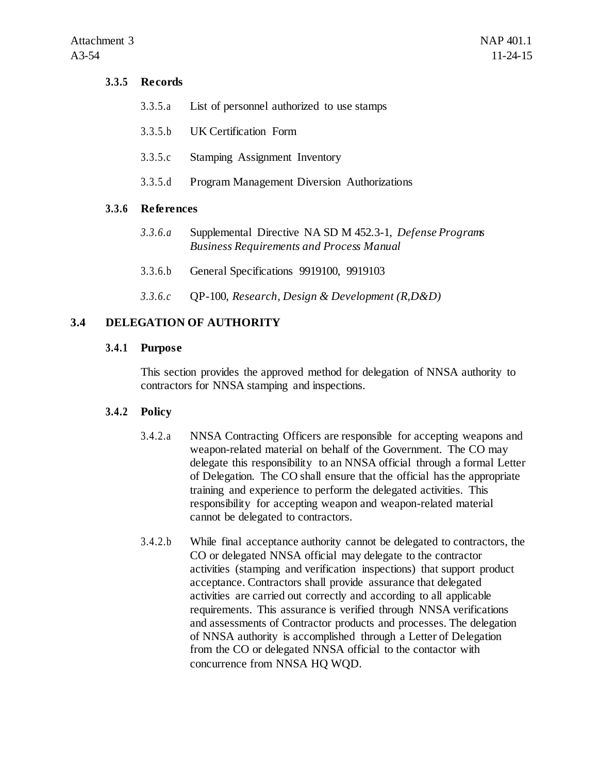## **3.3.5 Records**

- 3.3.5.a List of personnel authorized to use stamps
- 3.3.5.b UK Certification Form
- 3.3.5.c Stamping Assignment Inventory
- 3.3.5.d Program Management Diversion Authorizations

#### **3.3.6 References**

- *3.3.6.a* Supplemental Directive NA SD M 452.3-1, *Defense Programs Business Requirements and Process Manual*
- 3.3.6.b General Specifications 9919100, 9919103
- *3.3.6.c* QP-100, *Research, Design & Development (R,D&D)*

## **3.4 DELEGATION OF AUTHORITY**

## **3.4.1 Purpose**

This section provides the approved method for delegation of NNSA authority to contractors for NNSA stamping and inspections.

#### **3.4.2 Policy**

- 3.4.2.a NNSA Contracting Officers are responsible for accepting weapons and weapon-related material on behalf of the Government. The CO may delegate this responsibility to an NNSA official through a formal Letter of Delegation. The CO shall ensure that the official has the appropriate training and experience to perform the delegated activities. This responsibility for accepting weapon and weapon-related material cannot be delegated to contractors.
- 3.4.2.b While final acceptance authority cannot be delegated to contractors, the CO or delegated NNSA official may delegate to the contractor activities (stamping and verification inspections) that support product acceptance. Contractors shall provide assurance that delegated activities are carried out correctly and according to all applicable requirements. This assurance is verified through NNSA verifications and assessments of Contractor products and processes. The delegation of NNSA authority is accomplished through a Letter of Delegation from the CO or delegated NNSA official to the contactor with concurrence from NNSA HQ WQD.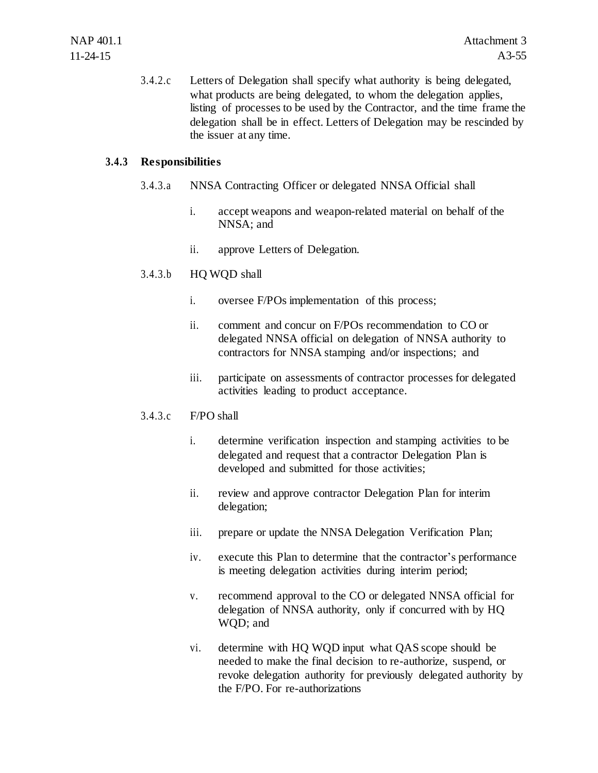3.4.2.c Letters of Delegation shall specify what authority is being delegated, what products are being delegated, to whom the delegation applies, listing of processes to be used by the Contractor, and the time frame the delegation shall be in effect. Letters of Delegation may be rescinded by the issuer at any time.

## **3.4.3 Responsibilities**

- 3.4.3.a NNSA Contracting Officer or delegated NNSA Official shall
	- i. accept weapons and weapon-related material on behalf of the NNSA; and
	- ii. approve Letters of Delegation.
- 3.4.3.b HQ WQD shall
	- i. oversee F/POs implementation of this process;
	- ii. comment and concur on F/POs recommendation to CO or delegated NNSA official on delegation of NNSA authority to contractors for NNSA stamping and/or inspections; and
	- iii. participate on assessments of contractor processes for delegated activities leading to product acceptance.

## 3.4.3.c F/PO shall

- i. determine verification inspection and stamping activities to be delegated and request that a contractor Delegation Plan is developed and submitted for those activities;
- ii. review and approve contractor Delegation Plan for interim delegation;
- iii. prepare or update the NNSA Delegation Verification Plan;
- iv. execute this Plan to determine that the contractor's performance is meeting delegation activities during interim period;
- v. recommend approval to the CO or delegated NNSA official for delegation of NNSA authority, only if concurred with by HQ WQD; and
- vi. determine with HQ WQD input what QAS scope should be needed to make the final decision to re-authorize, suspend, or revoke delegation authority for previously delegated authority by the F/PO. For re-authorizations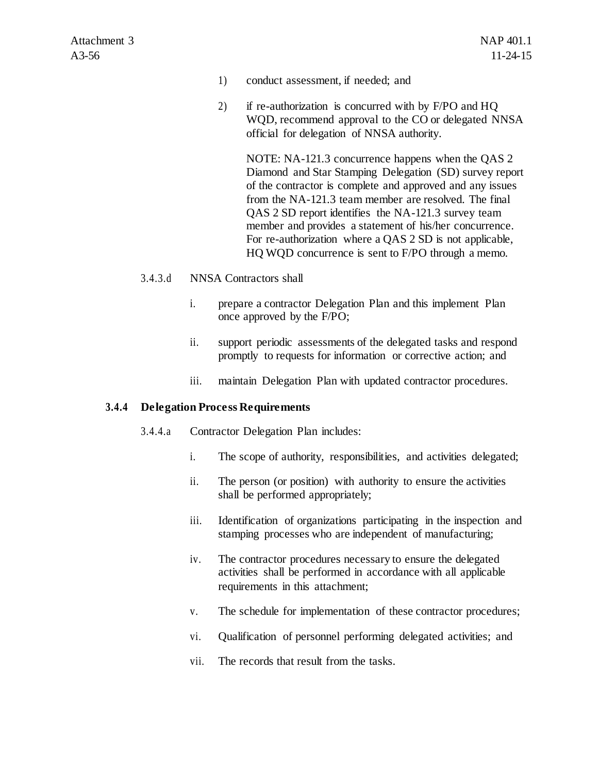- 1) conduct assessment, if needed; and
- 2) if re-authorization is concurred with by F/PO and HQ WQD, recommend approval to the CO or delegated NNSA official for delegation of NNSA authority.

NOTE: NA-121.3 concurrence happens when the QAS 2 Diamond and Star Stamping Delegation (SD) survey report of the contractor is complete and approved and any issues from the NA-121.3 team member are resolved. The final QAS 2 SD report identifies the NA-121.3 survey team member and provides a statement of his/her concurrence. For re-authorization where a QAS 2 SD is not applicable, HQ WQD concurrence is sent to F/PO through a memo.

#### 3.4.3.d NNSA Contractors shall

- i. prepare a contractor Delegation Plan and this implement Plan once approved by the F/PO;
- ii. support periodic assessments of the delegated tasks and respond promptly to requests for information or corrective action; and
- iii. maintain Delegation Plan with updated contractor procedures.

#### **3.4.4 Delegation Process Requirements**

- 3.4.4.a Contractor Delegation Plan includes:
	- i. The scope of authority, responsibilities, and activities delegated;
	- ii. The person (or position) with authority to ensure the activities shall be performed appropriately;
	- iii. Identification of organizations participating in the inspection and stamping processes who are independent of manufacturing;
	- iv. The contractor procedures necessary to ensure the delegated activities shall be performed in accordance with all applicable requirements in this attachment;
	- v. The schedule for implementation of these contractor procedures;
	- vi. Qualification of personnel performing delegated activities; and
	- vii. The records that result from the tasks.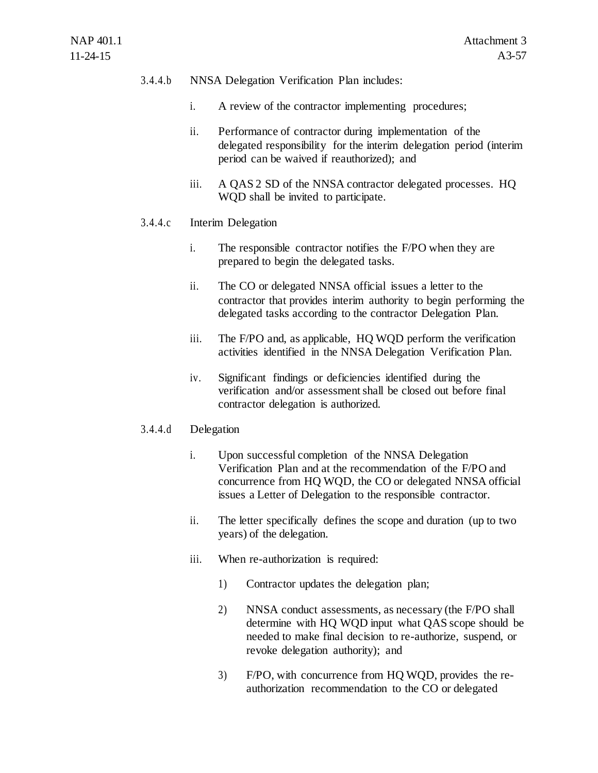## 3.4.4.b NNSA Delegation Verification Plan includes:

- i. A review of the contractor implementing procedures;
- ii. Performance of contractor during implementation of the delegated responsibility for the interim delegation period (interim period can be waived if reauthorized); and
- iii. A QAS 2 SD of the NNSA contractor delegated processes. HQ WQD shall be invited to participate.

#### 3.4.4.c Interim Delegation

- i. The responsible contractor notifies the F/PO when they are prepared to begin the delegated tasks.
- ii. The CO or delegated NNSA official issues a letter to the contractor that provides interim authority to begin performing the delegated tasks according to the contractor Delegation Plan.
- iii. The F/PO and, as applicable, HQ WQD perform the verification activities identified in the NNSA Delegation Verification Plan.
- iv. Significant findings or deficiencies identified during the verification and/or assessment shall be closed out before final contractor delegation is authorized.

### 3.4.4.d Delegation

- i. Upon successful completion of the NNSA Delegation Verification Plan and at the recommendation of the F/PO and concurrence from HQ WQD, the CO or delegated NNSA official issues a Letter of Delegation to the responsible contractor.
- ii. The letter specifically defines the scope and duration (up to two years) of the delegation.
- iii. When re-authorization is required:
	- 1) Contractor updates the delegation plan;
	- 2) NNSA conduct assessments, as necessary (the F/PO shall determine with HQ WQD input what QAS scope should be needed to make final decision to re-authorize, suspend, or revoke delegation authority); and
	- 3) F/PO, with concurrence from HQ WQD, provides the reauthorization recommendation to the CO or delegated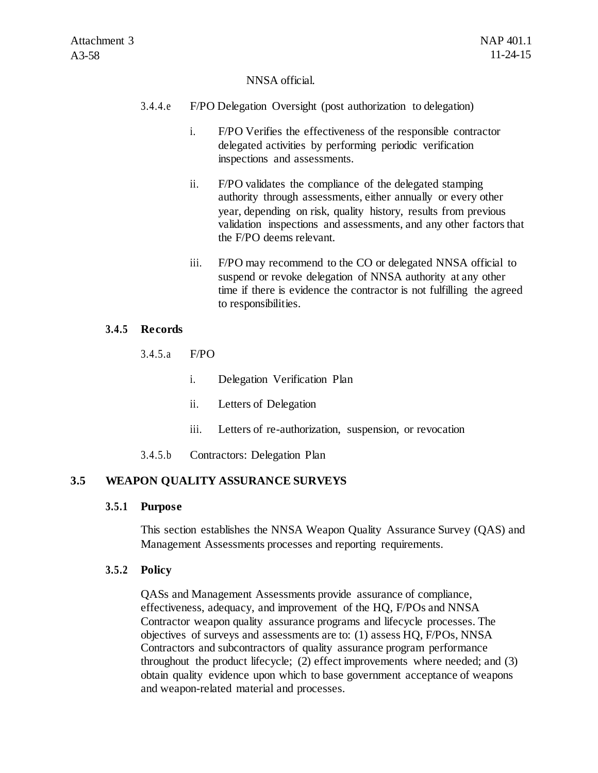#### NNSA official.

- 3.4.4.e F/PO Delegation Oversight (post authorization to delegation)
	- i. F/PO Verifies the effectiveness of the responsible contractor delegated activities by performing periodic verification inspections and assessments.
	- ii. F/PO validates the compliance of the delegated stamping authority through assessments, either annually or every other year, depending on risk, quality history, results from previous validation inspections and assessments, and any other factors that the F/PO deems relevant.
	- iii. F/PO may recommend to the CO or delegated NNSA official to suspend or revoke delegation of NNSA authority at any other time if there is evidence the contractor is not fulfilling the agreed to responsibilities.

#### **3.4.5 Records**

3.4.5.a F/PO

- i. Delegation Verification Plan
- ii. Letters of Delegation
- iii. Letters of re-authorization, suspension, or revocation
- 3.4.5.b Contractors: Delegation Plan

#### **3.5 WEAPON QUALITY ASSURANCE SURVEYS**

#### **3.5.1 Purpose**

This section establishes the NNSA Weapon Quality Assurance Survey (QAS) and Management Assessments processes and reporting requirements.

#### **3.5.2 Policy**

QASs and Management Assessments provide assurance of compliance, effectiveness, adequacy, and improvement of the HQ, F/POs and NNSA Contractor weapon quality assurance programs and lifecycle processes. The objectives of surveys and assessments are to: (1) assess HQ, F/POs, NNSA Contractors and subcontractors of quality assurance program performance throughout the product lifecycle; (2) effect improvements where needed; and (3) obtain quality evidence upon which to base government acceptance of weapons and weapon-related material and processes.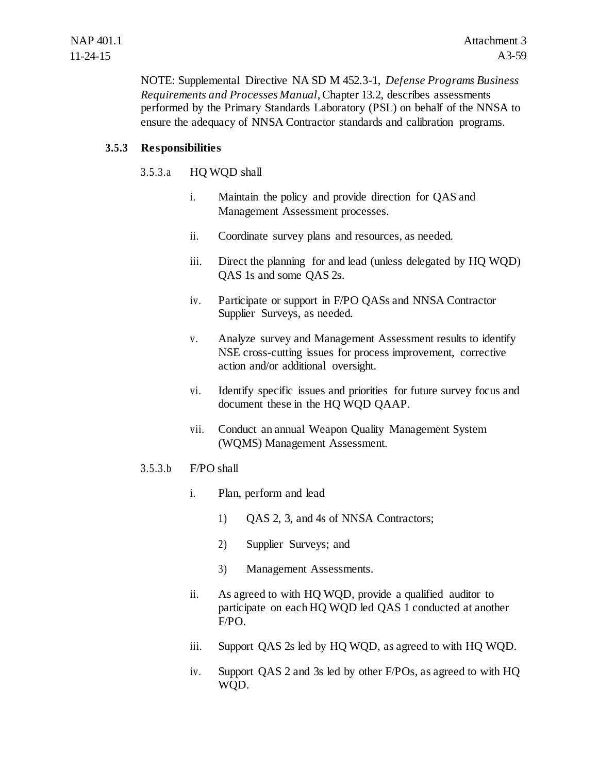NOTE: Supplemental Directive NA SD M 452.3-1, *Defense Programs Business Requirements and Processes Manual*, Chapter 13.2, describes assessments performed by the Primary Standards Laboratory (PSL) on behalf of the NNSA to ensure the adequacy of NNSA Contractor standards and calibration programs.

## **3.5.3 Responsibilities**

## 3.5.3.a HQ WQD shall

- i. Maintain the policy and provide direction for QAS and Management Assessment processes.
- ii. Coordinate survey plans and resources, as needed.
- iii. Direct the planning for and lead (unless delegated by HQ WQD) QAS 1s and some QAS 2s.
- iv. Participate or support in F/PO QASs and NNSA Contractor Supplier Surveys, as needed.
- v. Analyze survey and Management Assessment results to identify NSE cross-cutting issues for process improvement, corrective action and/or additional oversight.
- vi. Identify specific issues and priorities for future survey focus and document these in the HQ WQD QAAP.
- vii. Conduct an annual Weapon Quality Management System (WQMS) Management Assessment.

## 3.5.3.b F/PO shall

- i. Plan, perform and lead
	- 1) QAS 2, 3, and 4s of NNSA Contractors;
	- 2) Supplier Surveys; and
	- 3) Management Assessments.
- ii. As agreed to with HQ WQD, provide a qualified auditor to participate on each HQ WQD led QAS 1 conducted at another F/PO.
- iii. Support QAS 2s led by HQ WQD, as agreed to with HQ WQD.
- iv. Support QAS 2 and 3s led by other F/POs, as agreed to with HQ WQD.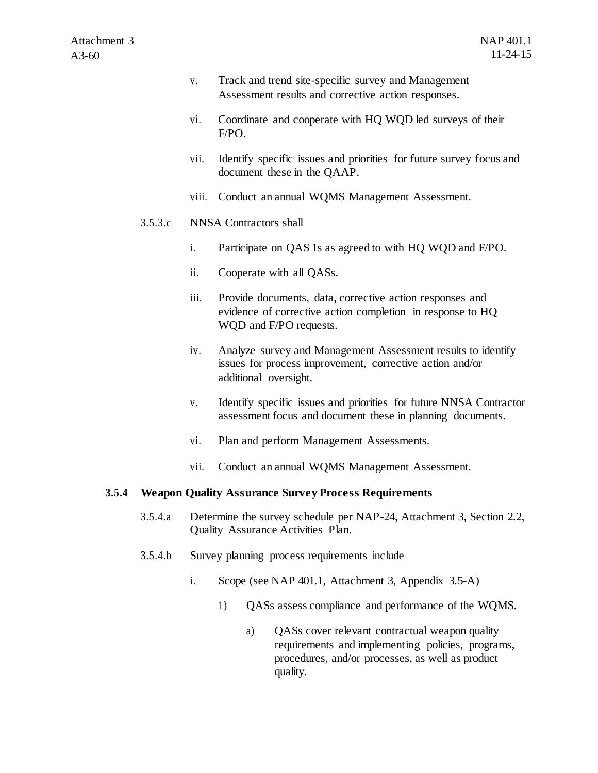- v. Track and trend site-specific survey and Management Assessment results and corrective action responses.
- vi. Coordinate and cooperate with HQ WQD led surveys of their F/PO.
- vii. Identify specific issues and priorities for future survey focus and document these in the QAAP.
- viii. Conduct an annual WQMS Management Assessment.

#### 3.5.3.c NNSA Contractors shall

- i. Participate on QAS 1s as agreed to with HQ WQD and F/PO.
- ii. Cooperate with all QASs.
- iii. Provide documents, data, corrective action responses and evidence of corrective action completion in response to HQ WQD and F/PO requests.
- iv. Analyze survey and Management Assessment results to identify issues for process improvement, corrective action and/or additional oversight.
- v. Identify specific issues and priorities for future NNSA Contractor assessment focus and document these in planning documents.
- vi. Plan and perform Management Assessments.
- vii. Conduct an annual WQMS Management Assessment.

#### **3.5.4 Weapon Quality Assurance Survey Process Requirements**

- 3.5.4.a Determine the survey schedule per NAP-24, Attachment 3, Section 2.2, Quality Assurance Activities Plan.
- 3.5.4.b Survey planning process requirements include
	- i. Scope (see NAP 401.1, Attachment 3, Appendix 3.5-A)
		- 1) QASs assess compliance and performance of the WQMS.
			- a) QASs cover relevant contractual weapon quality requirements and implementing policies, programs, procedures, and/or processes, as well as product quality.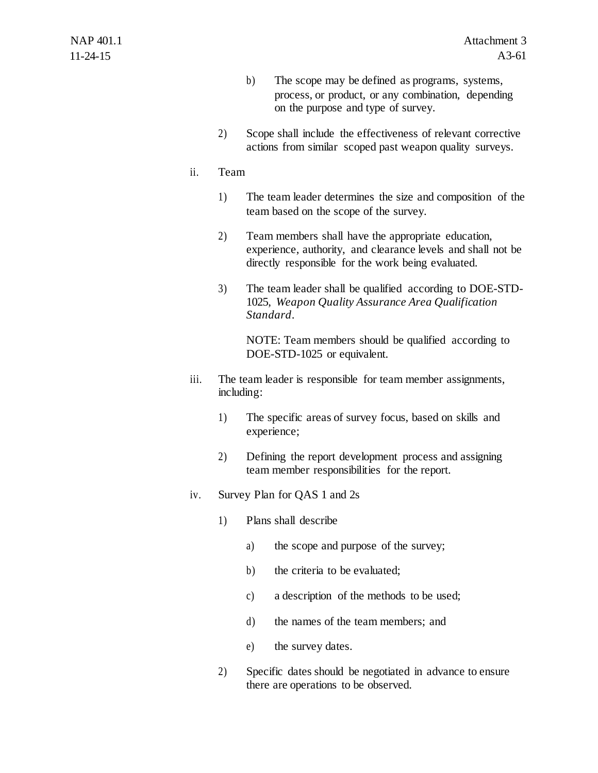- b) The scope may be defined as programs, systems, process, or product, or any combination, depending on the purpose and type of survey.
- 2) Scope shall include the effectiveness of relevant corrective actions from similar scoped past weapon quality surveys.

## ii. Team

- 1) The team leader determines the size and composition of the team based on the scope of the survey.
- 2) Team members shall have the appropriate education, experience, authority, and clearance levels and shall not be directly responsible for the work being evaluated.
- 3) The team leader shall be qualified according to DOE-STD-1025, *Weapon Quality Assurance Area Qualification Standard*.

NOTE: Team members should be qualified according to DOE-STD-1025 or equivalent.

- iii. The team leader is responsible for team member assignments, including:
	- 1) The specific areas of survey focus, based on skills and experience;
	- 2) Defining the report development process and assigning team member responsibilities for the report.
- iv. Survey Plan for QAS 1 and 2s
	- 1) Plans shall describe
		- a) the scope and purpose of the survey;
		- b) the criteria to be evaluated;
		- c) a description of the methods to be used;
		- d) the names of the team members; and
		- e) the survey dates.
	- 2) Specific dates should be negotiated in advance to ensure there are operations to be observed.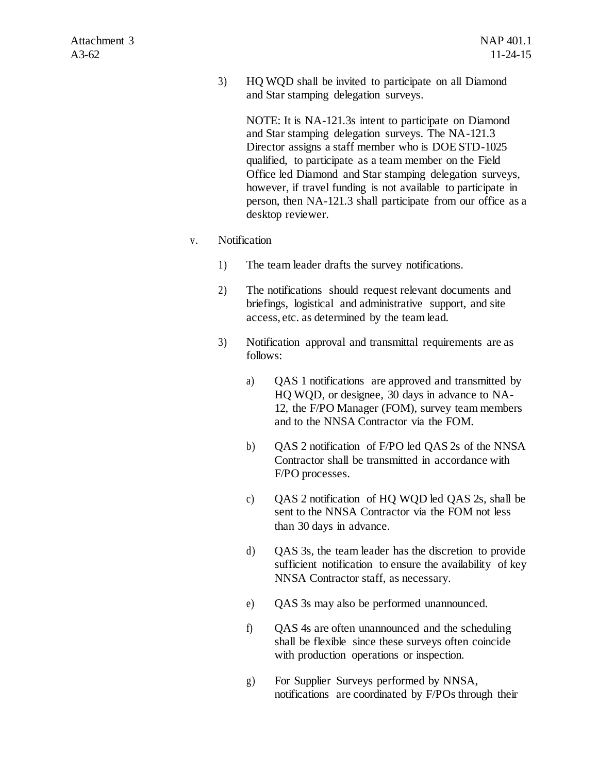3) HQ WQD shall be invited to participate on all Diamond and Star stamping delegation surveys.

NOTE: It is NA-121.3s intent to participate on Diamond and Star stamping delegation surveys. The NA-121.3 Director assigns a staff member who is DOE STD-1025 qualified, to participate as a team member on the Field Office led Diamond and Star stamping delegation surveys, however, if travel funding is not available to participate in person, then NA-121.3 shall participate from our office as a desktop reviewer.

- v. Notification
	- 1) The team leader drafts the survey notifications.
	- 2) The notifications should request relevant documents and briefings, logistical and administrative support, and site access, etc. as determined by the team lead.
	- 3) Notification approval and transmittal requirements are as follows:
		- a) QAS 1 notifications are approved and transmitted by HQ WQD, or designee, 30 days in advance to NA-12, the F/PO Manager (FOM), survey team members and to the NNSA Contractor via the FOM.
		- b) QAS 2 notification of F/PO led QAS 2s of the NNSA Contractor shall be transmitted in accordance with F/PO processes.
		- c) QAS 2 notification of HQ WQD led QAS 2s, shall be sent to the NNSA Contractor via the FOM not less than 30 days in advance.
		- d) QAS 3s, the team leader has the discretion to provide sufficient notification to ensure the availability of key NNSA Contractor staff, as necessary.
		- e) QAS 3s may also be performed unannounced.
		- f) QAS 4s are often unannounced and the scheduling shall be flexible since these surveys often coincide with production operations or inspection.
		- g) For Supplier Surveys performed by NNSA, notifications are coordinated by F/POs through their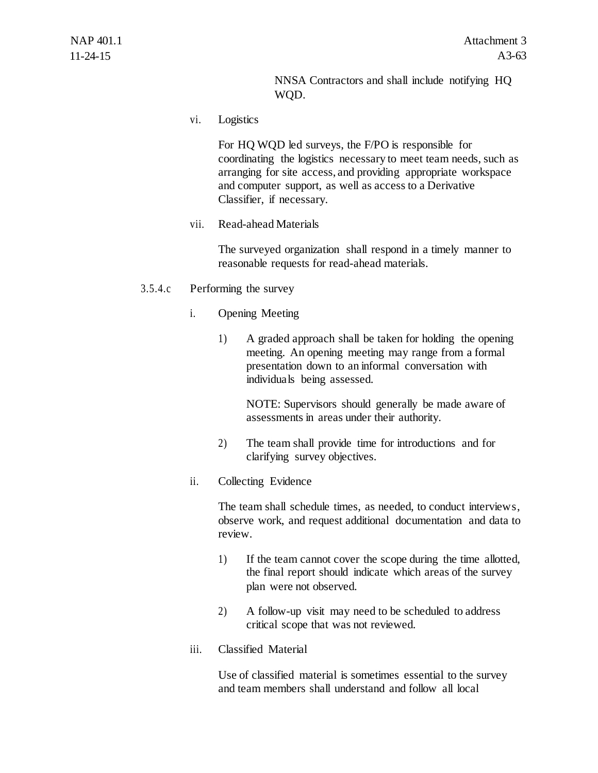NNSA Contractors and shall include notifying HQ WQD.

vi. Logistics

For HQ WQD led surveys, the F/PO is responsible for coordinating the logistics necessary to meet team needs, such as arranging for site access, and providing appropriate workspace and computer support, as well as access to a Derivative Classifier, if necessary.

vii. Read-ahead Materials

The surveyed organization shall respond in a timely manner to reasonable requests for read-ahead materials.

#### 3.5.4.c Performing the survey

- i. Opening Meeting
	- 1) A graded approach shall be taken for holding the opening meeting. An opening meeting may range from a formal presentation down to an informal conversation with individuals being assessed.

NOTE: Supervisors should generally be made aware of assessments in areas under their authority.

- 2) The team shall provide time for introductions and for clarifying survey objectives.
- ii. Collecting Evidence

The team shall schedule times, as needed, to conduct interviews, observe work, and request additional documentation and data to review.

- 1) If the team cannot cover the scope during the time allotted, the final report should indicate which areas of the survey plan were not observed.
- 2) A follow-up visit may need to be scheduled to address critical scope that was not reviewed.
- iii. Classified Material

Use of classified material is sometimes essential to the survey and team members shall understand and follow all local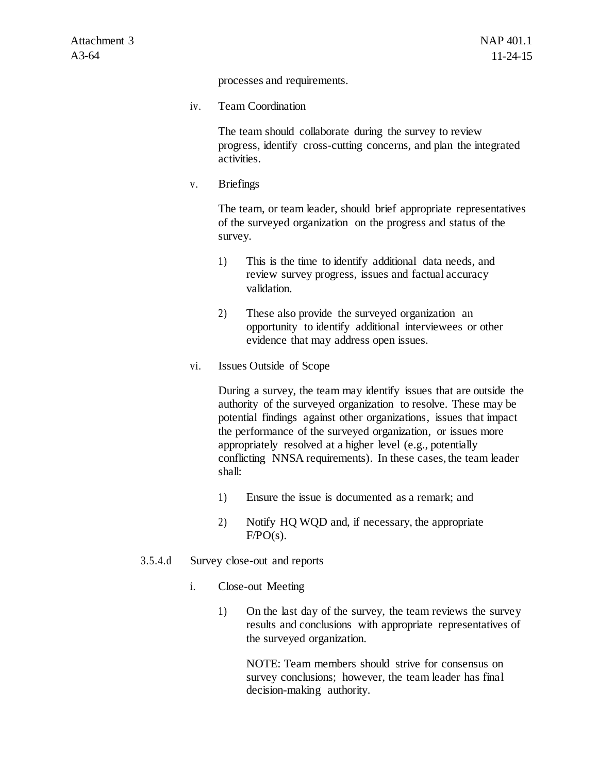processes and requirements.

iv. Team Coordination

The team should collaborate during the survey to review progress, identify cross-cutting concerns, and plan the integrated activities.

v. Briefings

The team, or team leader, should brief appropriate representatives of the surveyed organization on the progress and status of the survey.

- 1) This is the time to identify additional data needs, and review survey progress, issues and factual accuracy validation.
- 2) These also provide the surveyed organization an opportunity to identify additional interviewees or other evidence that may address open issues.
- vi. Issues Outside of Scope

During a survey, the team may identify issues that are outside the authority of the surveyed organization to resolve. These may be potential findings against other organizations, issues that impact the performance of the surveyed organization, or issues more appropriately resolved at a higher level (e.g., potentially conflicting NNSA requirements). In these cases, the team leader shall:

- 1) Ensure the issue is documented as a remark; and
- 2) Notify HQ WQD and, if necessary, the appropriate  $F/PO(s)$ .
- 3.5.4.d Survey close-out and reports
	- i. Close-out Meeting
		- 1) On the last day of the survey, the team reviews the survey results and conclusions with appropriate representatives of the surveyed organization.

NOTE: Team members should strive for consensus on survey conclusions; however, the team leader has final decision-making authority.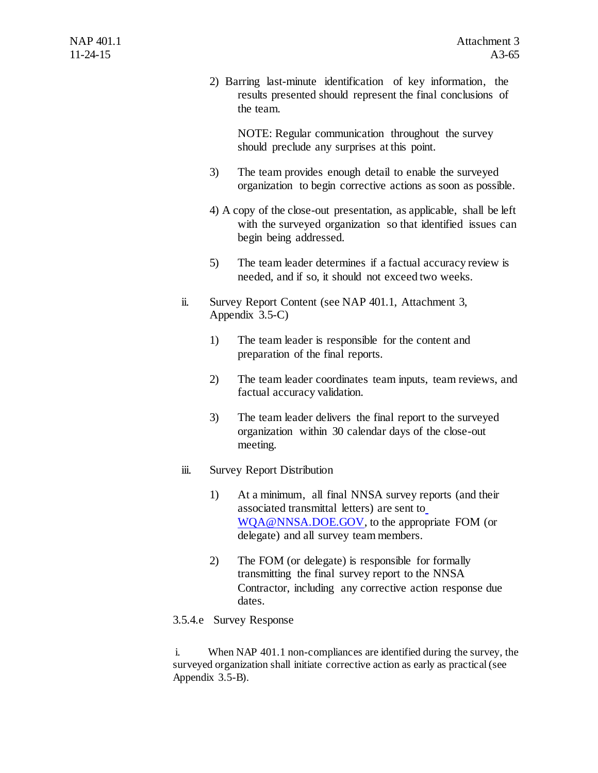2) Barring last-minute identification of key information, the results presented should represent the final conclusions of the team.

NOTE: Regular communication throughout the survey should preclude any surprises at this point.

- 3) The team provides enough detail to enable the surveyed organization to begin corrective actions as soon as possible.
- 4) A copy of the close-out presentation, as applicable, shall be left with the surveyed organization so that identified issues can begin being addressed.
- 5) The team leader determines if a factual accuracy review is needed, and if so, it should not exceed two weeks.
- ii. Survey Report Content (see NAP 401.1, Attachment 3, Appendix 3.5-C)
	- 1) The team leader is responsible for the content and preparation of the final reports.
	- 2) The team leader coordinates team inputs, team reviews, and factual accuracy validation.
	- 3) The team leader delivers the final report to the surveyed organization within 30 calendar days of the close-out meeting.
- iii. Survey Report Distribution
	- 1) At a minimum, all final NNSA survey reports (and their associated transmittal letters) are sent t[o](mailto:WQA@NNSA.DOE.GOV) [WQA@NNSA.DOE.GOV,](mailto:WQA@NNSA.DOE.GOV) to the appropriate FOM (or delegate) and all survey team members.
	- 2) The FOM (or delegate) is responsible for formally transmitting the final survey report to the NNSA Contractor, including any corrective action response due dates.
- 3.5.4.e Survey Response

i. When NAP 401.1 non-compliances are identified during the survey, the surveyed organization shall initiate corrective action as early as practical (see Appendix 3.5-B).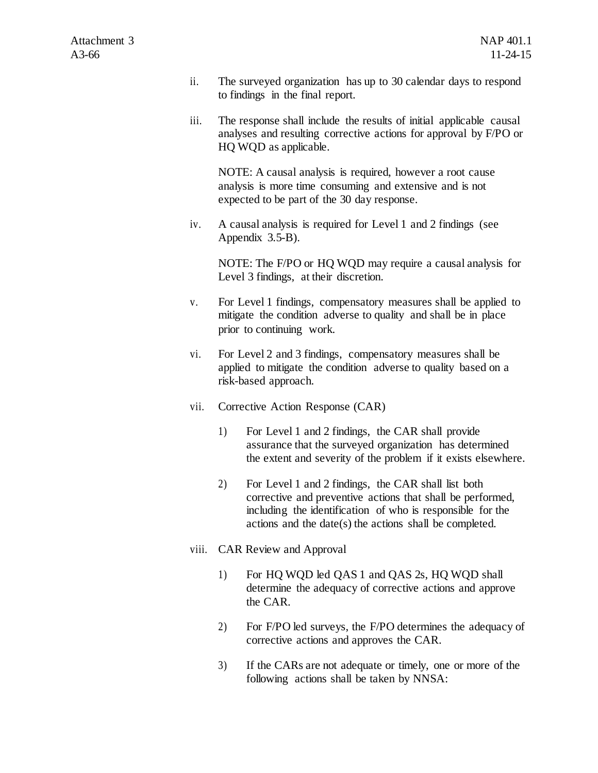- ii. The surveyed organization has up to 30 calendar days to respond to findings in the final report.
- iii. The response shall include the results of initial applicable causal analyses and resulting corrective actions for approval by F/PO or HQ WQD as applicable.

NOTE: A causal analysis is required, however a root cause analysis is more time consuming and extensive and is not expected to be part of the 30 day response.

iv. A causal analysis is required for Level 1 and 2 findings (see Appendix 3.5-B).

NOTE: The F/PO or HQ WQD may require a causal analysis for Level 3 findings, at their discretion.

- v. For Level 1 findings, compensatory measures shall be applied to mitigate the condition adverse to quality and shall be in place prior to continuing work.
- vi. For Level 2 and 3 findings, compensatory measures shall be applied to mitigate the condition adverse to quality based on a risk-based approach.
- vii. Corrective Action Response (CAR)
	- 1) For Level 1 and 2 findings, the CAR shall provide assurance that the surveyed organization has determined the extent and severity of the problem if it exists elsewhere.
	- 2) For Level 1 and 2 findings, the CAR shall list both corrective and preventive actions that shall be performed, including the identification of who is responsible for the actions and the date(s) the actions shall be completed.
- viii. CAR Review and Approval
	- 1) For HQ WQD led QAS 1 and QAS 2s, HQ WQD shall determine the adequacy of corrective actions and approve the CAR.
	- 2) For F/PO led surveys, the F/PO determines the adequacy of corrective actions and approves the CAR.
	- 3) If the CARs are not adequate or timely, one or more of the following actions shall be taken by NNSA: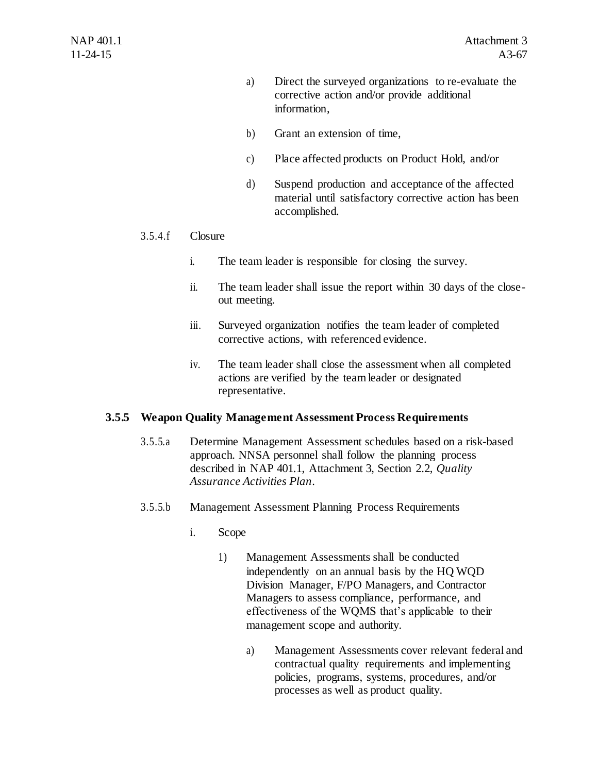- a) Direct the surveyed organizations to re-evaluate the corrective action and/or provide additional information,
- b) Grant an extension of time,
- c) Place affected products on Product Hold, and/or
- d) Suspend production and acceptance of the affected material until satisfactory corrective action has been accomplished.

## 3.5.4.f Closure

- i. The team leader is responsible for closing the survey.
- ii. The team leader shall issue the report within 30 days of the closeout meeting.
- iii. Surveyed organization notifies the team leader of completed corrective actions, with referenced evidence.
- iv. The team leader shall close the assessment when all completed actions are verified by the team leader or designated representative.

## **3.5.5 Weapon Quality Management Assessment Process Requirements**

- 3.5.5.a Determine Management Assessment schedules based on a risk-based approach. NNSA personnel shall follow the planning process described in NAP 401.1, Attachment 3, Section 2.2, *Quality Assurance Activities Plan*.
- 3.5.5.b Management Assessment Planning Process Requirements
	- i. Scope
		- 1) Management Assessments shall be conducted independently on an annual basis by the HQ WQD Division Manager, F/PO Managers, and Contractor Managers to assess compliance, performance, and effectiveness of the WQMS that's applicable to their management scope and authority.
			- a) Management Assessments cover relevant federal and contractual quality requirements and implementing policies, programs, systems, procedures, and/or processes as well as product quality.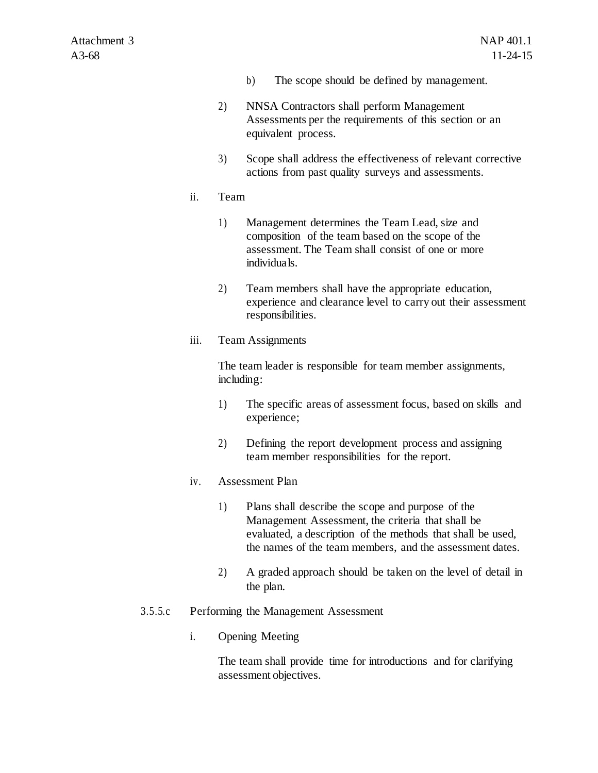- b) The scope should be defined by management.
- 2) NNSA Contractors shall perform Management Assessments per the requirements of this section or an equivalent process.
- 3) Scope shall address the effectiveness of relevant corrective actions from past quality surveys and assessments.

#### ii. Team

- 1) Management determines the Team Lead, size and composition of the team based on the scope of the assessment. The Team shall consist of one or more individuals.
- 2) Team members shall have the appropriate education, experience and clearance level to carry out their assessment responsibilities.
- iii. Team Assignments

The team leader is responsible for team member assignments, including:

- 1) The specific areas of assessment focus, based on skills and experience;
- 2) Defining the report development process and assigning team member responsibilities for the report.

#### iv. Assessment Plan

- 1) Plans shall describe the scope and purpose of the Management Assessment, the criteria that shall be evaluated, a description of the methods that shall be used, the names of the team members, and the assessment dates.
- 2) A graded approach should be taken on the level of detail in the plan.

#### 3.5.5.c Performing the Management Assessment

i. Opening Meeting

The team shall provide time for introductions and for clarifying assessment objectives.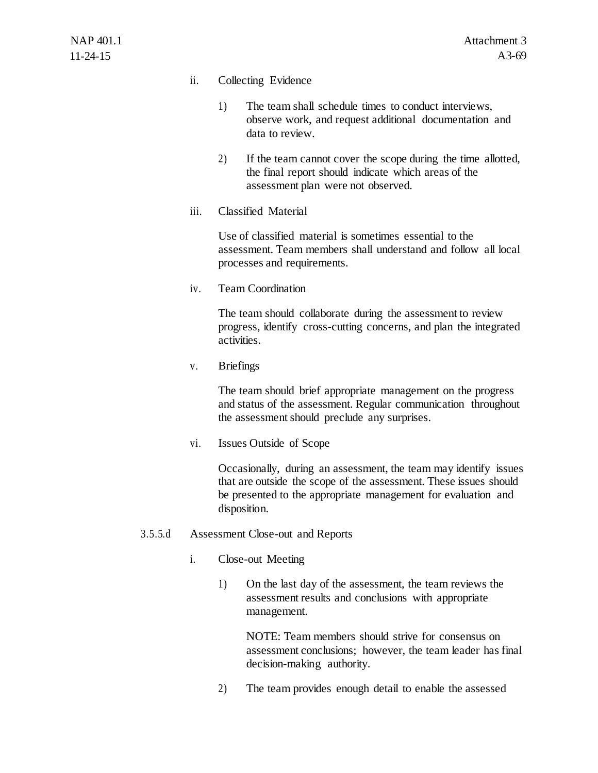### ii. Collecting Evidence

- 1) The team shall schedule times to conduct interviews, observe work, and request additional documentation and data to review.
- 2) If the team cannot cover the scope during the time allotted, the final report should indicate which areas of the assessment plan were not observed.
- iii. Classified Material

Use of classified material is sometimes essential to the assessment. Team members shall understand and follow all local processes and requirements.

iv. Team Coordination

The team should collaborate during the assessment to review progress, identify cross-cutting concerns, and plan the integrated activities.

v. Briefings

The team should brief appropriate management on the progress and status of the assessment. Regular communication throughout the assessment should preclude any surprises.

vi. Issues Outside of Scope

Occasionally, during an assessment, the team may identify issues that are outside the scope of the assessment. These issues should be presented to the appropriate management for evaluation and disposition.

- 3.5.5.d Assessment Close-out and Reports
	- i. Close-out Meeting
		- 1) On the last day of the assessment, the team reviews the assessment results and conclusions with appropriate management.

NOTE: Team members should strive for consensus on assessment conclusions; however, the team leader has final decision-making authority.

2) The team provides enough detail to enable the assessed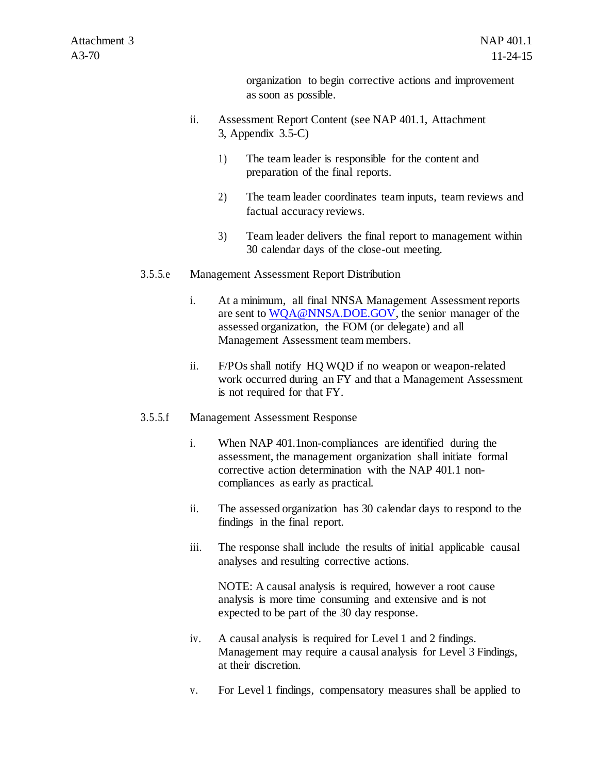organization to begin corrective actions and improvement as soon as possible.

- ii. Assessment Report Content (see NAP 401.1, Attachment 3, Appendix 3.5-C)
	- 1) The team leader is responsible for the content and preparation of the final reports.
	- 2) The team leader coordinates team inputs, team reviews and factual accuracy reviews.
	- 3) Team leader delivers the final report to management within 30 calendar days of the close-out meeting.
- 3.5.5.e Management Assessment Report Distribution
	- i. At a minimum, all final NNSA Management Assessment reports are sent to [WQA@NNSA.DOE.GOV,](mailto:WQA@NNSA.DOE.GOV) the senior manager of the assessed organization, the FOM (or delegate) and all Management Assessment team members.
	- ii. F/POs shall notify HQ WQD if no weapon or weapon-related work occurred during an FY and that a Management Assessment is not required for that FY.
- 3.5.5.f Management Assessment Response
	- i. When NAP 401.1non-compliances are identified during the assessment, the management organization shall initiate formal corrective action determination with the NAP 401.1 noncompliances as early as practical.
	- ii. The assessed organization has 30 calendar days to respond to the findings in the final report.
	- iii. The response shall include the results of initial applicable causal analyses and resulting corrective actions.

NOTE: A causal analysis is required, however a root cause analysis is more time consuming and extensive and is not expected to be part of the 30 day response.

- iv. A causal analysis is required for Level 1 and 2 findings. Management may require a causal analysis for Level 3 Findings, at their discretion.
- v. For Level 1 findings, compensatory measures shall be applied to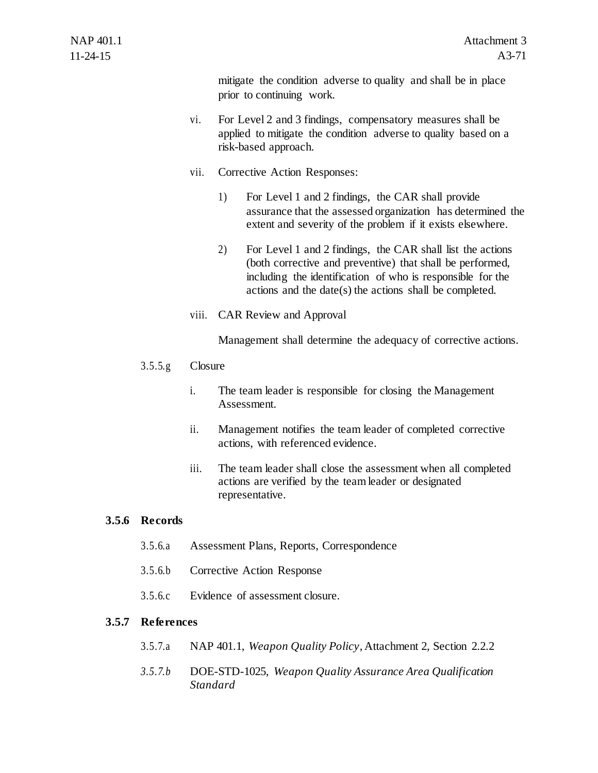mitigate the condition adverse to quality and shall be in place prior to continuing work.

- vi. For Level 2 and 3 findings, compensatory measures shall be applied to mitigate the condition adverse to quality based on a risk-based approach.
- vii. Corrective Action Responses:
	- 1) For Level 1 and 2 findings, the CAR shall provide assurance that the assessed organization has determined the extent and severity of the problem if it exists elsewhere.
	- 2) For Level 1 and 2 findings, the CAR shall list the actions (both corrective and preventive) that shall be performed, including the identification of who is responsible for the actions and the date(s) the actions shall be completed.
- viii. CAR Review and Approval

Management shall determine the adequacy of corrective actions.

- 3.5.5.g Closure
	- i. The team leader is responsible for closing the Management Assessment.
	- ii. Management notifies the team leader of completed corrective actions, with referenced evidence.
	- iii. The team leader shall close the assessment when all completed actions are verified by the team leader or designated representative.

## **3.5.6 Records**

- 3.5.6.a Assessment Plans, Reports, Correspondence
- 3.5.6.b Corrective Action Response
- 3.5.6.c Evidence of assessment closure.

## **3.5.7 References**

- 3.5.7.a NAP 401.1, *Weapon Quality Policy*, Attachment 2, Section 2.2.2
- *3.5.7.b* DOE-STD-1025, *Weapon Quality Assurance Area Qualification Standard*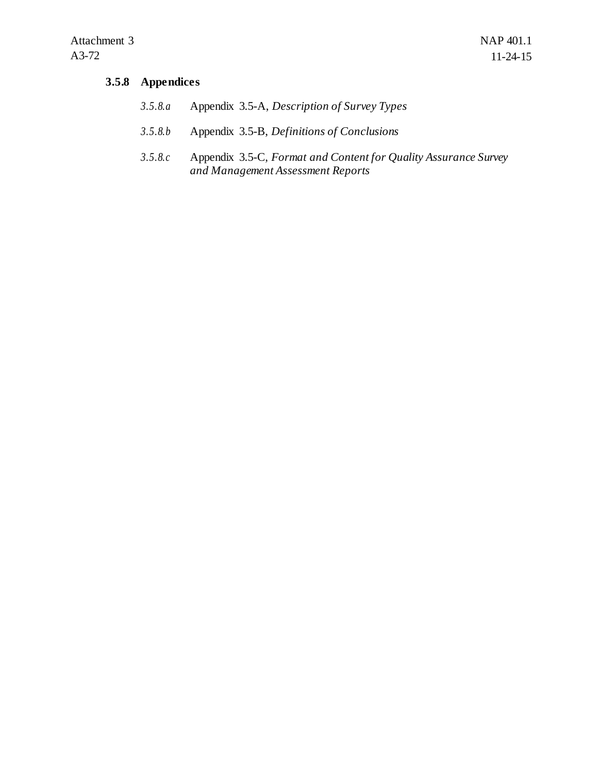# **3.5.8 Appendices**

| 3.5.8.a | Appendix 3.5-A, Description of Survey Types |  |
|---------|---------------------------------------------|--|
|---------|---------------------------------------------|--|

- *3.5.8.b* Appendix 3.5-B, *Definitions of Conclusions*
- *3.5.8.c* Appendix 3.5-C, *Format and Content for Quality Assurance Survey and Management Assessment Reports*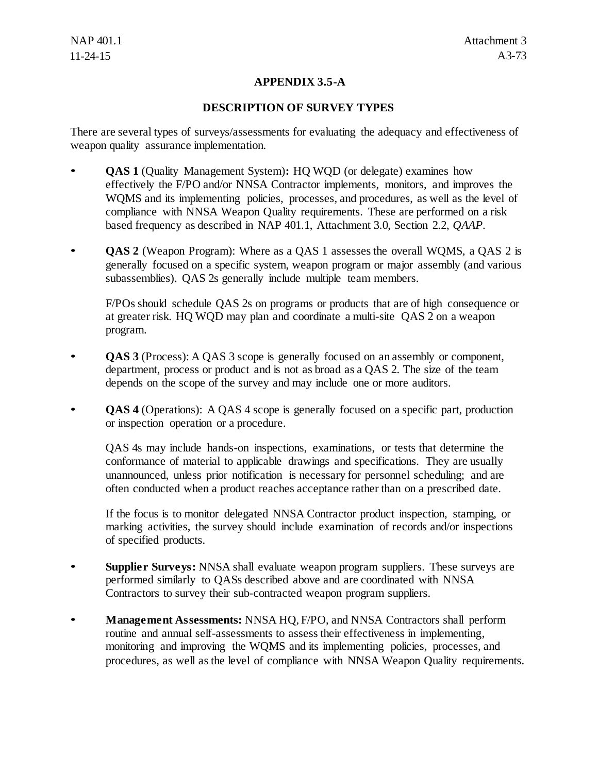# **APPENDIX 3.5-A**

### **DESCRIPTION OF SURVEY TYPES**

There are several types of surveys/assessments for evaluating the adequacy and effectiveness of weapon quality assurance implementation.

- **QAS 1** (Quality Management System)**:** HQ WQD (or delegate) examines how effectively the F/PO and/or NNSA Contractor implements, monitors, and improves the WQMS and its implementing policies, processes, and procedures, as well as the level of compliance with NNSA Weapon Quality requirements. These are performed on a risk based frequency as described in NAP 401.1, Attachment 3.0, Section 2.2, *QAAP*.
- **QAS 2** (Weapon Program): Where as a QAS 1 assesses the overall WQMS, a QAS 2 is generally focused on a specific system, weapon program or major assembly (and various subassemblies). QAS 2s generally include multiple team members.

F/POs should schedule QAS 2s on programs or products that are of high consequence or at greater risk. HQ WQD may plan and coordinate a multi-site QAS 2 on a weapon program.

- **QAS 3** (Process): A QAS 3 scope is generally focused on an assembly or component, department, process or product and is not as broad as a QAS 2. The size of the team depends on the scope of the survey and may include one or more auditors.
- **QAS 4** (Operations): A QAS 4 scope is generally focused on a specific part, production or inspection operation or a procedure.

QAS 4s may include hands-on inspections, examinations, or tests that determine the conformance of material to applicable drawings and specifications. They are usually unannounced, unless prior notification is necessary for personnel scheduling; and are often conducted when a product reaches acceptance rather than on a prescribed date.

If the focus is to monitor delegated NNSA Contractor product inspection, stamping, or marking activities, the survey should include examination of records and/or inspections of specified products.

- **Supplier Surveys:** NNSA shall evaluate weapon program suppliers. These surveys are performed similarly to QASs described above and are coordinated with NNSA Contractors to survey their sub-contracted weapon program suppliers.
- **Management Assessments:** NNSA HQ, F/PO, and NNSA Contractors shall perform routine and annual self-assessments to assess their effectiveness in implementing, monitoring and improving the WQMS and its implementing policies, processes, and procedures, as well as the level of compliance with NNSA Weapon Quality requirements.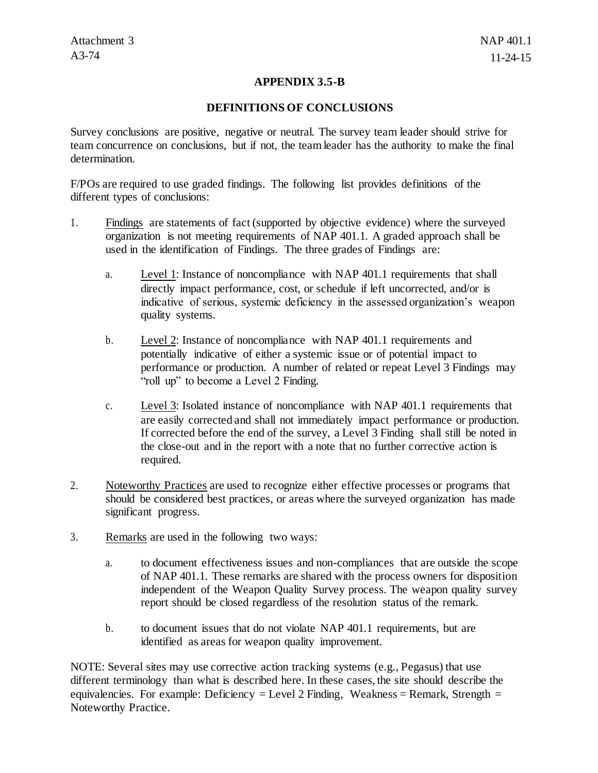### **APPENDIX 3.5-B**

#### **DEFINITIONS OF CONCLUSIONS**

Survey conclusions are positive, negative or neutral. The survey team leader should strive for team concurrence on conclusions, but if not, the team leader has the authority to make the final determination.

F/POs are required to use graded findings. The following list provides definitions of the different types of conclusions:

- 1. Findings are statements of fact (supported by objective evidence) where the surveyed organization is not meeting requirements of NAP 401.1. A graded approach shall be used in the identification of Findings. The three grades of Findings are:
	- a. Level 1: Instance of noncompliance with NAP 401.1 requirements that shall directly impact performance, cost, or schedule if left uncorrected, and/or is indicative of serious, systemic deficiency in the assessed organization's weapon quality systems.
	- b. Level 2: Instance of noncompliance with NAP 401.1 requirements and potentially indicative of either a systemic issue or of potential impact to performance or production. A number of related or repeat Level 3 Findings may "roll up" to become a Level 2 Finding.
	- c. Level 3: Isolated instance of noncompliance with NAP 401.1 requirements that are easily corrected and shall not immediately impact performance or production. If corrected before the end of the survey, a Level 3 Finding shall still be noted in the close-out and in the report with a note that no further corrective action is required.
- 2. Noteworthy Practices are used to recognize either effective processes or programs that should be considered best practices, or areas where the surveyed organization has made significant progress.
- 3. Remarks are used in the following two ways:
	- a. to document effectiveness issues and non-compliances that are outside the scope of NAP 401.1. These remarks are shared with the process owners for disposition independent of the Weapon Quality Survey process. The weapon quality survey report should be closed regardless of the resolution status of the remark.
	- b. to document issues that do not violate NAP 401.1 requirements, but are identified as areas for weapon quality improvement.

NOTE: Several sites may use corrective action tracking systems (e.g., Pegasus) that use different terminology than what is described here. In these cases, the site should describe the equivalencies. For example: Deficiency = Level 2 Finding, Weakness = Remark, Strength = Noteworthy Practice.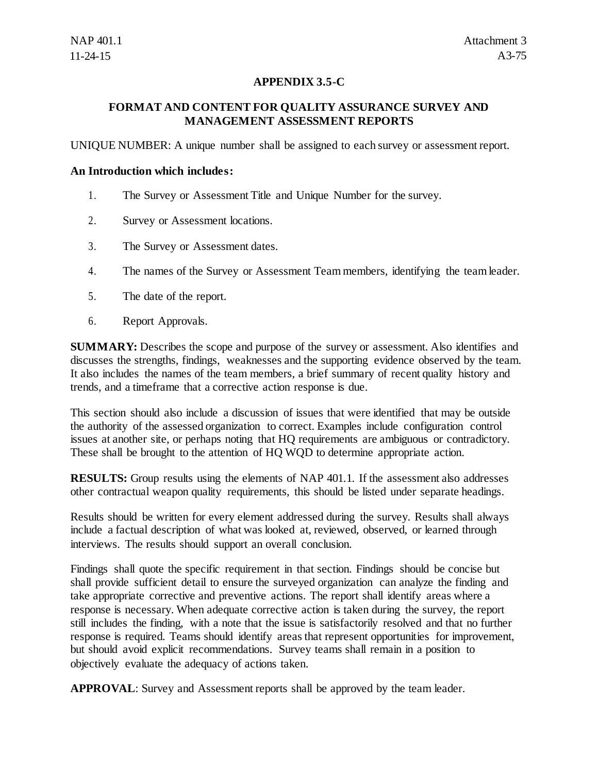# **APPENDIX 3.5-C**

# **FORMAT AND CONTENT FOR QUALITY ASSURANCE SURVEY AND MANAGEMENT ASSESSMENT REPORTS**

UNIQUE NUMBER: A unique number shall be assigned to each survey or assessment report.

#### **An Introduction which includes:**

- 1. The Survey or Assessment Title and Unique Number for the survey.
- 2. Survey or Assessment locations.
- 3. The Survey or Assessment dates.
- 4. The names of the Survey or Assessment Team members, identifying the team leader.
- 5. The date of the report.
- 6. Report Approvals.

**SUMMARY:** Describes the scope and purpose of the survey or assessment. Also identifies and discusses the strengths, findings, weaknesses and the supporting evidence observed by the team. It also includes the names of the team members, a brief summary of recent quality history and trends, and a timeframe that a corrective action response is due.

This section should also include a discussion of issues that were identified that may be outside the authority of the assessed organization to correct. Examples include configuration control issues at another site, or perhaps noting that HQ requirements are ambiguous or contradictory. These shall be brought to the attention of HQ WQD to determine appropriate action.

**RESULTS:** Group results using the elements of NAP 401.1. If the assessment also addresses other contractual weapon quality requirements, this should be listed under separate headings.

Results should be written for every element addressed during the survey. Results shall always include a factual description of what was looked at, reviewed, observed, or learned through interviews. The results should support an overall conclusion.

Findings shall quote the specific requirement in that section. Findings should be concise but shall provide sufficient detail to ensure the surveyed organization can analyze the finding and take appropriate corrective and preventive actions. The report shall identify areas where a response is necessary. When adequate corrective action is taken during the survey, the report still includes the finding, with a note that the issue is satisfactorily resolved and that no further response is required. Teams should identify areas that represent opportunities for improvement, but should avoid explicit recommendations. Survey teams shall remain in a position to objectively evaluate the adequacy of actions taken.

**APPROVAL**: Survey and Assessment reports shall be approved by the team leader.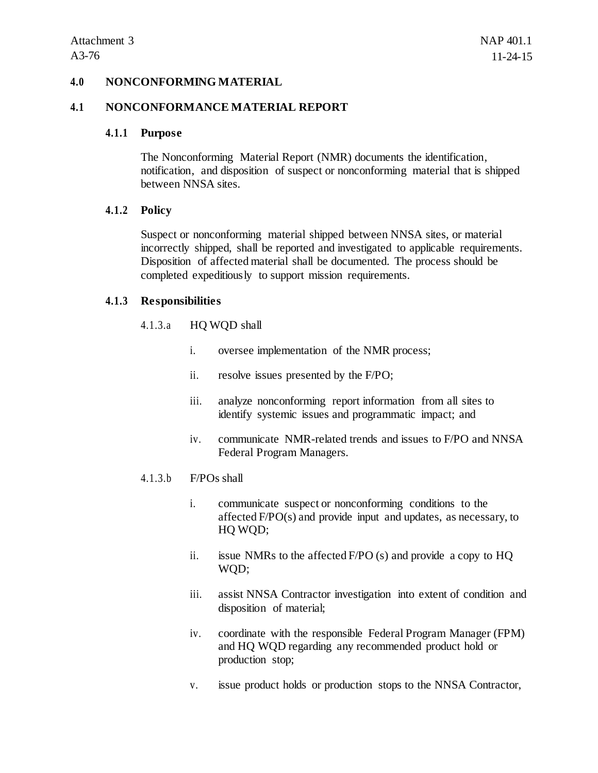#### **4.0 NONCONFORMING MATERIAL**

#### **4.1 NONCONFORMANCE MATERIAL REPORT**

#### **4.1.1 Purpose**

The Nonconforming Material Report (NMR) documents the identification, notification, and disposition of suspect or nonconforming material that is shipped between NNSA sites.

#### **4.1.2 Policy**

Suspect or nonconforming material shipped between NNSA sites, or material incorrectly shipped, shall be reported and investigated to applicable requirements. Disposition of affected material shall be documented. The process should be completed expeditiously to support mission requirements.

### **4.1.3 Responsibilities**

#### 4.1.3.a HQ WQD shall

- i. oversee implementation of the NMR process;
- ii. resolve issues presented by the F/PO;
- iii. analyze nonconforming report information from all sites to identify systemic issues and programmatic impact; and
- iv. communicate NMR-related trends and issues to F/PO and NNSA Federal Program Managers.
- 4.1.3.b F/POs shall
	- i. communicate suspect or nonconforming conditions to the affected F/PO(s) and provide input and updates, as necessary, to HQ WQD;
	- ii. issue NMRs to the affected  $F/PO(s)$  and provide a copy to  $HQ$ WQD;
	- iii. assist NNSA Contractor investigation into extent of condition and disposition of material;
	- iv. coordinate with the responsible Federal Program Manager (FPM) and HQ WQD regarding any recommended product hold or production stop;
	- v. issue product holds or production stops to the NNSA Contractor,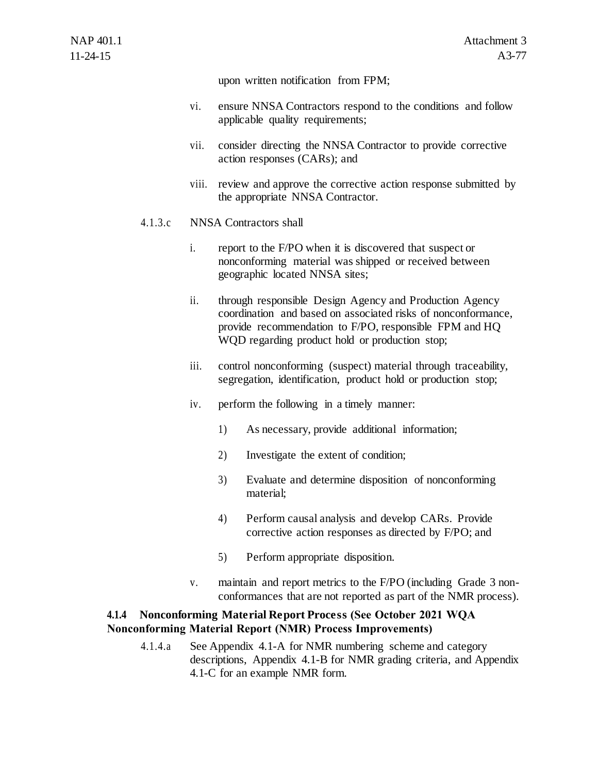upon written notification from FPM;

- vi. ensure NNSA Contractors respond to the conditions and follow applicable quality requirements;
- vii. consider directing the NNSA Contractor to provide corrective action responses (CARs); and
- viii. review and approve the corrective action response submitted by the appropriate NNSA Contractor.

### 4.1.3.c NNSA Contractors shall

- i. report to the F/PO when it is discovered that suspect or nonconforming material was shipped or received between geographic located NNSA sites;
- ii. through responsible Design Agency and Production Agency coordination and based on associated risks of nonconformance, provide recommendation to F/PO, responsible FPM and HQ WQD regarding product hold or production stop;
- iii. control nonconforming (suspect) material through traceability, segregation, identification, product hold or production stop;
- iv. perform the following in a timely manner:
	- 1) As necessary, provide additional information;
	- 2) Investigate the extent of condition;
	- 3) Evaluate and determine disposition of nonconforming material;
	- 4) Perform causal analysis and develop CARs. Provide corrective action responses as directed by F/PO; and
	- 5) Perform appropriate disposition.
- v. maintain and report metrics to the F/PO (including Grade 3 nonconformances that are not reported as part of the NMR process).

# **4.1.4 Nonconforming Material Report Process (See October 2021 WQA Nonconforming Material Report (NMR) Process Improvements)**

4.1.4.a See Appendix 4.1-A for NMR numbering scheme and category descriptions, Appendix 4.1-B for NMR grading criteria, and Appendix 4.1-C for an example NMR form.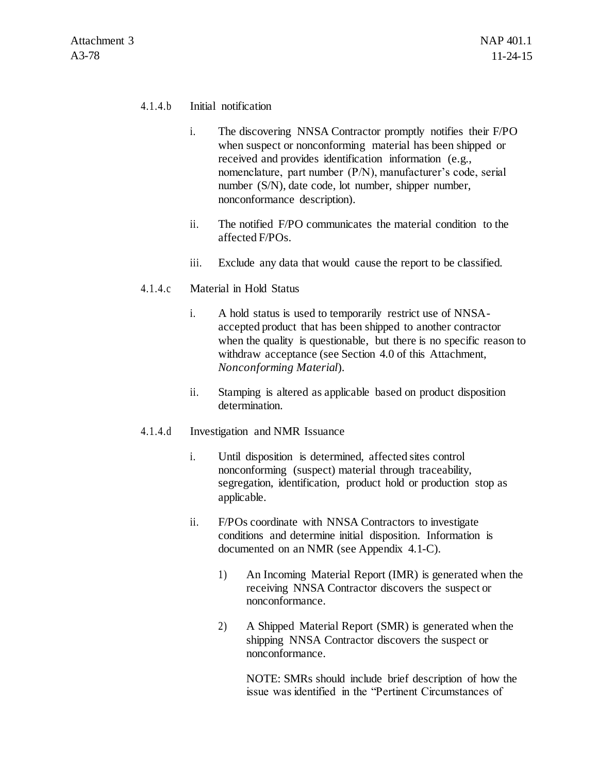### 4.1.4.b Initial notification

- i. The discovering NNSA Contractor promptly notifies their F/PO when suspect or nonconforming material has been shipped or received and provides identification information (e.g., nomenclature, part number (P/N), manufacturer's code, serial number (S/N), date code, lot number, shipper number, nonconformance description).
- ii. The notified F/PO communicates the material condition to the affected F/POs.
- iii. Exclude any data that would cause the report to be classified.
- 4.1.4.c Material in Hold Status
	- i. A hold status is used to temporarily restrict use of NNSAaccepted product that has been shipped to another contractor when the quality is questionable, but there is no specific reason to withdraw acceptance (see Section 4.0 of this Attachment, *Nonconforming Material*).
	- ii. Stamping is altered as applicable based on product disposition determination.
- 4.1.4.d Investigation and NMR Issuance
	- i. Until disposition is determined, affected sites control nonconforming (suspect) material through traceability, segregation, identification, product hold or production stop as applicable.
	- ii. F/POs coordinate with NNSA Contractors to investigate conditions and determine initial disposition. Information is documented on an NMR (see Appendix 4.1-C).
		- 1) An Incoming Material Report (IMR) is generated when the receiving NNSA Contractor discovers the suspect or nonconformance.
		- 2) A Shipped Material Report (SMR) is generated when the shipping NNSA Contractor discovers the suspect or nonconformance.

NOTE: SMRs should include brief description of how the issue was identified in the "Pertinent Circumstances of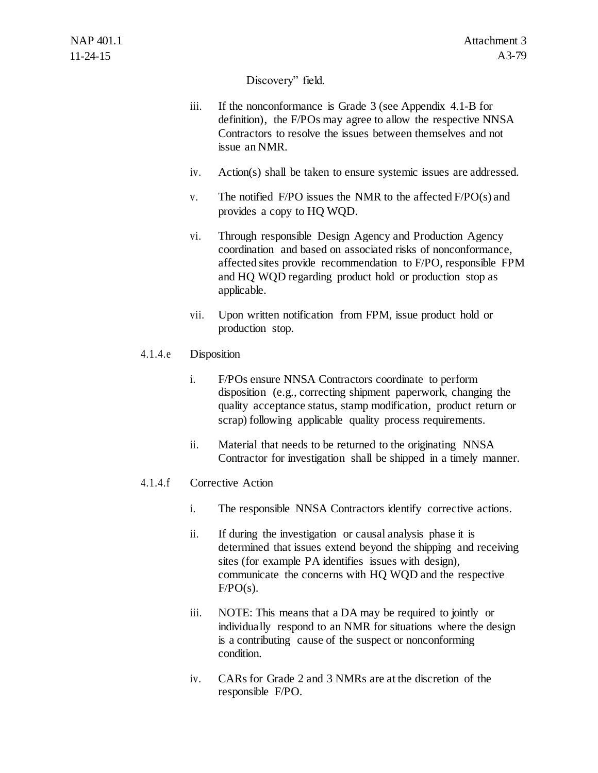# Discovery" field.

- iii. If the nonconformance is Grade 3 (see Appendix 4.1-B for definition), the F/POs may agree to allow the respective NNSA Contractors to resolve the issues between themselves and not issue an NMR.
- iv. Action(s) shall be taken to ensure systemic issues are addressed.
- v. The notified  $F/PO$  issues the NMR to the affected  $F/PO(s)$  and provides a copy to HQ WQD.
- vi. Through responsible Design Agency and Production Agency coordination and based on associated risks of nonconformance, affected sites provide recommendation to F/PO, responsible FPM and HQ WQD regarding product hold or production stop as applicable.
- vii. Upon written notification from FPM, issue product hold or production stop.

# 4.1.4.e Disposition

- i. F/POs ensure NNSA Contractors coordinate to perform disposition (e.g., correcting shipment paperwork, changing the quality acceptance status, stamp modification, product return or scrap) following applicable quality process requirements.
- ii. Material that needs to be returned to the originating NNSA Contractor for investigation shall be shipped in a timely manner.

### 4.1.4.f Corrective Action

- i. The responsible NNSA Contractors identify corrective actions.
- ii. If during the investigation or causal analysis phase it is determined that issues extend beyond the shipping and receiving sites (for example PA identifies issues with design), communicate the concerns with HQ WQD and the respective  $F/PO(s)$ .
- iii. NOTE: This means that a DA may be required to jointly or individually respond to an NMR for situations where the design is a contributing cause of the suspect or nonconforming condition.
- iv. CARs for Grade 2 and 3 NMRs are at the discretion of the responsible F/PO.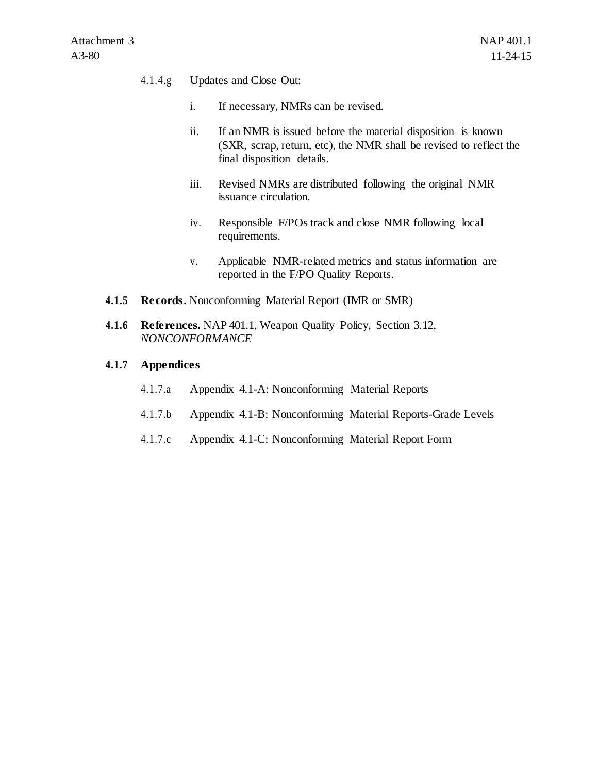### 4.1.4.g Updates and Close Out:

- i. If necessary, NMRs can be revised.
- ii. If an NMR is issued before the material disposition is known (SXR, scrap, return, etc), the NMR shall be revised to reflect the final disposition details.
- iii. Revised NMRs are distributed following the original NMR issuance circulation.
- iv. Responsible F/POs track and close NMR following local requirements.
- v. Applicable NMR-related metrics and status information are reported in the F/PO Quality Reports.
- **4.1.5 Records.** Nonconforming Material Report (IMR or SMR)
- **4.1.6 References.** NAP 401.1, Weapon Quality Policy, Section 3.12, *NONCONFORMANCE*

### **4.1.7 Appendices**

- 4.1.7.a Appendix 4.1-A: Nonconforming Material Reports
- 4.1.7.b Appendix 4.1-B: Nonconforming Material Reports-Grade Levels
- 4.1.7.c Appendix 4.1-C: Nonconforming Material Report Form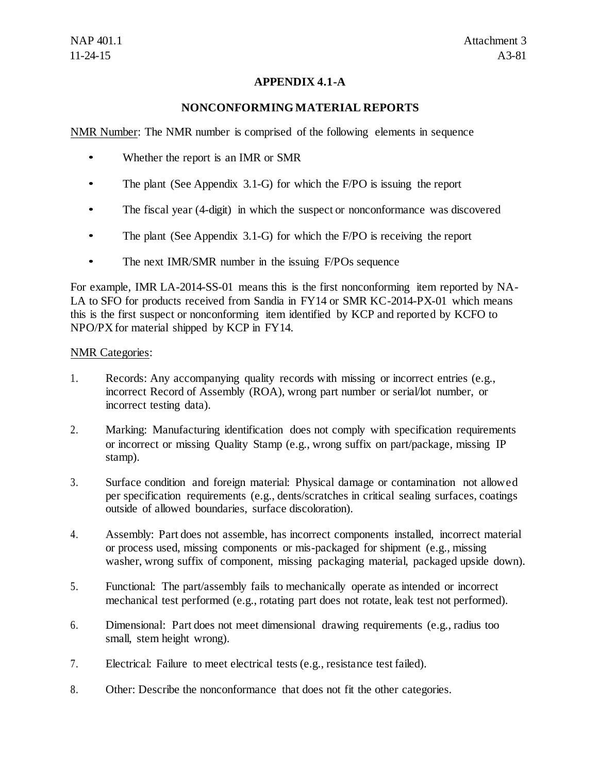# **APPENDIX 4.1-A**

## **NONCONFORMING MATERIAL REPORTS**

NMR Number: The NMR number is comprised of the following elements in sequence

- Whether the report is an IMR or SMR
- The plant (See Appendix 3.1-G) for which the F/PO is issuing the report
- The fiscal year (4-digit) in which the suspect or nonconformance was discovered
- The plant (See Appendix 3.1-G) for which the F/PO is receiving the report
- The next IMR/SMR number in the issuing F/POs sequence

For example, IMR LA-2014-SS-01 means this is the first nonconforming item reported by NA-LA to SFO for products received from Sandia in FY14 or SMR KC-2014-PX-01 which means this is the first suspect or nonconforming item identified by KCP and reported by KCFO to NPO/PX for material shipped by KCP in FY14.

### NMR Categories:

- 1. Records: Any accompanying quality records with missing or incorrect entries (e.g., incorrect Record of Assembly (ROA), wrong part number or serial/lot number, or incorrect testing data).
- 2. Marking: Manufacturing identification does not comply with specification requirements or incorrect or missing Quality Stamp (e.g., wrong suffix on part/package, missing IP stamp).
- 3. Surface condition and foreign material: Physical damage or contamination not allowed per specification requirements (e.g., dents/scratches in critical sealing surfaces, coatings outside of allowed boundaries, surface discoloration).
- 4. Assembly: Part does not assemble, has incorrect components installed, incorrect material or process used, missing components or mis-packaged for shipment (e.g., missing washer, wrong suffix of component, missing packaging material, packaged upside down).
- 5. Functional: The part/assembly fails to mechanically operate as intended or incorrect mechanical test performed (e.g., rotating part does not rotate, leak test not performed).
- 6. Dimensional: Part does not meet dimensional drawing requirements (e.g., radius too small, stem height wrong).
- 7. Electrical: Failure to meet electrical tests (e.g., resistance test failed).
- 8. Other: Describe the nonconformance that does not fit the other categories.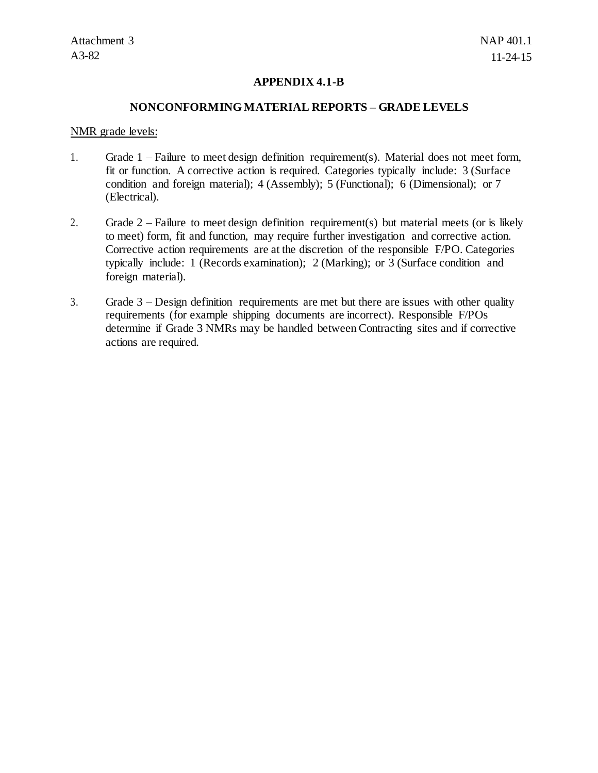### **APPENDIX 4.1-B**

#### **NONCONFORMING MATERIAL REPORTS – GRADE LEVELS**

#### NMR grade levels:

- 1. Grade 1 Failure to meet design definition requirement(s). Material does not meet form, fit or function. A corrective action is required. Categories typically include: 3 (Surface condition and foreign material); 4 (Assembly); 5 (Functional); 6 (Dimensional); or 7 (Electrical).
- 2. Grade 2 Failure to meet design definition requirement(s) but material meets (or is likely to meet) form, fit and function, may require further investigation and corrective action. Corrective action requirements are at the discretion of the responsible F/PO. Categories typically include: 1 (Records examination); 2 (Marking); or 3 (Surface condition and foreign material).
- 3. Grade 3 Design definition requirements are met but there are issues with other quality requirements (for example shipping documents are incorrect). Responsible F/POs determine if Grade 3 NMRs may be handled between Contracting sites and if corrective actions are required.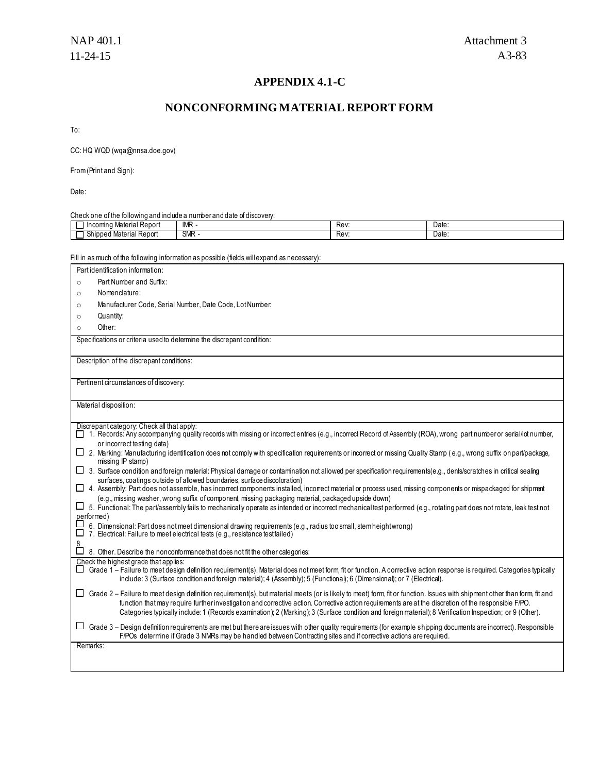### **APPENDIX 4.1-C**

### **NONCONFORMING MATERIAL REPORT FORM**

To:

CC: HQ WQ[D \(wqa@nnsa.doe.gov\)](mailto:wqa@nnsa.doe.gov)

From (Print and Sign):

Date:

Check one of the following and include a number and date of discovery:

| $\overline{\phantom{0}}$<br>. Material Report<br>-------<br>ıno<br>າcom | IMF       | Rev  | Date<br>. |
|-------------------------------------------------------------------------|-----------|------|-----------|
| .<br>Material Report<br>Shipped<br>.07<br>ווסוו סוועוני                 | <b>SM</b> | Rev. | Date<br>. |

Fill in as much of the following information as possible (fields will expand as necessary):

Part identification information: o Part Number and Suffix:

- o Nomenclature:
- o Manufacturer Code, Serial Number, Date Code, LotNumber:
- o Quantity:
- o Other:

Specifications or criteria used to determine the discrepant condition:

Description of the discrepant conditions:

Pertinent circumstances of discovery:

Material disposition:

Discrepant category: Check all that apply:

- □ 1. Records: Any accompanying quality records with missing or incorrect entries (e.g., incorrect Record of Assembly (ROA), wrong part number or serial/lot number, or incorrect testing data)
- $\Box$  2. Marking: Manufacturing identification does not comply with specification requirements or incorrect or missing Quality Stamp (e.g., wrong suffix on part/package, missing IP stamp)
- 3. Surface condition and foreign material: Physical damage or contamination not allowed per specification requirements(e.g., dents/scratches in critical sealing surfaces, coatings outside of allowed boundaries, surface discoloration)
- $\Box$  4. Assembly: Part does not assemble, has incorrect components installed, incorrect material or process used, missing components or mispackaged for shipment (e.g., missing washer, wrong suffix of component, missing packaging material, packaged upside down)
- 5. Functional: The part/assembly fails to mechanically operate as intended or incorrect mechanical test performed (e.g., rotating part does not rotate, leak test not performed)
- 6. Dimensional: Part does not meet dimensional drawing requirements (e.g., radius too small, stem heightwrong)

7. Electrical: Failure to meet electrical tests (e.g., resistance testfailed)

8. Other. Describe the nonconformance that does not fit the other categories:

| Check the highest grade that applies:                                                                                                                                       |
|-----------------------------------------------------------------------------------------------------------------------------------------------------------------------------|
| ∟l Grade 1 – Failure to meet design definition requirement(s). Material does not meet form, fit or function. A corrective action response is required. Categories typically |
| include: 3 (Surface condition and foreign material); 4 (Assembly); 5 (Functional); 6 (Dimensional); or 7 (Electrical).                                                      |

| □ Grade 2 – Failure to meet design definition requirement(s), but material meets (or is likely to meet) form, fit or function. Issues with shipment other than form, fit and |
|------------------------------------------------------------------------------------------------------------------------------------------------------------------------------|
| function that may require further investigation and corrective action. Corrective action requirements are at the discretion of the responsible F/PO.                         |
| Categories typically include: 1 (Records examination); 2 (Marking); 3 (Surface condition and foreign material); 8 Verification Inspection; or 9 (Other).                     |

| □ Grade 3 – Design definition requirements are met but there are issues with other quality requirements (for example shipping documents are incorrect). Responsible |
|---------------------------------------------------------------------------------------------------------------------------------------------------------------------|
| F/POs determine if Grade 3 NMRs may be handled between Contracting sites and if corrective actions are required.                                                    |

Remarks:

8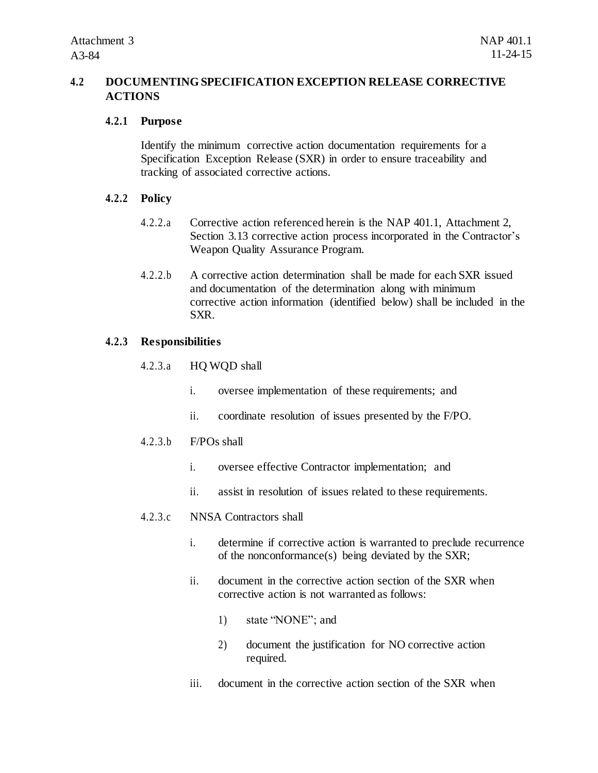# **4.2 DOCUMENTING SPECIFICATION EXCEPTION RELEASE CORRECTIVE ACTIONS**

## **4.2.1 Purpose**

Identify the minimum corrective action documentation requirements for a Specification Exception Release (SXR) in order to ensure traceability and tracking of associated corrective actions.

# **4.2.2 Policy**

- 4.2.2.a Corrective action referenced herein is the NAP 401.1, Attachment 2, Section 3.13 corrective action process incorporated in the Contractor's Weapon Quality Assurance Program.
- 4.2.2.b A corrective action determination shall be made for each SXR issued and documentation of the determination along with minimum corrective action information (identified below) shall be included in the SXR.

# **4.2.3 Responsibilities**

- 4.2.3.a HQ WQD shall
	- i. oversee implementation of these requirements; and
	- ii. coordinate resolution of issues presented by the F/PO.

### 4.2.3.b F/POs shall

- i. oversee effective Contractor implementation; and
- ii. assist in resolution of issues related to these requirements.

## 4.2.3.c NNSA Contractors shall

- i. determine if corrective action is warranted to preclude recurrence of the nonconformance(s) being deviated by the SXR;
- ii. document in the corrective action section of the SXR when corrective action is not warranted as follows:
	- 1) state "NONE"; and
	- 2) document the justification for NO corrective action required.
- iii. document in the corrective action section of the SXR when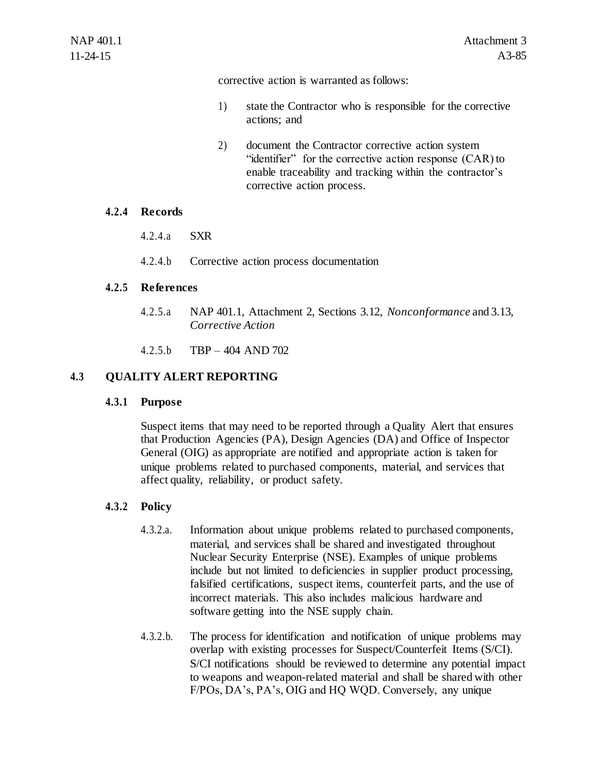corrective action is warranted as follows:

- 1) state the Contractor who is responsible for the corrective actions; and
- 2) document the Contractor corrective action system "identifier" for the corrective action response (CAR) to enable traceability and tracking within the contractor's corrective action process.

### **4.2.4 Records**

- 4.2.4.a SXR
- 4.2.4.b Corrective action process documentation

# **4.2.5 References**

- 4.2.5.a NAP 401.1, Attachment 2, Sections 3.12, *Nonconformance* and 3.13, *Corrective Action*
- 4.2.5.b TBP 404 AND 702

# **4.3 QUALITY ALERT REPORTING**

### **4.3.1 Purpose**

Suspect items that may need to be reported through a Quality Alert that ensures that Production Agencies (PA), Design Agencies (DA) and Office of Inspector General (OIG) as appropriate are notified and appropriate action is taken for unique problems related to purchased components, material, and services that affect quality, reliability, or product safety.

# **4.3.2 Policy**

- 4.3.2.a. Information about unique problems related to purchased components, material, and services shall be shared and investigated throughout Nuclear Security Enterprise (NSE). Examples of unique problems include but not limited to deficiencies in supplier product processing, falsified certifications, suspect items, counterfeit parts, and the use of incorrect materials. This also includes malicious hardware and software getting into the NSE supply chain.
- 4.3.2.b. The process for identification and notification of unique problems may overlap with existing processes for Suspect/Counterfeit Items (S/CI). S/CI notifications should be reviewed to determine any potential impact to weapons and weapon-related material and shall be shared with other F/POs, DA's, PA's, OIG and HQ WQD. Conversely, any unique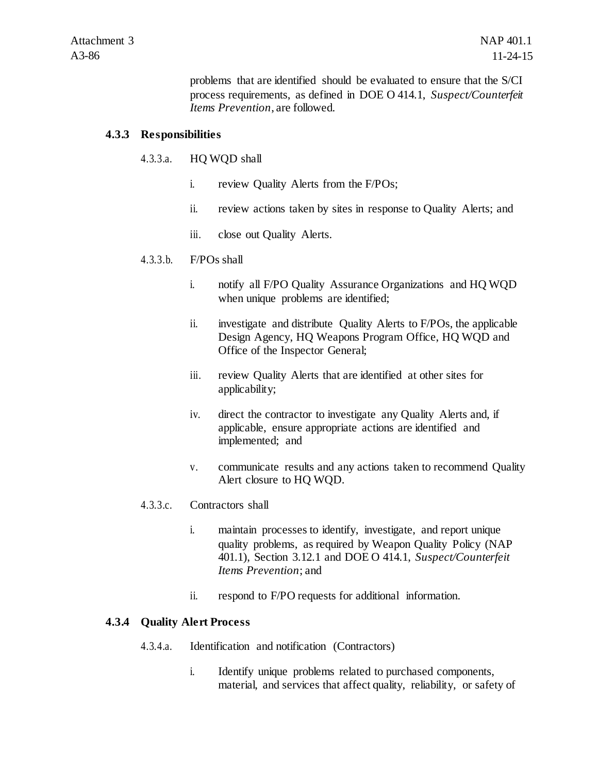problems that are identified should be evaluated to ensure that the S/CI process requirements, as defined in DOE O 414.1, *Suspect/Counterfeit Items Prevention*, are followed.

### **4.3.3 Responsibilities**

## 4.3.3.a. HQ WQD shall

- i. review Quality Alerts from the F/POs;
- ii. review actions taken by sites in response to Quality Alerts; and
- iii. close out Quality Alerts.

# 4.3.3.b. F/POs shall

- i. notify all F/PO Quality Assurance Organizations and HQ WQD when unique problems are identified;
- ii. investigate and distribute Quality Alerts to F/POs, the applicable Design Agency, HQ Weapons Program Office, HQ WQD and Office of the Inspector General;
- iii. review Quality Alerts that are identified at other sites for applicability;
- iv. direct the contractor to investigate any Quality Alerts and, if applicable, ensure appropriate actions are identified and implemented; and
- v. communicate results and any actions taken to recommend Quality Alert closure to HQ WQD.
- 4.3.3.c. Contractors shall
	- i. maintain processes to identify, investigate, and report unique quality problems, as required by Weapon Quality Policy (NAP 401.1), Section 3.12.1 and DOE O 414.1, *Suspect/Counterfeit Items Prevention*; and
	- ii. respond to F/PO requests for additional information.

# **4.3.4 Quality Alert Process**

- 4.3.4.a. Identification and notification (Contractors)
	- i. Identify unique problems related to purchased components, material, and services that affect quality, reliability, or safety of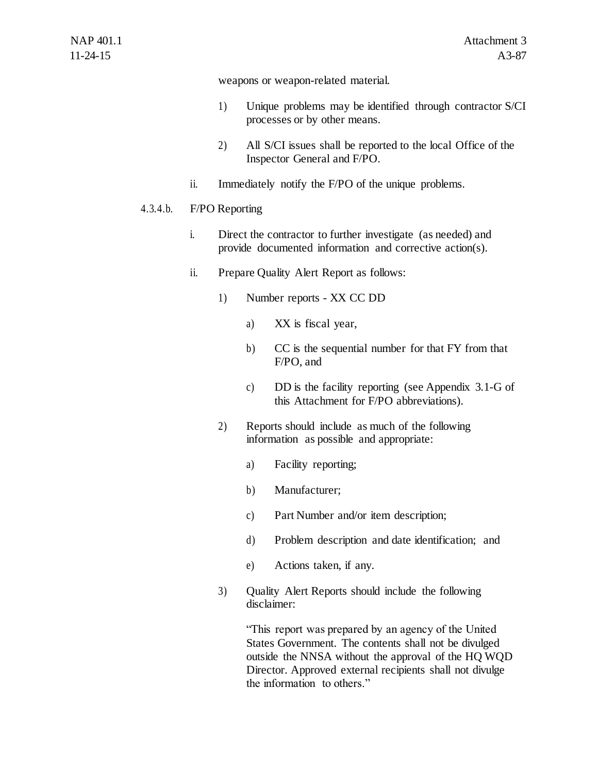weapons or weapon-related material.

- 1) Unique problems may be identified through contractor S/CI processes or by other means.
- 2) All S/CI issues shall be reported to the local Office of the Inspector General and F/PO.
- ii. Immediately notify the F/PO of the unique problems.

### 4.3.4.b. F/PO Reporting

- i. Direct the contractor to further investigate (as needed) and provide documented information and corrective action(s).
- ii. Prepare Quality Alert Report as follows:
	- 1) Number reports XX CC DD
		- a) XX is fiscal year,
		- b) CC is the sequential number for that FY from that F/PO, and
		- c) DD is the facility reporting (see Appendix 3.1-G of this Attachment for F/PO abbreviations).
	- 2) Reports should include as much of the following information as possible and appropriate:
		- a) Facility reporting;
		- b) Manufacturer;
		- c) Part Number and/or item description;
		- d) Problem description and date identification; and
		- e) Actions taken, if any.
	- 3) Quality Alert Reports should include the following disclaimer:

"This report was prepared by an agency of the United States Government. The contents shall not be divulged outside the NNSA without the approval of the HQ WQD Director. Approved external recipients shall not divulge the information to others."